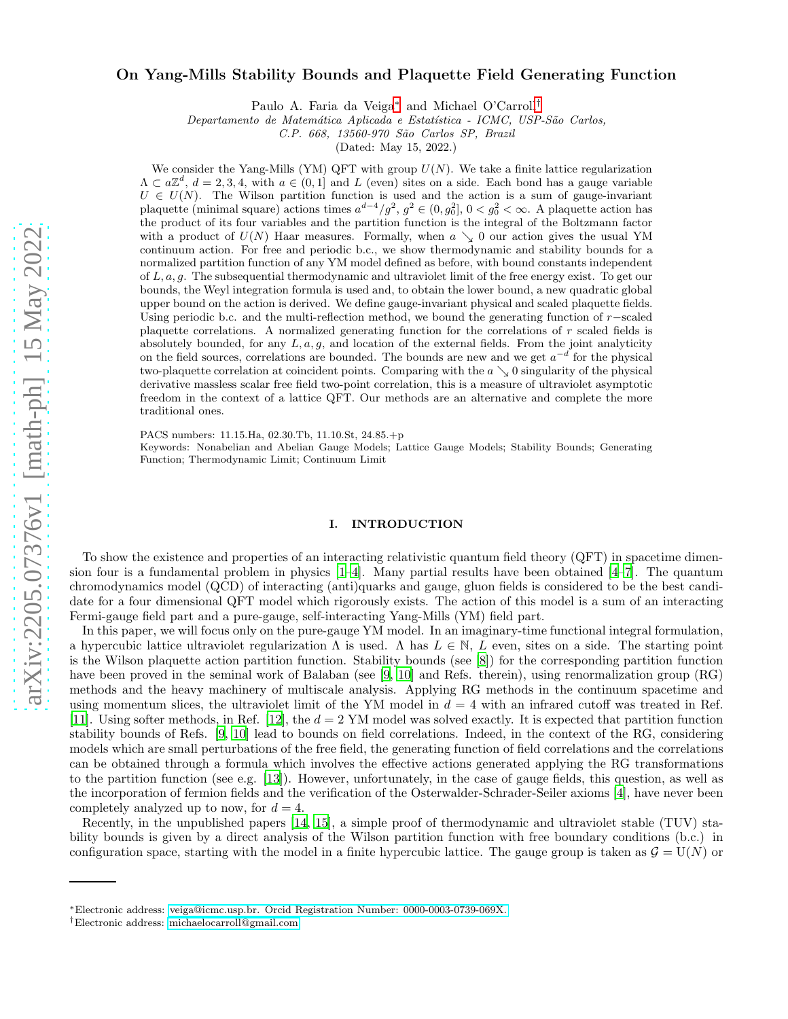# arXiv:2205.07376v1 [math-ph] 15 May 2022 [arXiv:2205.07376v1 \[math-ph\] 15 May 2022](http://arxiv.org/abs/2205.07376v1)

# On Yang-Mills Stability Bounds and Plaquette Field Generating Function

Paulo A. Faria da Veiga[∗](#page-0-0) and Michael O'Carroll[†](#page-0-1)

Departamento de Matemática Aplicada e Estatística - ICMC, USP-São Carlos,

C.P. 668, 13560-970 S˜ao Carlos SP, Brazil

(Dated: May 15, 2022.)

We consider the Yang-Mills (YM) QFT with group  $U(N)$ . We take a finite lattice regularization  $\Lambda \subset a\mathbb{Z}^d$ ,  $d=2,3,4$ , with  $a \in (0,1]$  and L (even) sites on a side. Each bond has a gauge variable  $U \in U(N)$ . The Wilson partition function is used and the action is a sum of gauge-invariant plaquette (minimal square) actions times  $a^{d-4}/g^2$ ,  $g^2 \in (0, g_0^2]$ ,  $0 < g_0^2 < \infty$ . A plaquette action has the product of its four variables and the partition function is the integral of the Boltzmann factor with a product of  $U(N)$  Haar measures. Formally, when  $a \searrow 0$  our action gives the usual YM continuum action. For free and periodic b.c., we show thermodynamic and stability bounds for a normalized partition function of any YM model defined as before, with bound constants independent of L, a, g. The subsequential thermodynamic and ultraviolet limit of the free energy exist. To get our bounds, the Weyl integration formula is used and, to obtain the lower bound, a new quadratic global upper bound on the action is derived. We define gauge-invariant physical and scaled plaquette fields. Using periodic b.c. and the multi-reflection method, we bound the generating function of  $r$ -scaled plaquette correlations. A normalized generating function for the correlations of  $r$  scaled fields is absolutely bounded, for any  $L, a, g$ , and location of the external fields. From the joint analyticity on the field sources, correlations are bounded. The bounds are new and we get  $a^{-d}$  for the physical two-plaquette correlation at coincident points. Comparing with the  $a \searrow 0$  singularity of the physical derivative massless scalar free field two-point correlation, this is a measure of ultraviolet asymptotic freedom in the context of a lattice QFT. Our methods are an alternative and complete the more traditional ones.

PACS numbers: 11.15.Ha, 02.30.Tb, 11.10.St, 24.85.+p

Keywords: Nonabelian and Abelian Gauge Models; Lattice Gauge Models; Stability Bounds; Generating Function; Thermodynamic Limit; Continuum Limit

# I. INTRODUCTION

To show the existence and properties of an interacting relativistic quantum field theory (QFT) in spacetime dimension four is a fundamental problem in physics [\[1](#page-28-0)[–4\]](#page-28-1). Many partial results have been obtained [\[4](#page-28-1)[–7\]](#page-28-2). The quantum chromodynamics model (QCD) of interacting (anti)quarks and gauge, gluon fields is considered to be the best candidate for a four dimensional QFT model which rigorously exists. The action of this model is a sum of an interacting Fermi-gauge field part and a pure-gauge, self-interacting Yang-Mills (YM) field part.

In this paper, we will focus only on the pure-gauge YM model. In an imaginary-time functional integral formulation, a hypercubic lattice ultraviolet regularization  $\Lambda$  is used.  $\Lambda$  has  $L \in \mathbb{N}$ , L even, sites on a side. The starting point is the Wilson plaquette action partition function. Stability bounds (see [\[8\]](#page-28-3)) for the corresponding partition function have been proved in the seminal work of Balaban (see [\[9,](#page-28-4) [10](#page-28-5)] and Refs. therein), using renormalization group (RG) methods and the heavy machinery of multiscale analysis. Applying RG methods in the continuum spacetime and using momentum slices, the ultraviolet limit of the YM model in  $d = 4$  with an infrared cutoff was treated in Ref. [\[11\]](#page-28-6). Using softer methods, in Ref. [\[12\]](#page-29-0), the  $d = 2$  YM model was solved exactly. It is expected that partition function stability bounds of Refs. [\[9,](#page-28-4) [10](#page-28-5)] lead to bounds on field correlations. Indeed, in the context of the RG, considering models which are small perturbations of the free field, the generating function of field correlations and the correlations can be obtained through a formula which involves the effective actions generated applying the RG transformations to the partition function (see e.g. [\[13](#page-29-1)]). However, unfortunately, in the case of gauge fields, this question, as well as the incorporation of fermion fields and the verification of the Osterwalder-Schrader-Seiler axioms [\[4](#page-28-1)], have never been completely analyzed up to now, for  $d = 4$ .

Recently, in the unpublished papers [\[14,](#page-29-2) [15\]](#page-29-3), a simple proof of thermodynamic and ultraviolet stable (TUV) stability bounds is given by a direct analysis of the Wilson partition function with free boundary conditions (b.c.) in configuration space, starting with the model in a finite hypercubic lattice. The gauge group is taken as  $G = U(N)$  or

<span id="page-0-0"></span><sup>∗</sup>Electronic address: [veiga@icmc.usp.br. Orcid Registration Number: 0000-0003-0739-069X.](mailto:veiga@icmc.usp.br. Orcid Registration Number: 0000-0003-0739-069X.)

<span id="page-0-1"></span><sup>†</sup>Electronic address: [michaelocarroll@gmail.com](mailto:michaelocarroll@gmail.com)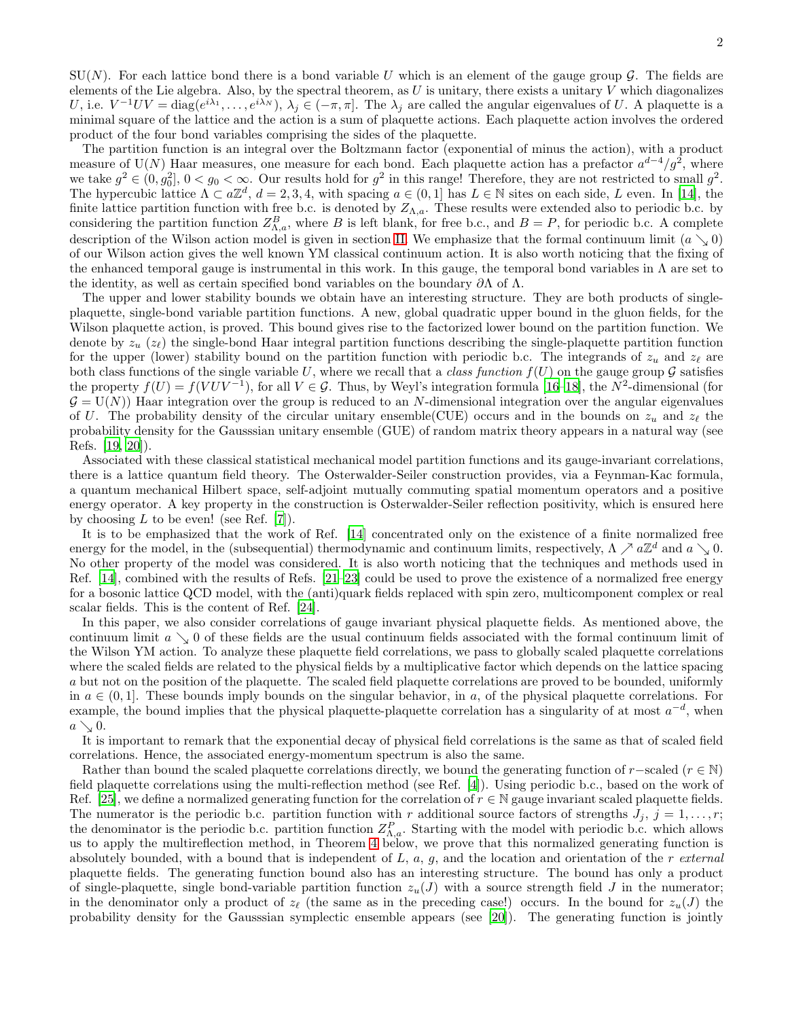$SU(N)$ . For each lattice bond there is a bond variable U which is an element of the gauge group  $\mathcal G$ . The fields are elements of the Lie algebra. Also, by the spectral theorem, as  $U$  is unitary, there exists a unitary  $V$  which diagonalizes U, i.e.  $V^{-1}UV = \text{diag}(e^{i\lambda_1}, \ldots, e^{i\lambda_N}), \lambda_j \in (-\pi, \pi]$ . The  $\lambda_j$  are called the angular eigenvalues of U. A plaquette is a minimal square of the lattice and the action is a sum of plaquette actions. Each plaquette action involves the ordered product of the four bond variables comprising the sides of the plaquette.

The partition function is an integral over the Boltzmann factor (exponential of minus the action), with a product measure of U(N) Haar measures, one measure for each bond. Each plaquette action has a prefactor  $a^{d-4}/g^2$ , where we take  $g^2 \in (0, g_0^2], 0 < g_0 < \infty$ . Our results hold for  $g^2$  in this range! Therefore, they are not restricted to small  $g^2$ . The hypercubic lattice  $\Lambda \subset a\mathbb{Z}^d$ ,  $d = 2, 3, 4$ , with spacing  $a \in (0, 1]$  has  $L \in \mathbb{N}$  sites on each side, L even. In [\[14](#page-29-2)], the finite lattice partition function with free b.c. is denoted by  $Z_{\Lambda,a}$ . These results were extended also to periodic b.c. by considering the partition function  $Z_{\Lambda,a}^B$ , where B is left blank, for free b.c., and  $B = P$ , for periodic b.c. A complete description of the Wilson action model is given in section [II.](#page-3-0) We emphasize that the formal continuum limit  $(a \searrow 0)$ of our Wilson action gives the well known YM classical continuum action. It is also worth noticing that the fixing of the enhanced temporal gauge is instrumental in this work. In this gauge, the temporal bond variables in  $\Lambda$  are set to the identity, as well as certain specified bond variables on the boundary  $\partial\Lambda$  of  $\Lambda$ .

The upper and lower stability bounds we obtain have an interesting structure. They are both products of singleplaquette, single-bond variable partition functions. A new, global quadratic upper bound in the gluon fields, for the Wilson plaquette action, is proved. This bound gives rise to the factorized lower bound on the partition function. We denote by  $z_u$  ( $z_\ell$ ) the single-bond Haar integral partition functions describing the single-plaquette partition function for the upper (lower) stability bound on the partition function with periodic b.c. The integrands of  $z_u$  and  $z_\ell$  are both class functions of the single variable U, where we recall that a class function  $f(U)$  on the gauge group  $\mathcal G$  satisfies the property  $f(U) = f(VUV^{-1})$ , for all  $V \in \mathcal{G}$ . Thus, by Weyl's integration formula [\[16](#page-29-4)[–18\]](#page-29-5), the  $N^2$ -dimensional (for  $\mathcal{G} = U(N)$ ) Haar integration over the group is reduced to an N-dimensional integration over the angular eigenvalues of U. The probability density of the circular unitary ensemble(CUE) occurs and in the bounds on  $z_u$  and  $z_\ell$  the probability density for the Gausssian unitary ensemble (GUE) of random matrix theory appears in a natural way (see Refs. [\[19,](#page-29-6) [20\]](#page-29-7)).

Associated with these classical statistical mechanical model partition functions and its gauge-invariant correlations, there is a lattice quantum field theory. The Osterwalder-Seiler construction provides, via a Feynman-Kac formula, a quantum mechanical Hilbert space, self-adjoint mutually commuting spatial momentum operators and a positive energy operator. A key property in the construction is Osterwalder-Seiler reflection positivity, which is ensured here by choosing  $L$  to be even! (see Ref. [\[7](#page-28-2)]).

It is to be emphasized that the work of Ref. [\[14](#page-29-2)] concentrated only on the existence of a finite normalized free energy for the model, in the (subsequential) thermodynamic and continuum limits, respectively,  $\Lambda \nearrow a\mathbb{Z}^d$  and  $a \searrow 0$ . No other property of the model was considered. It is also worth noticing that the techniques and methods used in Ref. [\[14\]](#page-29-2), combined with the results of Refs. [\[21](#page-29-8)[–23\]](#page-29-9) could be used to prove the existence of a normalized free energy for a bosonic lattice QCD model, with the (anti)quark fields replaced with spin zero, multicomponent complex or real scalar fields. This is the content of Ref. [\[24](#page-29-10)].

In this paper, we also consider correlations of gauge invariant physical plaquette fields. As mentioned above, the continuum limit  $a \searrow 0$  of these fields are the usual continuum fields associated with the formal continuum limit of the Wilson YM action. To analyze these plaquette field correlations, we pass to globally scaled plaquette correlations where the scaled fields are related to the physical fields by a multiplicative factor which depends on the lattice spacing a but not on the position of the plaquette. The scaled field plaquette correlations are proved to be bounded, uniformly in  $a \in (0,1]$ . These bounds imply bounds on the singular behavior, in a, of the physical plaquette correlations. For example, the bound implies that the physical plaquette-plaquette correlation has a singularity of at most  $a^{-d}$ , when  $a \searrow 0$ .

It is important to remark that the exponential decay of physical field correlations is the same as that of scaled field correlations. Hence, the associated energy-momentum spectrum is also the same.

Rather than bound the scaled plaquette correlations directly, we bound the generating function of r−scaled ( $r \in \mathbb{N}$ ) field plaquette correlations using the multi-reflection method (see Ref. [\[4\]](#page-28-1)). Using periodic b.c., based on the work of Ref. [\[25\]](#page-29-11), we define a normalized generating function for the correlation of  $r \in \mathbb{N}$  gauge invariant scaled plaquette fields. The numerator is the periodic b.c. partition function with r additional source factors of strengths  $J_i$ ,  $j = 1, \ldots, r$ ; the denominator is the periodic b.c. partition function  $Z_{\Lambda,a}^P$ . Starting with the model with periodic b.c. which allows us to apply the multireflection method, in Theorem [4](#page-17-0) below, we prove that this normalized generating function is absolutely bounded, with a bound that is independent of  $L, a, q$ , and the location and orientation of the r external plaquette fields. The generating function bound also has an interesting structure. The bound has only a product of single-plaquette, single bond-variable partition function  $z_u(J)$  with a source strength field J in the numerator; in the denominator only a product of  $z_{\ell}$  (the same as in the preceding case!) occurs. In the bound for  $z_u(J)$  the probability density for the Gausssian symplectic ensemble appears (see [\[20](#page-29-7)]). The generating function is jointly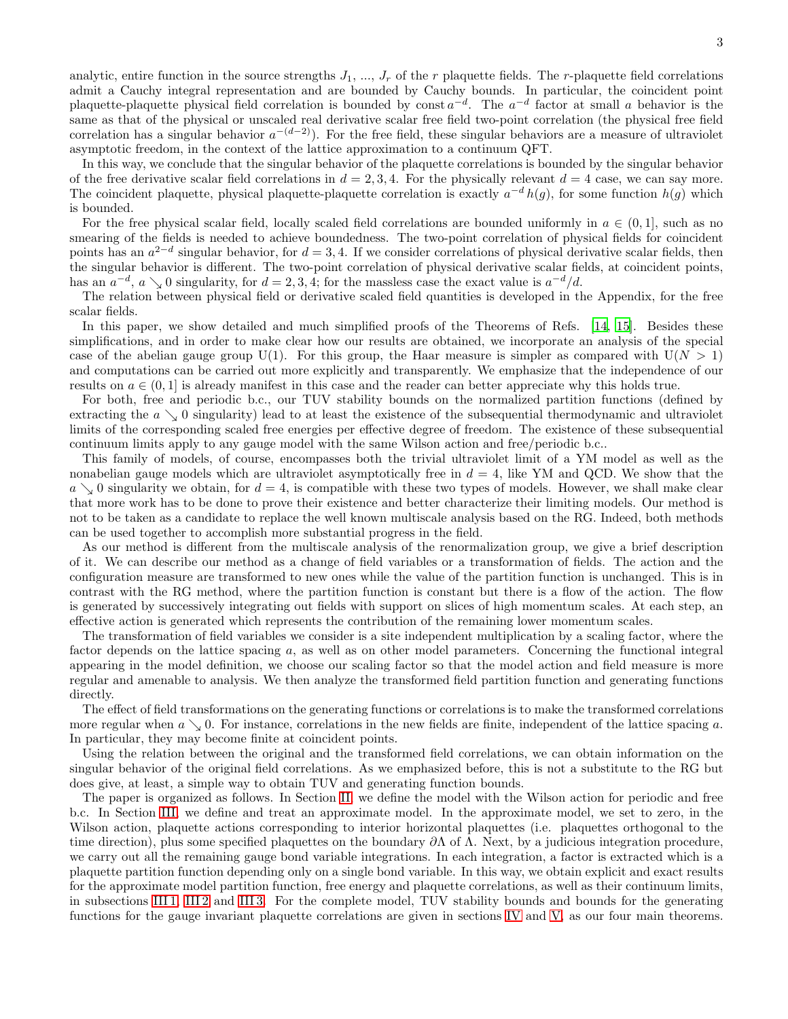analytic, entire function in the source strengths  $J_1, ..., J_r$  of the r plaquette fields. The r-plaquette field correlations admit a Cauchy integral representation and are bounded by Cauchy bounds. In particular, the coincident point plaquette-plaquette physical field correlation is bounded by const  $a^{-d}$ . The  $a^{-d}$  factor at small a behavior is the same as that of the physical or unscaled real derivative scalar free field two-point correlation (the physical free field correlation has a singular behavior  $a^{-(d-2)}$ ). For the free field, these singular behaviors are a measure of ultraviolet asymptotic freedom, in the context of the lattice approximation to a continuum QFT.

In this way, we conclude that the singular behavior of the plaquette correlations is bounded by the singular behavior of the free derivative scalar field correlations in  $d = 2, 3, 4$ . For the physically relevant  $d = 4$  case, we can say more. The coincident plaquette, physical plaquette-plaquette correlation is exactly  $a^{-d} h(g)$ , for some function  $h(g)$  which is bounded.

For the free physical scalar field, locally scaled field correlations are bounded uniformly in  $a \in (0,1]$ , such as no smearing of the fields is needed to achieve boundedness. The two-point correlation of physical fields for coincident points has an  $a^{2-d}$  singular behavior, for  $d = 3, 4$ . If we consider correlations of physical derivative scalar fields, then the singular behavior is different. The two-point correlation of physical derivative scalar fields, at coincident points, has an  $a^{-d}$ ,  $a \searrow 0$  singularity, for  $d = 2, 3, 4$ ; for the massless case the exact value is  $a^{-d}/d$ .

The relation between physical field or derivative scaled field quantities is developed in the Appendix, for the free scalar fields.

In this paper, we show detailed and much simplified proofs of the Theorems of Refs. [\[14,](#page-29-2) [15](#page-29-3)]. Besides these simplifications, and in order to make clear how our results are obtained, we incorporate an analysis of the special case of the abelian gauge group U(1). For this group, the Haar measure is simpler as compared with  $U(N > 1)$ and computations can be carried out more explicitly and transparently. We emphasize that the independence of our results on  $a \in (0,1]$  is already manifest in this case and the reader can better appreciate why this holds true.

For both, free and periodic b.c., our TUV stability bounds on the normalized partition functions (defined by extracting the  $a \searrow 0$  singularity) lead to at least the existence of the subsequential thermodynamic and ultraviolet limits of the corresponding scaled free energies per effective degree of freedom. The existence of these subsequential continuum limits apply to any gauge model with the same Wilson action and free/periodic b.c..

This family of models, of course, encompasses both the trivial ultraviolet limit of a YM model as well as the nonabelian gauge models which are ultraviolet asymptotically free in  $d = 4$ , like YM and QCD. We show that the  $a \searrow 0$  singularity we obtain, for  $d = 4$ , is compatible with these two types of models. However, we shall make clear that more work has to be done to prove their existence and better characterize their limiting models. Our method is not to be taken as a candidate to replace the well known multiscale analysis based on the RG. Indeed, both methods can be used together to accomplish more substantial progress in the field.

As our method is different from the multiscale analysis of the renormalization group, we give a brief description of it. We can describe our method as a change of field variables or a transformation of fields. The action and the configuration measure are transformed to new ones while the value of the partition function is unchanged. This is in contrast with the RG method, where the partition function is constant but there is a flow of the action. The flow is generated by successively integrating out fields with support on slices of high momentum scales. At each step, an effective action is generated which represents the contribution of the remaining lower momentum scales.

The transformation of field variables we consider is a site independent multiplication by a scaling factor, where the factor depends on the lattice spacing a, as well as on other model parameters. Concerning the functional integral appearing in the model definition, we choose our scaling factor so that the model action and field measure is more regular and amenable to analysis. We then analyze the transformed field partition function and generating functions directly.

The effect of field transformations on the generating functions or correlations is to make the transformed correlations more regular when  $a \searrow 0$ . For instance, correlations in the new fields are finite, independent of the lattice spacing a. In particular, they may become finite at coincident points.

Using the relation between the original and the transformed field correlations, we can obtain information on the singular behavior of the original field correlations. As we emphasized before, this is not a substitute to the RG but does give, at least, a simple way to obtain TUV and generating function bounds.

The paper is organized as follows. In Section [II,](#page-3-0) we define the model with the Wilson action for periodic and free b.c. In Section [III,](#page-5-0) we define and treat an approximate model. In the approximate model, we set to zero, in the Wilson action, plaquette actions corresponding to interior horizontal plaquettes (i.e. plaquettes orthogonal to the time direction), plus some specified plaquettes on the boundary  $\partial \Lambda$  of  $\Lambda$ . Next, by a judicious integration procedure, we carry out all the remaining gauge bond variable integrations. In each integration, a factor is extracted which is a plaquette partition function depending only on a single bond variable. In this way, we obtain explicit and exact results for the approximate model partition function, free energy and plaquette correlations, as well as their continuum limits, in subsections [III 1,](#page-5-1) [III 2](#page-9-0) and [III 3.](#page-12-0) For the complete model, TUV stability bounds and bounds for the generating functions for the gauge invariant plaquette correlations are given in sections [IV](#page-14-0) and [V,](#page-16-0) as our four main theorems.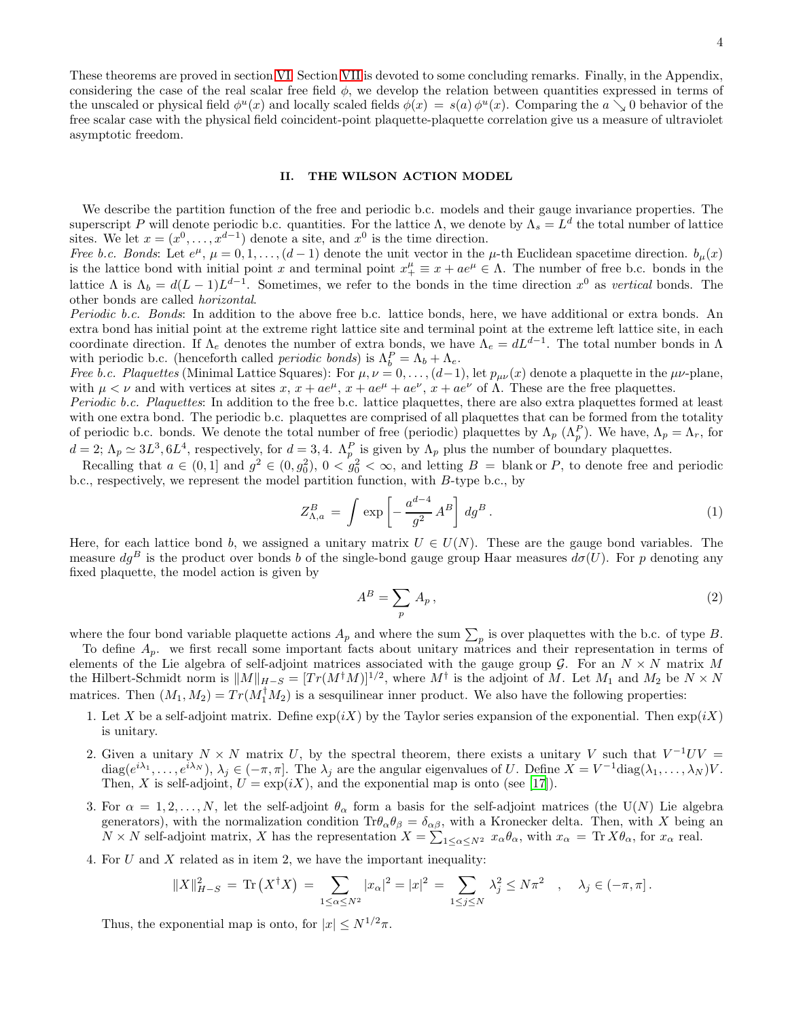These theorems are proved in section [VI.](#page-18-0) Section [VII](#page-21-0) is devoted to some concluding remarks. Finally, in the Appendix, considering the case of the real scalar free field  $\phi$ , we develop the relation between quantities expressed in terms of the unscaled or physical field  $\phi^u(x)$  and locally scaled fields  $\phi(x) = s(a)\phi^u(x)$ . Comparing the  $a \searrow 0$  behavior of the free scalar case with the physical field coincident-point plaquette-plaquette correlation give us a measure of ultraviolet asymptotic freedom.

### <span id="page-3-0"></span>II. THE WILSON ACTION MODEL

We describe the partition function of the free and periodic b.c. models and their gauge invariance properties. The superscript P will denote periodic b.c. quantities. For the lattice  $\Lambda$ , we denote by  $\Lambda_s = L^d$  the total number of lattice sites. We let  $x = (x^0, \ldots, x^{d-1})$  denote a site, and  $x^0$  is the time direction.

Free b.c. Bonds: Let  $e^{\mu}$ ,  $\mu = 0, 1, \ldots, (d-1)$  denote the unit vector in the  $\mu$ -th Euclidean spacetime direction.  $b_{\mu}(x)$ is the lattice bond with initial point x and terminal point  $x_+^{\mu} \equiv x + ae^{\mu} \in \Lambda$ . The number of free b.c. bonds in the lattice  $\Lambda$  is  $\Lambda_b = d(L-1)L^{d-1}$ . Sometimes, we refer to the bonds in the time direction  $x^0$  as vertical bonds. The other bonds are called horizontal.

Periodic b.c. Bonds: In addition to the above free b.c. lattice bonds, here, we have additional or extra bonds. An extra bond has initial point at the extreme right lattice site and terminal point at the extreme left lattice site, in each coordinate direction. If  $\Lambda_e$  denotes the number of extra bonds, we have  $\Lambda_e = dL^{d-1}$ . The total number bonds in  $\Lambda$ with periodic b.c. (henceforth called *periodic bonds*) is  $\Lambda_b^P = \Lambda_b + \Lambda_e$ .

*Free b.c. Plaquettes* (Minimal Lattice Squares): For  $\mu, \nu = 0, \ldots, (d-1)$ , let  $p_{\mu\nu}(x)$  denote a plaquette in the  $\mu\nu$ -plane, with  $\mu < \nu$  and with vertices at sites  $x, x + ae^{\mu}, x + ae^{\mu} + ae^{\nu}, x + ae^{\nu}$  of  $\Lambda$ . These are the free plaquettes.

Periodic b.c. Plaquettes: In addition to the free b.c. lattice plaquettes, there are also extra plaquettes formed at least with one extra bond. The periodic b.c. plaquettes are comprised of all plaquettes that can be formed from the totality of periodic b.c. bonds. We denote the total number of free (periodic) plaquettes by  $\Lambda_p$  ( $\Lambda_p^P$ ). We have,  $\Lambda_p = \Lambda_r$ , for  $d=2$ ;  $\Lambda_p \simeq 3L^3$ ,  $6L^4$ , respectively, for  $d=3,4$ .  $\Lambda_p^P$  is given by  $\Lambda_p$  plus the number of boundary plaquettes.

Recalling that  $a \in (0,1]$  and  $g^2 \in (0,g_0^2)$ ,  $0 < g_0^2 < \infty$ , and letting  $B =$  blank or P, to denote free and periodic b.c., respectively, we represent the model partition function, with B-type b.c., by

<span id="page-3-1"></span>
$$
Z_{\Lambda,a}^B = \int \exp\left[-\frac{a^{d-4}}{g^2}A^B\right]dg^B.
$$
 (1)

Here, for each lattice bond b, we assigned a unitary matrix  $U \in U(N)$ . These are the gauge bond variables. The measure  $dg^B$  is the product over bonds b of the single-bond gauge group Haar measures  $d\sigma(U)$ . For p denoting any fixed plaquette, the model action is given by

<span id="page-3-2"></span>
$$
A^B = \sum_p A_p, \tag{2}
$$

where the four bond variable plaquette actions  $A_p$  and where the sum  $\sum_p$  is over plaquettes with the b.c. of type B.

To define  $A_p$ , we first recall some important facts about unitary matrices and their representation in terms of elements of the Lie algebra of self-adjoint matrices associated with the gauge group  $G$ . For an  $N \times N$  matrix M the Hilbert-Schmidt norm is  $||M||_{\frac{H}{2}} = [Tr(M^{\dagger}M)]^{1/2}$ , where  $M^{\dagger}$  is the adjoint of M. Let  $M_1$  and  $M_2$  be  $N \times N$ matrices. Then  $(M_1, M_2) = Tr(M_1^{\dagger} M_2)$  is a sesquilinear inner product. We also have the following properties:

- 1. Let X be a self-adjoint matrix. Define  $\exp(iX)$  by the Taylor series expansion of the exponential. Then  $\exp(iX)$ is unitary.
- 2. Given a unitary  $N \times N$  matrix U, by the spectral theorem, there exists a unitary V such that  $V^{-1}UV =$  $diag(e^{i\lambda_1}, \ldots, e^{i\lambda_N}), \lambda_j \in (-\pi, \pi]$ . The  $\lambda_j$  are the angular eigenvalues of U. Define  $X = V^{-1} diag(\lambda_1, \ldots, \lambda_N) V$ . Then, X is self-adjoint,  $U = \exp(iX)$ , and the exponential map is onto (see [\[17\]](#page-29-12)).
- 3. For  $\alpha = 1, 2, ..., N$ , let the self-adjoint  $\theta_{\alpha}$  form a basis for the self-adjoint matrices (the U(N) Lie algebra generators), with the normalization condition  $\text{Tr}\theta_\alpha\theta_\beta = \delta_{\alpha\beta}$ , with a Kronecker delta. Then, with X being an  $N \times N$  self-adjoint matrix, X has the representation  $X = \sum_{1 \leq \alpha \leq N^2} x_{\alpha} \theta_{\alpha}$ , with  $x_{\alpha} = \text{Tr } X \theta_{\alpha}$ , for  $x_{\alpha}$  real.
- 4. For  $U$  and  $X$  related as in item 2, we have the important inequality:

$$
||X||_{H-S}^{2} = \text{Tr}(X^{\dagger}X) = \sum_{1 \leq \alpha \leq N^{2}} |x_{\alpha}|^{2} = |x|^{2} = \sum_{1 \leq j \leq N} \lambda_{j}^{2} \leq N\pi^{2} , \quad \lambda_{j} \in (-\pi, \pi].
$$

Thus, the exponential map is onto, for  $|x| \le N^{1/2}\pi$ .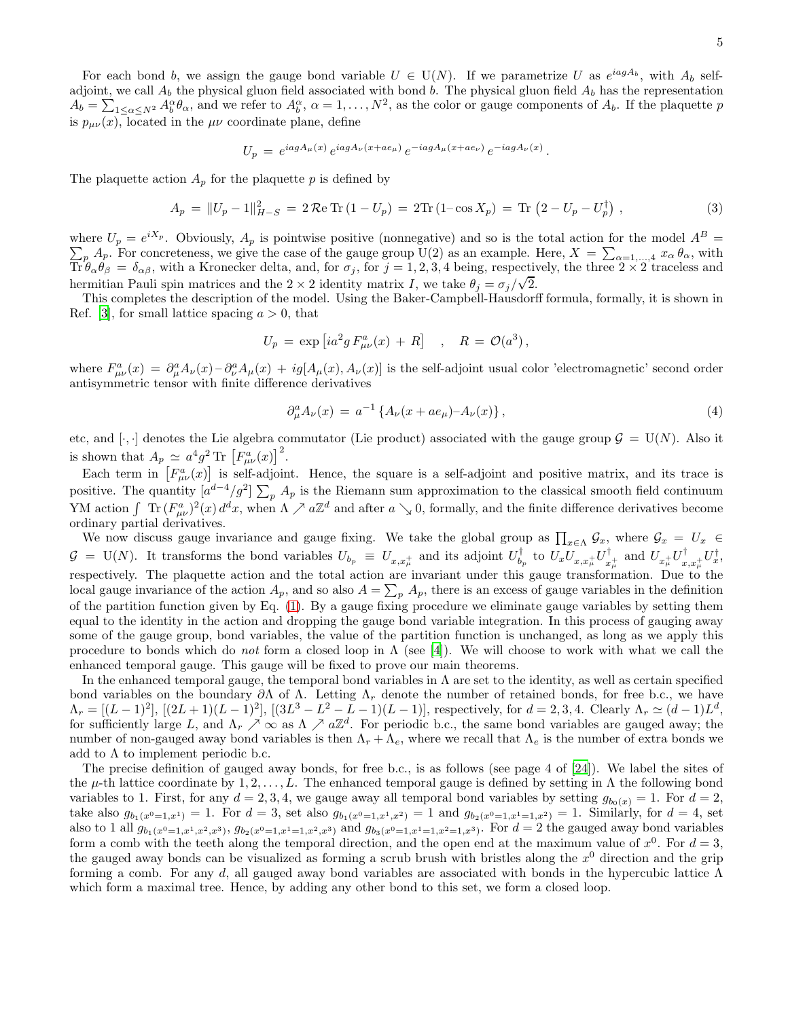For each bond b, we assign the gauge bond variable  $U \in U(N)$ . If we parametrize U as  $e^{iagA_b}$ , with  $A_b$  selfadjoint, we call  $A_b$  the physical gluon field associated with bond b. The physical gluon field  $A_b$  has the representation  $A_b = \sum_{1 \leq \alpha \leq N^2} A_b^{\alpha} \theta_{\alpha}$ , and we refer to  $A_b^{\alpha}$ ,  $\alpha = 1, \ldots, N^2$ , as the color or gauge components of  $A_b$ . If the plaquette p is  $p_{\mu\nu}(x)$ , located in the  $\mu\nu$  coordinate plane, define

$$
U_p = e^{iagA_\mu(x)} e^{iagA_\nu(x+ae_\mu)} e^{-iagA_\mu(x+ae_\nu)} e^{-iagA_\nu(x)}.
$$

The plaquette action  $A_p$  for the plaquette p is defined by

$$
A_p = ||U_p - 1||_{H-S}^2 = 2\Re\operatorname{Tr}\left(1 - U_p\right) = 2\operatorname{Tr}\left(1 - \cos X_p\right) = \operatorname{Tr}\left(2 - U_p - U_p^{\dagger}\right),\tag{3}
$$

where  $U_p = e^{iX_p}$ . Obviously,  $A_p$  is pointwise positive (nonnegative) and so is the total action for the model  $A^B =$  $\sum_{p} A_{p}$ . For concreteness, we give the case of the gauge group U(2) as an example. Here,  $X = \sum_{\alpha=1,\dots,4} x_{\alpha} \theta_{\alpha}$ , with  $\text{Tr}\,\hat{\theta}_{\alpha}\theta_{\beta} = \delta_{\alpha\beta}$ , with a Kronecker delta, and, for  $\sigma_j$ , for  $j = 1, 2, 3, 4$  being, respectively, the three  $2 \times 2$  traceless and hermitian Pauli spin matrices and the  $2 \times 2$  identity matrix I, we take  $\theta_j = \sigma_j/\sqrt{2}$ .

This completes the description of the model. Using the Baker-Campbell-Hausdorff formula, formally, it is shown in Ref. [\[3\]](#page-28-7), for small lattice spacing  $a > 0$ , that

$$
U_p = \exp\left[ia^2g F^a_{\mu\nu}(x) + R\right] \quad , \quad R = \mathcal{O}(a^3) \,,
$$

where  $F_{\mu\nu}^a(x) = \partial_\mu^a A_\nu(x) - \partial_\nu^a A_\mu(x) + ig[A_\mu(x), A_\nu(x)]$  is the self-adjoint usual color 'electromagnetic' second order antisymmetric tensor with finite difference derivatives

<span id="page-4-0"></span>
$$
\partial_{\mu}^{a} A_{\nu}(x) = a^{-1} \left\{ A_{\nu}(x + a e_{\mu}) - A_{\nu}(x) \right\},\tag{4}
$$

etc, and [ $\cdot$ , ] denotes the Lie algebra commutator (Lie product) associated with the gauge group  $\mathcal{G} = U(N)$ . Also it is shown that  $A_p \simeq a^4 g^2$  Tr  $[F^a_{\mu\nu}(x)]^2$ .

Each term in  $[F^a_{\mu\nu}(x)]$  is self-adjoint. Hence, the square is a self-adjoint and positive matrix, and its trace is positive. The quantity  $[a^{d-4}/g^2] \sum_p A_p$  is the Riemann sum approximation to the classical smooth field continuum YM action  $\int \text{Tr} (F_{\mu\nu}^a)^2(x) d^dx$ , when  $\Lambda \nearrow a\mathbb{Z}^d$  and after  $a \searrow 0$ , formally, and the finite difference derivatives become ordinary partial derivatives.

We now discuss gauge invariance and gauge fixing. We take the global group as  $\prod_{x \in \Lambda} \mathcal{G}_x$ , where  $\mathcal{G}_x = U_x \in$  $\mathcal{G} = U(N)$ . It transforms the bond variables  $U_{b_p} \equiv U_{x,x^{\perp}_\mu}$  and its adjoint  $U_{b_p}^{\dagger}$  to  $U_x U_{x,x^{\perp}_\mu} U_x^{\dagger}$  $\frac{1}{x^+_{\mu}}$  and  $U_{x^+_{\mu}}U^\dagger_x$  $_{x,x_\mu^\pm}^{\dagger}U_x^\dagger,$ respectively. The plaquette action and the total action are invariant under this gauge transformation. Due to the local gauge invariance of the action  $A_p$ , and so also  $A = \sum_p A_p$ , there is an excess of gauge variables in the definition of the partition function given by Eq. [\(1\)](#page-3-1). By a gauge fixing procedure we eliminate gauge variables by setting them equal to the identity in the action and dropping the gauge bond variable integration. In this process of gauging away some of the gauge group, bond variables, the value of the partition function is unchanged, as long as we apply this procedure to bonds which do not form a closed loop in  $\Lambda$  (see [\[4](#page-28-1)]). We will choose to work with what we call the enhanced temporal gauge. This gauge will be fixed to prove our main theorems.

In the enhanced temporal gauge, the temporal bond variables in  $\Lambda$  are set to the identity, as well as certain specified bond variables on the boundary  $\partial \Lambda$  of  $\Lambda$ . Letting  $\Lambda_r$  denote the number of retained bonds, for free b.c., we have  $\Lambda_r = \left[ (L-1)^2 \right], \, \left[ (2L+1)(L-1)^2 \right], \, \left[ (3L^3 - L^2 - L - 1)(L-1) \right],$  respectively, for  $d = 2, 3, 4$ . Clearly  $\Lambda_r \simeq (d-1)L^d$ , for sufficiently large L, and  $\Lambda_r \nearrow \infty$  as  $\Lambda \nearrow a\mathbb{Z}^d$ . For periodic b.c., the same bond variables are gauged away; the number of non-gauged away bond variables is then  $\Lambda_r + \Lambda_e$ , where we recall that  $\Lambda_e$  is the number of extra bonds we add to  $\Lambda$  to implement periodic b.c.

The precise definition of gauged away bonds, for free b.c., is as follows (see page 4 of [\[24\]](#page-29-10)). We label the sites of the  $\mu$ -th lattice coordinate by 1, 2, ..., L. The enhanced temporal gauge is defined by setting in  $\Lambda$  the following bond variables to 1. First, for any  $d = 2, 3, 4$ , we gauge away all temporal bond variables by setting  $g_{b_0(x)} = 1$ . For  $d = 2$ , take also  $g_{b_1(x^0=1,x^1)} = 1$ . For  $d = 3$ , set also  $g_{b_1(x^0=1,x^1,x^2)} = 1$  and  $g_{b_2(x^0=1,x^1=1,x^2)} = 1$ . Similarly, for  $d = 4$ , set also to 1 all  $g_{b_1(x^0=1,x^1,x^2,x^3)}$ ,  $g_{b_2(x^0=1,x^1=1,x^2,x^3)}$  and  $g_{b_3(x^0=1,x^1=1,x^2=1,x^3)}$ . For  $d=2$  the gauged away bond variables form a comb with the teeth along the temporal direction, and the open end at the maximum value of  $x^0$ . For  $d=3$ , the gauged away bonds can be visualized as forming a scrub brush with bristles along the  $x<sup>0</sup>$  direction and the grip forming a comb. For any d, all gauged away bond variables are associated with bonds in the hypercubic lattice  $\Lambda$ which form a maximal tree. Hence, by adding any other bond to this set, we form a closed loop.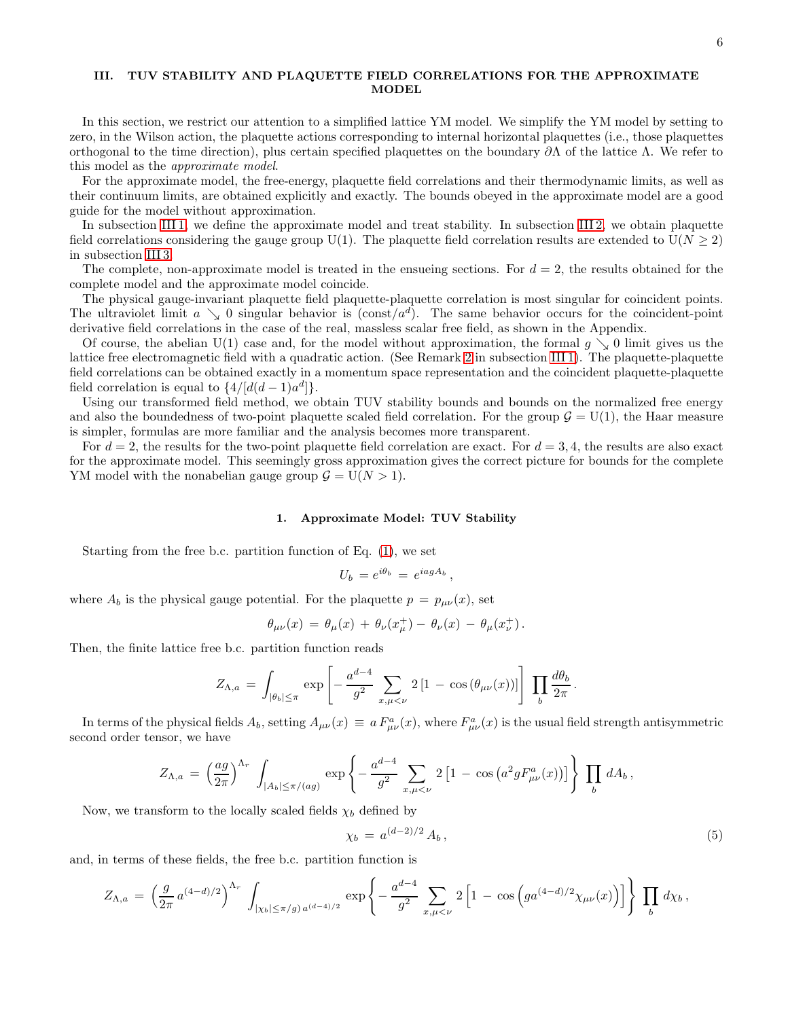# <span id="page-5-0"></span>III. TUV STABILITY AND PLAQUETTE FIELD CORRELATIONS FOR THE APPROXIMATE MODEL

In this section, we restrict our attention to a simplified lattice YM model. We simplify the YM model by setting to zero, in the Wilson action, the plaquette actions corresponding to internal horizontal plaquettes (i.e., those plaquettes orthogonal to the time direction), plus certain specified plaquettes on the boundary ∂Λ of the lattice Λ. We refer to this model as the approximate model.

For the approximate model, the free-energy, plaquette field correlations and their thermodynamic limits, as well as their continuum limits, are obtained explicitly and exactly. The bounds obeyed in the approximate model are a good guide for the model without approximation.

In subsection [III 1,](#page-5-1) we define the approximate model and treat stability. In subsection [III 2,](#page-9-0) we obtain plaquette field correlations considering the gauge group U(1). The plaquette field correlation results are extended to U( $N \ge 2$ ) in subsection [III 3.](#page-12-0)

The complete, non-approximate model is treated in the ensueing sections. For  $d = 2$ , the results obtained for the complete model and the approximate model coincide.

The physical gauge-invariant plaquette field plaquette-plaquette correlation is most singular for coincident points. The ultraviolet limit  $a \searrow 0$  singular behavior is (const/ $a^d$ ). The same behavior occurs for the coincident-point derivative field correlations in the case of the real, massless scalar free field, as shown in the Appendix.

Of course, the abelian U(1) case and, for the model without approximation, the formal  $g \searrow 0$  limit gives us the lattice free electromagnetic field with a quadratic action. (See Remark [2](#page-6-0) in subsection [III 1\)](#page-5-1). The plaquette-plaquette field correlations can be obtained exactly in a momentum space representation and the coincident plaquette-plaquette field correlation is equal to  $\{4/[d(d-1)a^d]\}.$ 

Using our transformed field method, we obtain TUV stability bounds and bounds on the normalized free energy and also the boundedness of two-point plaquette scaled field correlation. For the group  $G = U(1)$ , the Haar measure is simpler, formulas are more familiar and the analysis becomes more transparent.

For  $d = 2$ , the results for the two-point plaquette field correlation are exact. For  $d = 3, 4$ , the results are also exact. for the approximate model. This seemingly gross approximation gives the correct picture for bounds for the complete YM model with the nonabelian gauge group  $G = U(N > 1)$ .

### <span id="page-5-1"></span>1. Approximate Model: TUV Stability

Starting from the free b.c. partition function of Eq. [\(1\)](#page-3-1), we set

$$
U_b = e^{i\theta_b} = e^{iagA_b},
$$

where  $A_b$  is the physical gauge potential. For the plaquette  $p = p_{\mu\nu}(x)$ , set

$$
\theta_{\mu\nu}(x) = \theta_{\mu}(x) + \theta_{\nu}(x_{\mu}^{+}) - \theta_{\nu}(x) - \theta_{\mu}(x_{\nu}^{+})
$$

Then, the finite lattice free b.c. partition function reads

$$
Z_{\Lambda,a} = \int_{|\theta_b| \leq \pi} \exp \left[ -\frac{a^{d-4}}{g^2} \sum_{x,\mu < \nu} 2 \left[ 1 - \cos \left( \theta_{\mu\nu}(x) \right) \right] \right] \prod_b \frac{d\theta_b}{2\pi}.
$$

In terms of the physical fields  $A_b$ , setting  $A_{\mu\nu}(x) \equiv a F_{\mu\nu}^a(x)$ , where  $F_{\mu\nu}^a(x)$  is the usual field strength antisymmetric second order tensor, we have

$$
Z_{\Lambda,a} = \left(\frac{ag}{2\pi}\right)^{\Lambda_r} \int_{|A_b| \le \pi/(ag)} \exp\left\{-\frac{a^{d-4}}{g^2} \sum_{x,\mu < \nu} 2\left[1 - \cos\left(a^2 g F_{\mu\nu}^a(x)\right)\right]\right\} \prod_b dA_b,
$$

Now, we transform to the locally scaled fields  $\chi_b$  defined by

<span id="page-5-2"></span>
$$
\chi_b = a^{(d-2)/2} A_b, \tag{5}
$$

and, in terms of these fields, the free b.c. partition function is

$$
Z_{\Lambda,a} = \left(\frac{g}{2\pi} a^{(4-d)/2}\right)^{\Lambda_r} \int_{|\chi_b| \leq \pi/g} \exp\left\{-\frac{a^{d-4}}{g^2} \sum_{x,\mu < \nu} 2\left[1 - \cos\left(g a^{(4-d)/2} \chi_{\mu\nu}(x)\right)\right]\right\} \prod_b d\chi_b,
$$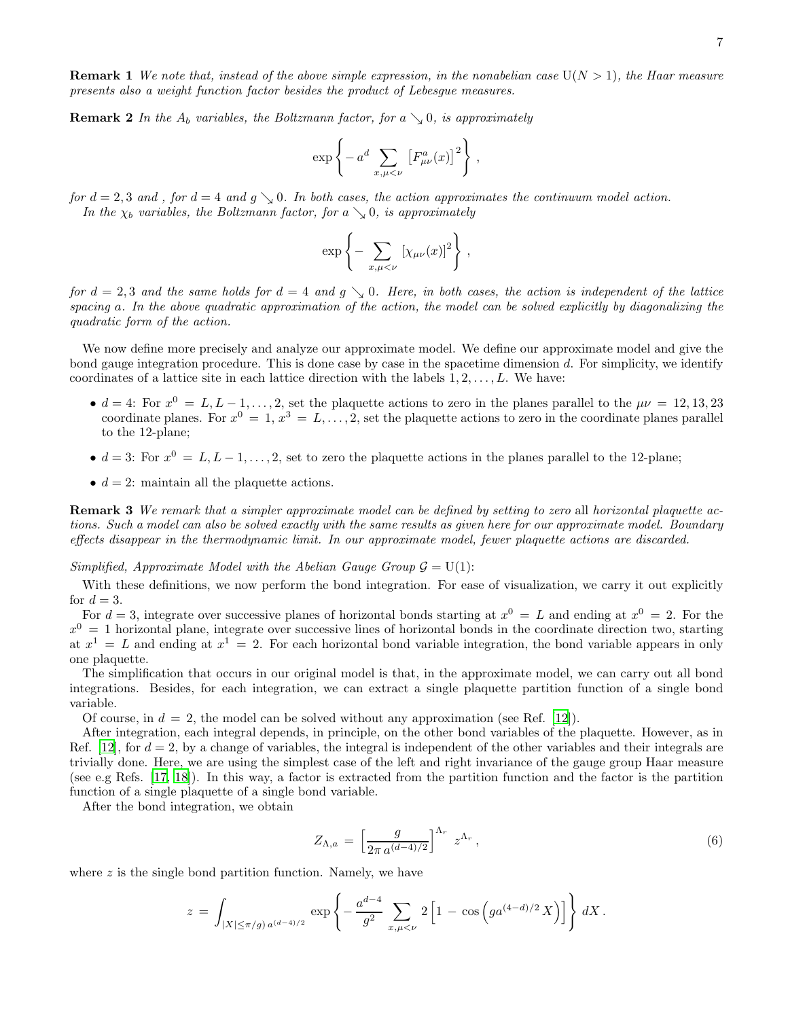**Remark 1** We note that, instead of the above simple expression, in the nonabelian case  $U(N > 1)$ , the Haar measure presents also a weight function factor besides the product of Lebesgue measures.

<span id="page-6-0"></span>**Remark 2** In the  $A_b$  variables, the Boltzmann factor, for a  $\setminus$  0, is approximately

$$
\exp\left\{-a^d\sum_{x,\mu<\nu}\left[F^a_{\mu\nu}(x)\right]^2\right\},\,
$$

for  $d = 2, 3$  and, for  $d = 4$  and  $g \searrow 0$ . In both cases, the action approximates the continuum model action. In the  $\chi_b$  variables, the Boltzmann factor, for a  $\searrow$  0, is approximately

$$
\exp\left\{-\sum_{x,\mu<\nu}[\chi_{\mu\nu}(x)]^2\right\},\,
$$

for  $d = 2, 3$  and the same holds for  $d = 4$  and  $g \searrow 0$ . Here, in both cases, the action is independent of the lattice spacing a. In the above quadratic approximation of the action, the model can be solved explicitly by diagonalizing the quadratic form of the action.

We now define more precisely and analyze our approximate model. We define our approximate model and give the bond gauge integration procedure. This is done case by case in the spacetime dimension d. For simplicity, we identify coordinates of a lattice site in each lattice direction with the labels  $1, 2, \ldots, L$ . We have:

- $\bullet$   $d = 4$ : For  $x^0 = L, L-1, \ldots, 2$ , set the plaquette actions to zero in the planes parallel to the  $\mu \nu = 12, 13, 23$ coordinate planes. For  $x^0 = 1, x^3 = L, \ldots, 2$ , set the plaquette actions to zero in the coordinate planes parallel to the 12-plane;
- $d = 3$ : For  $x^0 = L, L 1, \ldots, 2$ , set to zero the plaquette actions in the planes parallel to the 12-plane;
- $d = 2$ : maintain all the plaquette actions.

**Remark 3** We remark that a simpler approximate model can be defined by setting to zero all horizontal plaquette actions. Such a model can also be solved exactly with the same results as given here for our approximate model. Boundary effects disappear in the thermodynamic limit. In our approximate model, fewer plaquette actions are discarded.

Simplified, Approximate Model with the Abelian Gauge Group  $\mathcal{G} = U(1)$ :

With these definitions, we now perform the bond integration. For ease of visualization, we carry it out explicitly for  $d=3$ .

For  $d=3$ , integrate over successive planes of horizontal bonds starting at  $x^0 = L$  and ending at  $x^0 = 2$ . For the  $x^0 = 1$  horizontal plane, integrate over successive lines of horizontal bonds in the coordinate direction two, starting at  $x^1 = L$  and ending at  $x^1 = 2$ . For each horizontal bond variable integration, the bond variable appears in only one plaquette.

The simplification that occurs in our original model is that, in the approximate model, we can carry out all bond integrations. Besides, for each integration, we can extract a single plaquette partition function of a single bond variable.

Of course, in  $d = 2$ , the model can be solved without any approximation (see Ref. [\[12\]](#page-29-0)).

After integration, each integral depends, in principle, on the other bond variables of the plaquette. However, as in Ref. [\[12\]](#page-29-0), for  $d = 2$ , by a change of variables, the integral is independent of the other variables and their integrals are trivially done. Here, we are using the simplest case of the left and right invariance of the gauge group Haar measure (see e.g Refs. [\[17,](#page-29-12) [18\]](#page-29-5)). In this way, a factor is extracted from the partition function and the factor is the partition function of a single plaquette of a single bond variable.

After the bond integration, we obtain

<span id="page-6-1"></span>
$$
Z_{\Lambda,a} = \left[\frac{g}{2\pi a^{(d-4)/2}}\right]^{\Lambda_r} z^{\Lambda_r},\qquad(6)
$$

where  $z$  is the single bond partition function. Namely, we have

$$
z = \int_{|X| \le \pi/g} \exp\left\{-\frac{a^{d-4}}{g^2} \sum_{x,\mu < \nu} 2\left[1 - \cos\left(g a^{(4-d)/2} X\right)\right]\right\} dX.
$$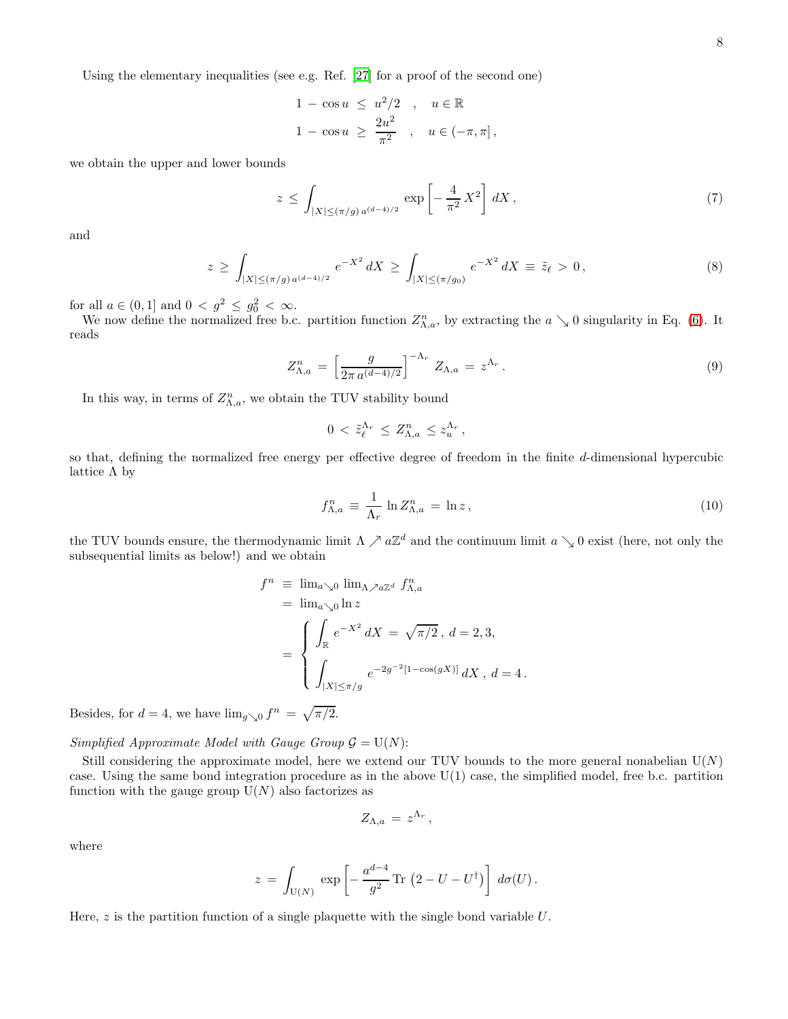Using the elementary inequalities (see e.g. Ref. [\[27\]](#page-29-13) for a proof of the second one)

$$
1 - \cos u \leq u^2/2, \quad u \in \mathbb{R}
$$
  

$$
1 - \cos u \geq \frac{2u^2}{\pi^2}, \quad u \in (-\pi, \pi],
$$

we obtain the upper and lower bounds

$$
z \le \int_{|X| \le (\pi/g) a^{(d-4)/2}} \exp\left[-\frac{4}{\pi^2} X^2\right] dX , \tag{7}
$$

and

$$
z \ge \int_{|X| \le (\pi/g) a^{(d-4)/2}} e^{-X^2} dX \ge \int_{|X| \le (\pi/g_0)} e^{-X^2} dX \equiv \tilde{z}_\ell > 0,
$$
\n(8)

for all  $a \in (0, 1]$  and  $0 < g^2 \leq g_0^2 < \infty$ .

We now define the normalized free b.c. partition function  $Z_{\Lambda,a}^n$ , by extracting the  $a \searrow 0$  singularity in Eq. [\(6\)](#page-6-1). It reads

$$
Z_{\Lambda,a}^n = \left[\frac{g}{2\pi a^{(d-4)/2}}\right]^{-\Lambda_r} Z_{\Lambda,a} = z^{\Lambda_r}.
$$
 (9)

In this way, in terms of  $Z_{\Lambda,a}^n$ , we obtain the TUV stability bound

$$
0 < \tilde{z}_{\ell}^{\Lambda_r} \leq Z_{\Lambda,a}^n \leq z_u^{\Lambda_r},
$$

so that, defining the normalized free energy per effective degree of freedom in the finite d-dimensional hypercubic lattice  $\Lambda$  by

$$
f_{\Lambda,a}^n \equiv \frac{1}{\Lambda_r} \ln Z_{\Lambda,a}^n = \ln z \,, \tag{10}
$$

the TUV bounds ensure, the thermodynamic limit  $\Lambda \nearrow a\mathbb{Z}^d$  and the continuum limit  $a \searrow 0$  exist (here, not only the subsequential limits as below!) and we obtain

$$
f^{n} \equiv \lim_{a \searrow 0} \lim_{\Lambda \nearrow a \mathbb{Z}^{d}} f_{\Lambda, a}^{n}
$$
  
=  $\lim_{a \searrow 0} \ln z$   
= 
$$
\begin{cases} \int_{\mathbb{R}} e^{-X^{2}} dX = \sqrt{\pi/2}, d = 2, 3, \\ \int_{|X| \le \pi/g} e^{-2g^{-2}[1 - \cos(gX)]} dX, d = 4. \end{cases}
$$

Besides, for  $d = 4$ , we have  $\lim_{g \searrow 0} f^n = \sqrt{\pi/2}$ .

Simplified Approximate Model with Gauge Group  $\mathcal{G} = U(N)$ :

Still considering the approximate model, here we extend our TUV bounds to the more general nonabelian  $U(N)$ case. Using the same bond integration procedure as in the above  $U(1)$  case, the simplified model, free b.c. partition function with the gauge group  $U(N)$  also factorizes as

$$
Z_{\Lambda,a} \,=\, z^{\Lambda_r}\,,
$$

where

$$
z = \int_{U(N)} \exp \left[ -\frac{a^{d-4}}{g^2} \text{Tr} \left( 2 - U - U^{\dagger} \right) \right] d\sigma(U).
$$

Here,  $z$  is the partition function of a single plaquette with the single bond variable  $U$ .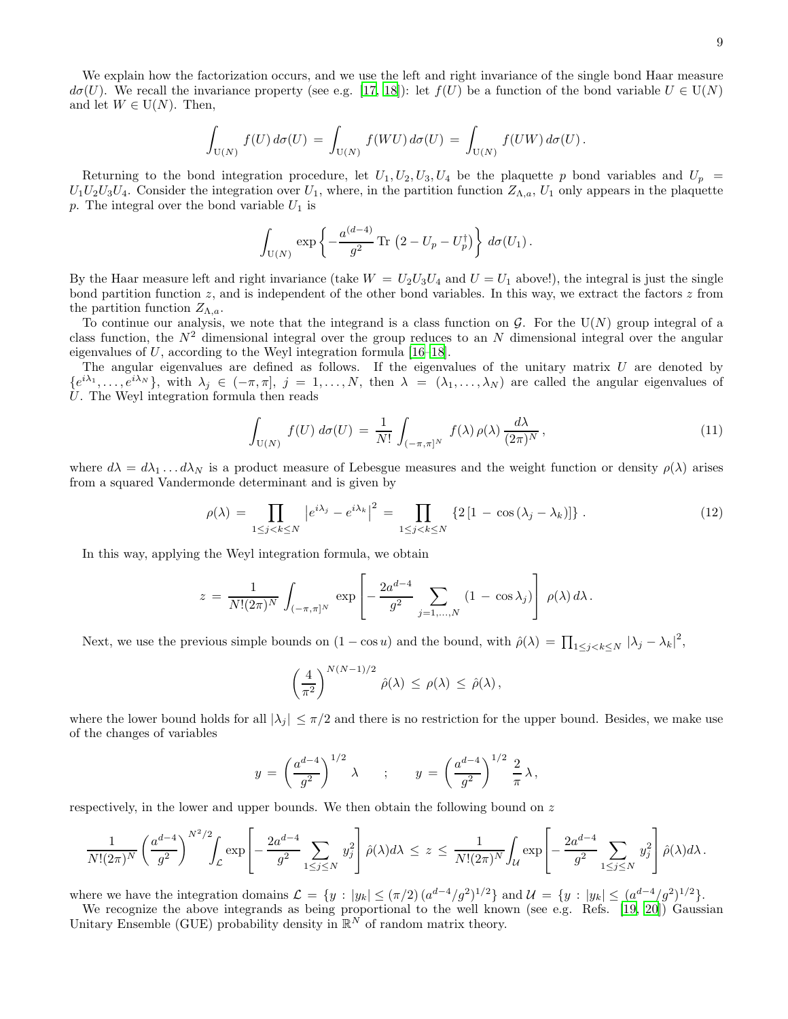We explain how the factorization occurs, and we use the left and right invariance of the single bond Haar measure  $d\sigma(U)$ . We recall the invariance property (see e.g. [\[17](#page-29-12), [18\]](#page-29-5)): let  $f(U)$  be a function of the bond variable  $U \in U(N)$ and let  $W \in U(N)$ . Then,

$$
\int_{\mathrm{U}(N)} f(U) d\sigma(U) = \int_{\mathrm{U}(N)} f(WU) d\sigma(U) = \int_{\mathrm{U}(N)} f(UW) d\sigma(U).
$$

Returning to the bond integration procedure, let  $U_1, U_2, U_3, U_4$  be the plaquette p bond variables and  $U_p$  $U_1U_2U_3U_4$ . Consider the integration over  $U_1$ , where, in the partition function  $Z_{\Lambda,a}$ ,  $U_1$  only appears in the plaquette p. The integral over the bond variable  $U_1$  is

$$
\int_{\mathrm{U}(N)} \exp \left\{-\frac{a^{(d-4)}}{g^2} \mathrm{Tr} \left(2 - U_p - U_p^{\dagger} \right) \right\} d\sigma(U_1).
$$

By the Haar measure left and right invariance (take  $W = U_2 U_3 U_4$  and  $U = U_1$  above!), the integral is just the single bond partition function  $z$ , and is independent of the other bond variables. In this way, we extract the factors  $z$  from the partition function  $Z_{\Lambda,a}$ .

To continue our analysis, we note that the integrand is a class function on  $G$ . For the U(N) group integral of a class function, the  $N^2$  dimensional integral over the group reduces to an N dimensional integral over the angular eigenvalues of U, according to the Weyl integration formula  $[16-18]$ .

The angular eigenvalues are defined as follows. If the eigenvalues of the unitary matrix  $U$  are denoted by  ${e^{i\lambda_1}, \ldots, e^{i\lambda_N}}$ , with  $\lambda_j \in (-\pi, \pi], j = 1, \ldots, N$ , then  $\lambda = (\lambda_1, \ldots, \lambda_N)$  are called the angular eigenvalues of U. The Weyl integration formula then reads

<span id="page-8-1"></span>
$$
\int_{\mathcal{U}(N)} f(U) d\sigma(U) = \frac{1}{N!} \int_{(-\pi,\pi]^N} f(\lambda) \rho(\lambda) \frac{d\lambda}{(2\pi)^N},
$$
\n(11)

where  $d\lambda = d\lambda_1 \dots d\lambda_N$  is a product measure of Lebesgue measures and the weight function or density  $\rho(\lambda)$  arises from a squared Vandermonde determinant and is given by

<span id="page-8-0"></span>
$$
\rho(\lambda) = \prod_{1 \le j < k \le N} \left| e^{i\lambda_j} - e^{i\lambda_k} \right|^2 = \prod_{1 \le j < k \le N} \left\{ 2 \left[ 1 - \cos(\lambda_j - \lambda_k) \right] \right\} . \tag{12}
$$

In this way, applying the Weyl integration formula, we obtain

$$
z = \frac{1}{N!(2\pi)^N} \int_{(-\pi,\pi]^N} \exp \left[ -\frac{2a^{d-4}}{g^2} \sum_{j=1,...,N} (1 - \cos \lambda_j) \right] \rho(\lambda) d\lambda.
$$

Next, we use the previous simple bounds on  $(1 - \cos u)$  and the bound, with  $\hat{\rho}(\lambda) = \prod_{1 \leq j < k \leq N} |\lambda_j - \lambda_k|^2$ ,

$$
\left(\frac{4}{\pi^2}\right)^{N(N-1)/2} \hat{\rho}(\lambda) \leq \rho(\lambda) \leq \hat{\rho}(\lambda),
$$

where the lower bound holds for all  $|\lambda_j| \leq \pi/2$  and there is no restriction for the upper bound. Besides, we make use of the changes of variables

$$
y = \left(\frac{a^{d-4}}{g^2}\right)^{1/2} \lambda
$$
 ;  $y = \left(\frac{a^{d-4}}{g^2}\right)^{1/2} \frac{2}{\pi} \lambda$ ,

respectively, in the lower and upper bounds. We then obtain the following bound on z

$$
\frac{1}{N!(2\pi)^N} \left(\frac{a^{d-4}}{g^2}\right)^{N^2/2} \int_{\mathcal{L}} \exp\left[-\frac{2a^{d-4}}{g^2} \sum_{1 \le j \le N} y_j^2\right] \hat{\rho}(\lambda) d\lambda \le z \le \frac{1}{N!(2\pi)^N} \int_{\mathcal{U}} \exp\left[-\frac{2a^{d-4}}{g^2} \sum_{1 \le j \le N} y_j^2\right] \hat{\rho}(\lambda) d\lambda.
$$

where we have the integration domains  $\mathcal{L} = \{y : |y_k| \leq (\pi/2) (a^{d-4}/g^2)^{1/2}\}\$  and  $\mathcal{U} = \{y : |y_k| \leq (a^{d-4}/g^2)^{1/2}\}\$ .

We recognize the above integrands as being proportional to the well known (see e.g. Refs. [\[19,](#page-29-6) [20\]](#page-29-7)) Gaussian Unitary Ensemble (GUE) probability density in  $\mathbb{R}^N$  of random matrix theory.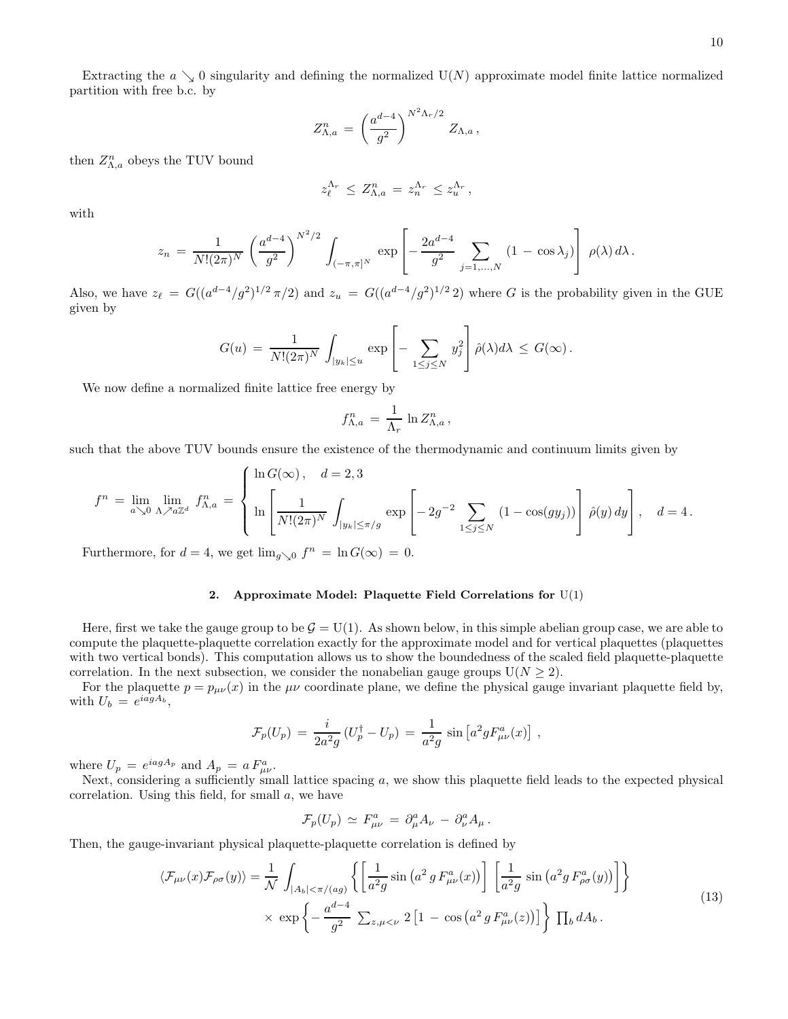Extracting the  $a \searrow 0$  singularity and defining the normalized  $U(N)$  approximate model finite lattice normalized partition with free b.c. by

$$
Z_{\Lambda,a}^n = \left(\frac{a^{d-4}}{g^2}\right)^{N^2\Lambda_r/2} Z_{\Lambda,a},
$$

then  $Z_{\Lambda,a}^n$  obeys the TUV bound

$$
z_{\ell}^{\Lambda_r} \leq Z_{\Lambda,a}^n = z_n^{\Lambda_r} \leq z_u^{\Lambda_r},
$$

with

$$
z_n = \frac{1}{N!(2\pi)^N} \left(\frac{a^{d-4}}{g^2}\right)^{N^2/2} \int_{(-\pi,\pi]^N} \exp\left[-\frac{2a^{d-4}}{g^2} \sum_{j=1,\dots,N} (1 - \cos\lambda_j)\right] \rho(\lambda) d\lambda.
$$

Also, we have  $z_{\ell} = G((a^{d-4}/g^2)^{1/2} \pi/2)$  and  $z_u = G((a^{d-4}/g^2)^{1/2} 2)$  where G is the probability given in the GUE given by

$$
G(u) = \frac{1}{N!(2\pi)^N} \int_{|y_k| \le u} \exp \left[ - \sum_{1 \le j \le N} y_j^2 \right] \hat{\rho}(\lambda) d\lambda \le G(\infty).
$$

We now define a normalized finite lattice free energy by

$$
f_{\Lambda,a}^n = \frac{1}{\Lambda_r} \ln Z_{\Lambda,a}^n,
$$

such that the above TUV bounds ensure the existence of the thermodynamic and continuum limits given by

$$
f^{n} = \lim_{a \searrow 0} \lim_{\Lambda \nearrow a \mathbb{Z}^{d}} f_{\Lambda, a}^{n} = \left\{ \ln \left( \frac{1}{N!(2\pi)^{N}} \int_{|y_{k}| \leq \pi/g} \exp \left[ -2g^{-2} \sum_{1 \leq j \leq N} (1 - \cos(gy_{j})) \right] \hat{\rho}(y) dy \right], \quad d = 4.
$$

Furthermore, for  $d = 4$ , we get  $\lim_{g \searrow 0} f^n = \ln G(\infty) = 0$ .

# <span id="page-9-0"></span>2. Approximate Model: Plaquette Field Correlations for  $U(1)$

Here, first we take the gauge group to be  $\mathcal{G} = U(1)$ . As shown below, in this simple abelian group case, we are able to compute the plaquette-plaquette correlation exactly for the approximate model and for vertical plaquettes (plaquettes with two vertical bonds). This computation allows us to show the boundedness of the scaled field plaquette-plaquette correlation. In the next subsection, we consider the nonabelian gauge groups  $U(N \geq 2)$ .

For the plaquette  $p = p_{\mu\nu}(x)$  in the  $\mu\nu$  coordinate plane, we define the physical gauge invariant plaquette field by, with  $U_b = e^{iagA_b}$ ,

$$
\mathcal{F}_p(U_p) = \frac{i}{2a^2g} (U_p^{\dagger} - U_p) = \frac{1}{a^2g} \sin \left[ a^2g F_{\mu\nu}^a(x) \right],
$$

where  $U_p = e^{iagA_p}$  and  $A_p = a F^a_{\mu\nu}$ .

Next, considering a sufficiently small lattice spacing  $a$ , we show this plaquette field leads to the expected physical correlation. Using this field, for small  $a$ , we have

$$
\mathcal{F}_p(U_p) \simeq F^a_{\mu\nu} = \partial^a_\mu A_\nu - \partial^a_\nu A_\mu.
$$

Then, the gauge-invariant physical plaquette-plaquette correlation is defined by

<span id="page-9-1"></span>
$$
\langle \mathcal{F}_{\mu\nu}(x)\mathcal{F}_{\rho\sigma}(y)\rangle = \frac{1}{\mathcal{N}}\int_{|A_b|<\pi/(ag)} \left\{ \left[ \frac{1}{a^2g}\sin\left(a^2g F_{\mu\nu}^a(x)\right) \right] \left[ \frac{1}{a^2g}\sin\left(a^2g F_{\rho\sigma}^a(y)\right) \right] \right\}
$$
  
×  $\exp\left\{ -\frac{a^{d-4}}{g^2}\sum_{z,\mu<\nu}2\left[1-\cos\left(a^2g F_{\mu\nu}^a(z)\right) \right] \right\} \prod_b dA_b.$  (13)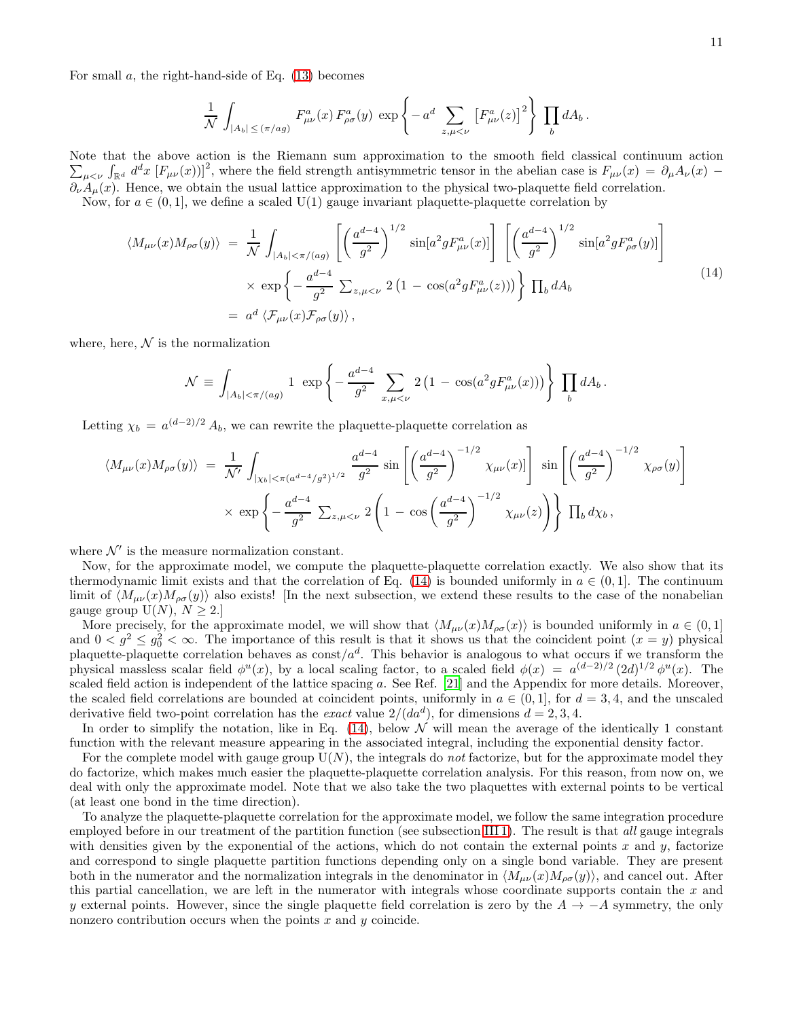For small  $a$ , the right-hand-side of Eq.  $(13)$  becomes

$$
\frac{1}{\mathcal{N}} \int_{|A_b| \leq (\pi/ag)} F^a_{\mu\nu}(x) F^a_{\rho\sigma}(y) \exp \left\{-a^d \sum_{z,\mu < \nu} \left[F^a_{\mu\nu}(z)\right]^2\right\} \prod_b dA_b.
$$

Note that the above action is the Riemann sum approximation to the s mooth field classical continuum action  $\sum_{\mu \leq \nu} \int_{\mathbb{R}^d} d^d x \, [F_{\mu\nu}(x)]^2$ , where the field strength antisymmetric tensor in the abelian case is  $F_{\mu\nu}(x) = \partial_\mu A_\nu(x) \partial_{\nu}A_{\mu}(x)$ . Hence, we obtain the usual lattice approximation to the physical two-plaquette field correlation.

Now, for  $a \in (0, 1]$ , we define a scaled U(1) gauge invariant plaquette-plaquette correlation by

<span id="page-10-0"></span>
$$
\langle M_{\mu\nu}(x)M_{\rho\sigma}(y)\rangle = \frac{1}{\mathcal{N}}\int_{|A_b|<\pi/(ag)} \left[ \left(\frac{a^{d-4}}{g^2}\right)^{1/2}\sin[a^2gF_{\mu\nu}^a(x)] \right] \left[ \left(\frac{a^{d-4}}{g^2}\right)^{1/2}\sin[a^2gF_{\rho\sigma}^a(y)] \right]
$$

$$
\times \exp\left\{-\frac{a^{d-4}}{g^2}\sum_{z,\mu<\nu}2\left(1-\cos(a^2gF_{\mu\nu}^a(z))\right)\right\} \prod_b dA_b
$$

$$
= a^d \langle \mathcal{F}_{\mu\nu}(x)\mathcal{F}_{\rho\sigma}(y)\rangle,
$$
(14)

where, here,  $\mathcal N$  is the normalization

$$
\mathcal{N} \equiv \int_{|A_b| < \pi/(ag)} 1 \exp \left\{ -\frac{a^{d-4}}{g^2} \sum_{x,\mu < \nu} 2 \left( 1 - \cos(a^2 g F_{\mu\nu}^a(x)) \right) \right\} \prod_b dA_b \,.
$$

Letting  $\chi_b = a^{(d-2)/2} A_b$ , we can rewrite the plaquette-plaquette correlation as

$$
\langle M_{\mu\nu}(x)M_{\rho\sigma}(y)\rangle = \frac{1}{\mathcal{N}'} \int_{|\chi_b| < \pi (a^{d-4}/g^2)^{1/2}} \frac{a^{d-4}}{g^2} \sin\left[\left(\frac{a^{d-4}}{g^2}\right)^{-1/2} \chi_{\mu\nu}(x)\right] \sin\left[\left(\frac{a^{d-4}}{g^2}\right)^{-1/2} \chi_{\rho\sigma}(y)\right]
$$
  
 
$$
\times \exp\left\{-\frac{a^{d-4}}{g^2} \sum_{z,\mu < \nu} 2\left(1 - \cos\left(\frac{a^{d-4}}{g^2}\right)^{-1/2} \chi_{\mu\nu}(z)\right)\right\} \prod_b d\chi_b,
$$

where  $\mathcal{N}'$  is the measure normalization constant.

Now, for the approximate model, we compute the plaquette-plaquette correlation exactly. We also show that its thermodynamic limit exists and that the correlation of Eq. [\(14\)](#page-10-0) is bounded uniformly in  $a \in (0,1]$ . The continuum limit of  $\langle M_{\mu\nu}(x)M_{\rho\sigma}(y)\rangle$  also exists! [In the next subsection, we extend these results to the case of the nonabelian gauge group  $U(N)$ ,  $N \geq 2$ .

More precisely, for the approximate model, we will show that  $\langle M_{\mu\nu}(x)M_{\rho\sigma}(x)\rangle$  is bounded uniformly in  $a \in (0, 1]$ and  $0 < g^2 \leq g_0^2 < \infty$ . The importance of this result is that it shows us that the coincident point  $(x = y)$  physical plaquette-plaquette correlation behaves as  $\text{const}/a^d$ . This behavior is analogous to what occurs if we transform the physical massless scalar field  $\phi^u(x)$ , by a local scaling factor, to a scaled field  $\phi(x) = a^{(d-2)/2} (2d)^{1/2} \phi^u(x)$ . The scaled field action is independent of the lattice spacing a. See Ref. [\[21](#page-29-8)] and the Appendix for more details. Moreover, the scaled field correlations are bounded at coincident points, uniformly in  $a \in (0,1]$ , for  $d = 3,4$ , and the unscaled derivative field two-point correlation has the *exact* value  $2/(da^d)$ , for dimensions  $d = 2, 3, 4$ .

In order to simplify the notation, like in Eq.  $(14)$ , below  $\mathcal N$  will mean the average of the identically 1 constant function with the relevant measure appearing in the associated integral, including the exponential density factor.

For the complete model with gauge group  $U(N)$ , the integrals do *not* factorize, but for the approximate model they do factorize, which makes much easier the plaquette-plaquette correlation analysis. For this reason, from now on, we deal with only the approximate model. Note that we also take the two plaquettes with external points to be vertical (at least one bond in the time direction).

To analyze the plaquette-plaquette correlation for the approximate model, we follow the same integration procedure employed before in our treatment of the partition function (see subsection [III 1\)](#page-5-1). The result is that all gauge integrals with densities given by the exponential of the actions, which do not contain the external points x and y, factorize and correspond to single plaquette partition functions depending only on a single bond variable. They are present both in the numerator and the normalization integrals in the denominator in  $\langle M_{\mu\nu}(x)M_{\rho\sigma}(y)\rangle$ , and cancel out. After this partial cancellation, we are left in the numerator with integrals whose coordinate supports contain the  $x$  and y external points. However, since the single plaquette field correlation is zero by the  $A \rightarrow -A$  symmetry, the only nonzero contribution occurs when the points  $x$  and  $y$  coincide.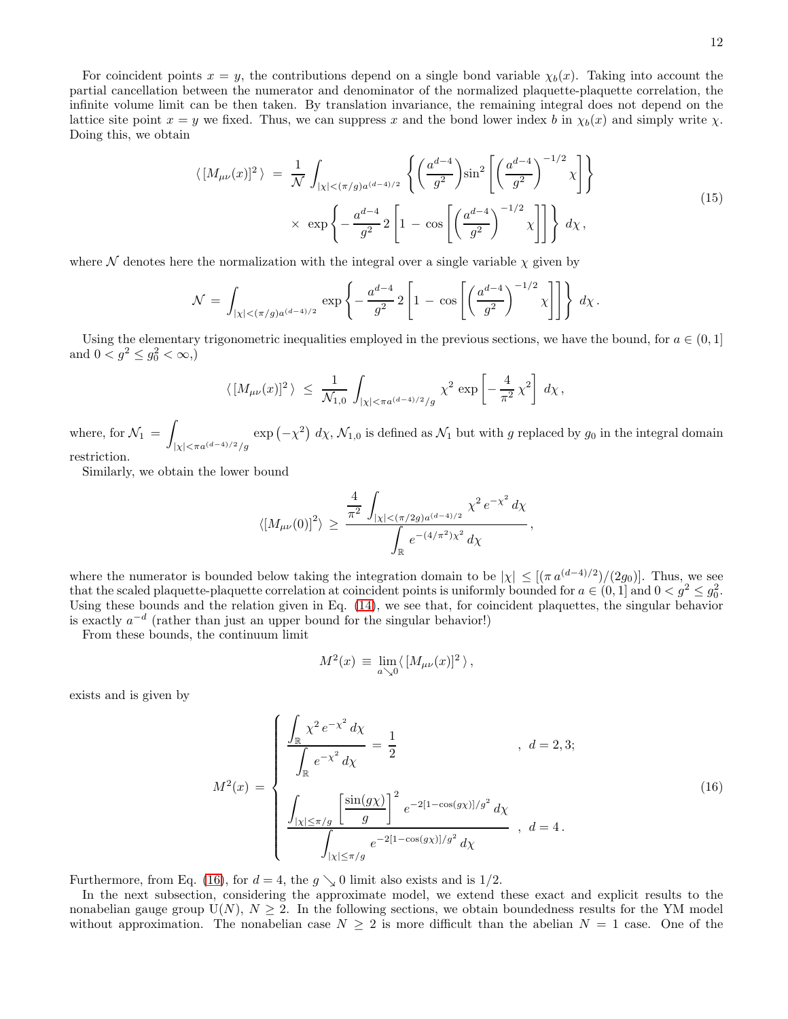For coincident points  $x = y$ , the contributions depend on a single bond variable  $\chi_b(x)$ . Taking into account the partial cancellation between the numerator and denominator of the normalized plaquette-plaquette correlation, the infinite volume limit can be then taken. By translation invariance, the remaining integral does not depend on the lattice site point  $x = y$  we fixed. Thus, we can suppress x and the bond lower index b in  $\chi_b(x)$  and simply write  $\chi$ . Doing this, we obtain

$$
\langle [M_{\mu\nu}(x)]^2 \rangle = \frac{1}{\mathcal{N}} \int_{|\chi| < (\pi/g)a^{(d-4)/2}} \left\{ \left( \frac{a^{d-4}}{g^2} \right) \sin^2 \left[ \left( \frac{a^{d-4}}{g^2} \right)^{-1/2} \chi \right] \right\} \times \exp \left\{ -\frac{a^{d-4}}{g^2} 2 \left[ 1 - \cos \left[ \left( \frac{a^{d-4}}{g^2} \right)^{-1/2} \chi \right] \right] \right\} d\chi,
$$
\n(15)

where  $\mathcal N$  denotes here the normalization with the integral over a single variable  $\chi$  given by

$$
\mathcal{N} = \int_{|\chi| < (\pi/g)a^{(d-4)/2}} \exp \left\{ -\frac{a^{d-4}}{g^2} 2 \left[ 1 - \cos \left[ \left( \frac{a^{d-4}}{g^2} \right)^{-1/2} \chi \right] \right] \right\} d\chi \,.
$$

Using the elementary trigonometric inequalities employed in the previous sections, we have the bound, for  $a \in (0,1]$ and  $0 < g^2 \leq g_0^2 < \infty$ ,)

$$
\langle \,[M_{\mu\nu}(x)]^2\,\rangle \;\leq\; \frac{1}{\mathcal{N}_{1,0}}\,\int_{|\chi|<\pi a^{(d-4)/2}/g}\, \chi^2\,\exp\left[-\,\frac{4}{\pi^2}\,\chi^2\right]\,d\chi\,,
$$

where, for  $\mathcal{N}_1 =$  $|\chi| < \pi a^{(d-4)/2}/g$  $\exp(-\chi^2) d\chi$ ,  $\mathcal{N}_{1,0}$  is defined as  $\mathcal{N}_1$  but with g replaced by  $g_0$  in the integral domain restriction.

Similarly, we obtain the lower bound

$$
\langle [M_{\mu\nu}(0)]^2 \rangle \geq \frac{\frac{4}{\pi^2} \int_{|\chi| < (\pi/2g) a^{(d-4)/2}} \chi^2 e^{-\chi^2} d\chi}{\int_{\mathbb{R}} e^{-(4/\pi^2)\chi^2} d\chi},
$$

where the numerator is bounded below taking the integration domain to be  $|\chi| \leq [(\pi a^{(d-4)/2})/(2g_0)]$ . Thus, we see that the scaled plaquette-plaquette correlation at coincident points is uniformly bounded for  $a \in (0,1]$  and  $0 < g^2 \leq g_0^2$ . Using these bounds and the relation given in Eq. [\(14\)](#page-10-0), we see that, for coincident plaquettes, the singular behavior is exactly  $a^{-d}$  (rather than just an upper bound for the singular behavior!)

From these bounds, the continuum limit

$$
M^2(x) \, \equiv \, \lim_{a \searrow 0} \langle \, [M_{\mu\nu}(x)]^2 \, \rangle \, ,
$$

exists and is given by

<span id="page-11-0"></span>
$$
M^{2}(x) = \begin{cases} \frac{\int_{\mathbb{R}} \chi^{2} e^{-\chi^{2}} d\chi}{\int_{\mathbb{R}} e^{-\chi^{2}} d\chi} = \frac{1}{2} & , d = 2, 3; \\ \frac{\int_{|\chi| \le \pi/g} \left[\frac{\sin(g\chi)}{g}\right]^{2} e^{-2[1-\cos(g\chi)]/g^{2}} d\chi}{\int_{|\chi| \le \pi/g} e^{-2[1-\cos(g\chi)]/g^{2}} d\chi} & , d = 4. \end{cases}
$$
(16)

Furthermore, from Eq. [\(16\)](#page-11-0), for  $d = 4$ , the  $q \searrow 0$  limit also exists and is 1/2.

In the next subsection, considering the approximate model, we extend these exact and explicit results to the nonabelian gauge group  $U(N)$ ,  $N \geq 2$ . In the following sections, we obtain boundedness results for the YM model without approximation. The nonabelian case  $N \geq 2$  is more difficult than the abelian  $N = 1$  case. One of the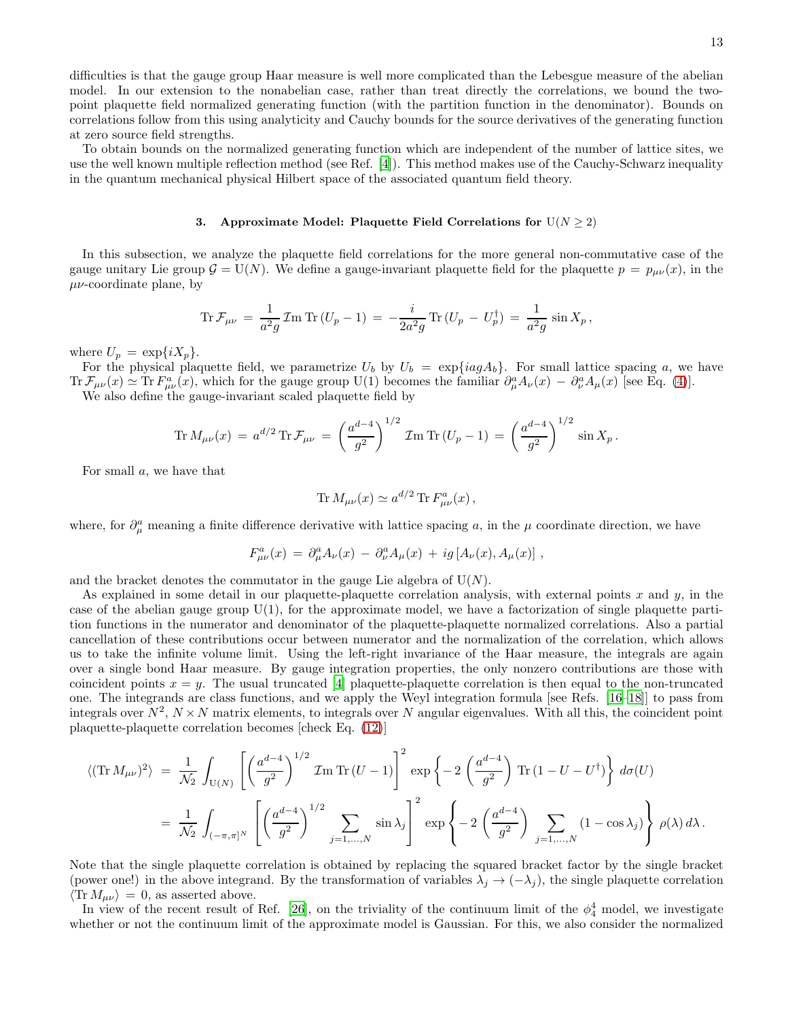difficulties is that the gauge group Haar measure is well more complicated than the Lebesgue measure of the abelian model. In our extension to the nonabelian case, rather than treat directly the correlations, we bound the twopoint plaquette field normalized generating function (with the partition function in the denominator). Bounds on correlations follow from this using analyticity and Cauchy bounds for the source derivatives of the generating function at zero source field strengths.

To obtain bounds on the normalized generating function which are independent of the number of lattice sites, we use the well known multiple reflection method (see Ref. [\[4](#page-28-1)]). This method makes use of the Cauchy-Schwarz inequality in the quantum mechanical physical Hilbert space of the associated quantum field theory.

# <span id="page-12-0"></span>3. Approximate Model: Plaquette Field Correlations for  $U(N \geq 2)$

In this subsection, we analyze the plaquette field correlations for the more general non-commutative case of the gauge unitary Lie group  $\mathcal{G} = U(N)$ . We define a gauge-invariant plaquette field for the plaquette  $p = p_{\mu\nu}(x)$ , in the  $\mu\nu$ -coordinate plane, by

$$
\text{Tr}\,\mathcal{F}_{\mu\nu} \,=\, \frac{1}{a^2g}\,\mathcal{I}\text{m}\,\text{Tr}\,(U_p-1) \,=\, -\frac{i}{2a^2g}\,\text{Tr}\,(U_p\,-\,U_p^\dagger) \,=\, \frac{1}{a^2g}\,\sin X_p\,,
$$

where  $U_p = \exp\{iX_p\}.$ 

For the physical plaquette field, we parametrize  $U_b$  by  $U_b = \exp\{iag A_b\}$ . For small lattice spacing a, we have  $\text{Tr}\,\mathcal{F}_{\mu\nu}(x) \simeq \text{Tr}\,F_{\mu\nu}^a(x)$ , which for the gauge group U(1) becomes the familiar  $\partial_\mu^a A_\nu(x) - \partial_\nu^a A_\mu(x)$  [see Eq. [\(4\)](#page-4-0)].

We also define the gauge-invariant scaled plaquette field by

$$
\operatorname{Tr} M_{\mu\nu}(x) = a^{d/2} \operatorname{Tr} \mathcal{F}_{\mu\nu} = \left(\frac{a^{d-4}}{g^2}\right)^{1/2} \mathcal{I} \operatorname{Tr} (U_p - 1) = \left(\frac{a^{d-4}}{g^2}\right)^{1/2} \sin X_p.
$$

For small a, we have that

$$
\text{Tr}\,M_{\mu\nu}(x) \simeq a^{d/2}\,\text{Tr}\,F_{\mu\nu}^a(x)\,,
$$

where, for  $\partial_\mu^a$  meaning a finite difference derivative with lattice spacing a, in the  $\mu$  coordinate direction, we have

$$
F^{a}_{\mu\nu}(x) = \partial_{\mu}^{a} A_{\nu}(x) - \partial_{\nu}^{a} A_{\mu}(x) + ig[A_{\nu}(x), A_{\mu}(x)],
$$

and the bracket denotes the commutator in the gauge Lie algebra of  $U(N)$ .

As explained in some detail in our plaquette-plaquette correlation analysis, with external points  $x$  and  $y$ , in the case of the abelian gauge group  $U(1)$ , for the approximate model, we have a factorization of single plaquette partition functions in the numerator and denominator of the plaquette-plaquette normalized correlations. Also a partial cancellation of these contributions occur between numerator and the normalization of the correlation, which allows us to take the infinite volume limit. Using the left-right invariance of the Haar measure, the integrals are again over a single bond Haar measure. By gauge integration properties, the only nonzero contributions are those with coincident points  $x = y$ . The usual truncated [\[4\]](#page-28-1) plaquette-plaquette correlation is then equal to the non-truncated one. The integrands are class functions, and we apply the Weyl integration formula [see Refs. [\[16](#page-29-4)[–18\]](#page-29-5)] to pass from integrals over  $N^2$ ,  $N \times N$  matrix elements, to integrals over N angular eigenvalues. With all this, the coincident point plaquette-plaquette correlation becomes [check Eq. [\(12\)](#page-8-0)]

$$
\langle (\text{Tr} M_{\mu\nu})^2 \rangle = \frac{1}{\mathcal{N}_2} \int_{U(N)} \left[ \left( \frac{a^{d-4}}{g^2} \right)^{1/2} \mathcal{I}m \operatorname{Tr} (U - 1) \right]^2 \exp \left\{ -2 \left( \frac{a^{d-4}}{g^2} \right) \operatorname{Tr} (1 - U - U^{\dagger}) \right\} d\sigma(U)
$$
  
=  $\frac{1}{\mathcal{N}_2} \int_{(-\pi,\pi]^N} \left[ \left( \frac{a^{d-4}}{g^2} \right)^{1/2} \sum_{j=1,...,N} \sin \lambda_j \right]^2 \exp \left\{ -2 \left( \frac{a^{d-4}}{g^2} \right) \sum_{j=1,...,N} (1 - \cos \lambda_j) \right\} \rho(\lambda) d\lambda.$ 

Note that the single plaquette correlation is obtained by replacing the squared bracket factor by the single bracket (power one!) in the above integrand. By the transformation of variables  $\lambda_j \to (-\lambda_j)$ , the single plaquette correlation  $\langle \text{Tr} M_{\mu\nu} \rangle = 0$ , as asserted above.

In view of the recent result of Ref. [\[26\]](#page-29-14), on the triviality of the continuum limit of the  $\phi_4^4$  model, we investigate whether or not the continuum limit of the approximate model is Gaussian. For this, we also consider the normalized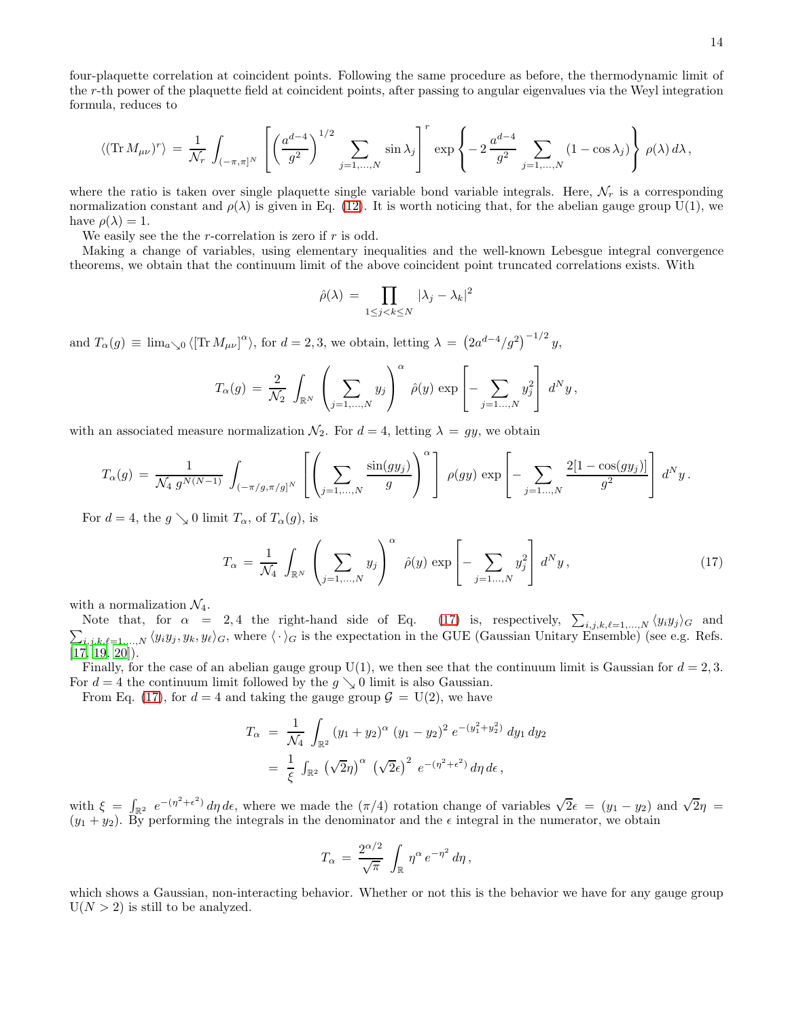four-plaquette correlation at coincident points. Following the same procedure as before, the thermodynamic limit of the r-th power of the plaquette field at coincident points, after passing to angular eigenvalues via the Weyl integration formula, reduces to

$$
\langle (\text{Tr} \, M_{\mu\nu})^r \rangle \, = \frac{1}{\mathcal{N}_r} \, \int_{(-\pi,\pi]^N} \, \left[ \left( \frac{a^{d-4}}{g^2} \right)^{1/2} \sum_{j=1,\ldots,N} \sin \lambda_j \right]^r \, \exp \left\{ -2 \, \frac{a^{d-4}}{g^2} \sum_{j=1,\ldots,N} \left( 1 - \cos \lambda_j \right) \right\} \, \rho(\lambda) \, d\lambda \, ,
$$

where the ratio is taken over single plaquette single variable bond variable integrals. Here,  $\mathcal{N}_r$  is a corresponding normalization constant and  $\rho(\lambda)$  is given in Eq. [\(12\)](#page-8-0). It is worth noticing that, for the abelian gauge group U(1), we have  $\rho(\lambda) = 1$ .

We easily see the the r-correlation is zero if  $r$  is odd.

Making a change of variables, using elementary inequalities and the well-known Lebesgue integral convergence theorems, we obtain that the continuum limit of the above coincident point truncated correlations exists. With

$$
\hat{\rho}(\lambda) = \prod_{1 \le j < k \le N} |\lambda_j - \lambda_k|^2
$$

and  $T_{\alpha}(g) \equiv \lim_{a \searrow 0} \langle [\text{Tr } M_{\mu\nu}]^{\alpha} \rangle$ , for  $d = 2, 3$ , we obtain, letting  $\lambda = (2a^{d-4}/g^2)^{-1/2} y$ ,

$$
T_{\alpha}(g) = \frac{2}{\mathcal{N}_2} \int_{\mathbb{R}^N} \left( \sum_{j=1,\ldots,N} y_j \right)^{\alpha} \hat{\rho}(y) \exp \left[ - \sum_{j=1\ldots,N} y_j^2 \right] d^N y,
$$

with an associated measure normalization  $\mathcal{N}_2$ . For  $d = 4$ , letting  $\lambda = gy$ , we obtain

$$
T_{\alpha}(g) = \frac{1}{\mathcal{N}_4 \, g^{N(N-1)}} \, \int_{(-\pi/g, \pi/g)^N} \left[ \left( \sum_{j=1,\ldots,N} \frac{\sin(gy_j)}{g} \right)^{\alpha} \right] \, \rho(gy) \, \exp \left[ - \sum_{j=1,\ldots,N} \frac{2[1 - \cos(gy_j)]}{g^2} \right] \, d^N y \, .
$$

For  $d = 4$ , the  $g \searrow 0$  limit  $T_{\alpha}$ , of  $T_{\alpha}(g)$ , is

<span id="page-13-0"></span>
$$
T_{\alpha} = \frac{1}{\mathcal{N}_4} \int_{\mathbb{R}^N} \left( \sum_{j=1,\dots,N} y_j \right)^{\alpha} \hat{\rho}(y) \exp \left[ - \sum_{j=1,\dots,N} y_j^2 \right] d^N y , \qquad (17)
$$

with a normalization  $\mathcal{N}_4$ .

Note that, for  $\alpha = 2, 4$  the right-hand side of Eq. [\(17\)](#page-13-0) is, respectively,  $\sum_{i,j,k,\ell=1,...,N} \langle y_i y_j \rangle_G$  and  $\sum_{i,j,k,\ell=1,\ldots,N} \langle y_i y_j, y_k, y_\ell \rangle_G$ , where  $\langle \cdot \rangle_G$  is the expectation in the GUE (Gaussian Unitary Ensemble) (see e.g. Refs.  $[17, 19, 20]$  $[17, 19, 20]$  $[17, 19, 20]$ .

Finally, for the case of an abelian gauge group  $U(1)$ , we then see that the continuum limit is Gaussian for  $d = 2, 3$ . For  $d = 4$  the continuum limit followed by the  $g \setminus 0$  limit is also Gaussian.

From Eq. [\(17\)](#page-13-0), for  $d = 4$  and taking the gauge group  $\mathcal{G} = U(2)$ , we have

$$
T_{\alpha} = \frac{1}{\mathcal{N}_4} \int_{\mathbb{R}^2} (y_1 + y_2)^{\alpha} (y_1 - y_2)^2 e^{-(y_1^2 + y_2^2)} dy_1 dy_2
$$
  
=  $\frac{1}{\xi} \int_{\mathbb{R}^2} (\sqrt{2}\eta)^{\alpha} (\sqrt{2}\epsilon)^2 e^{-(\eta^2 + \epsilon^2)} d\eta d\epsilon,$ 

with  $\xi = \int_{\mathbb{R}^2} e^{-(\eta^2 + \epsilon^2)} d\eta d\epsilon$ , where we made the  $(\pi/4)$  rotation change of variables  $\sqrt{2}\epsilon = (y_1 - y_2)$  and  $\sqrt{2}\eta =$  $(y_1 + y_2)$ . By performing the integrals in the denominator and the  $\epsilon$  integral in the numerator, we obtain

$$
T_{\alpha} = \frac{2^{\alpha/2}}{\sqrt{\pi}} \int_{\mathbb{R}} \eta^{\alpha} e^{-\eta^2} d\eta,
$$

which shows a Gaussian, non-interacting behavior. Whether or not this is the behavior we have for any gauge group  $U(N > 2)$  is still to be analyzed.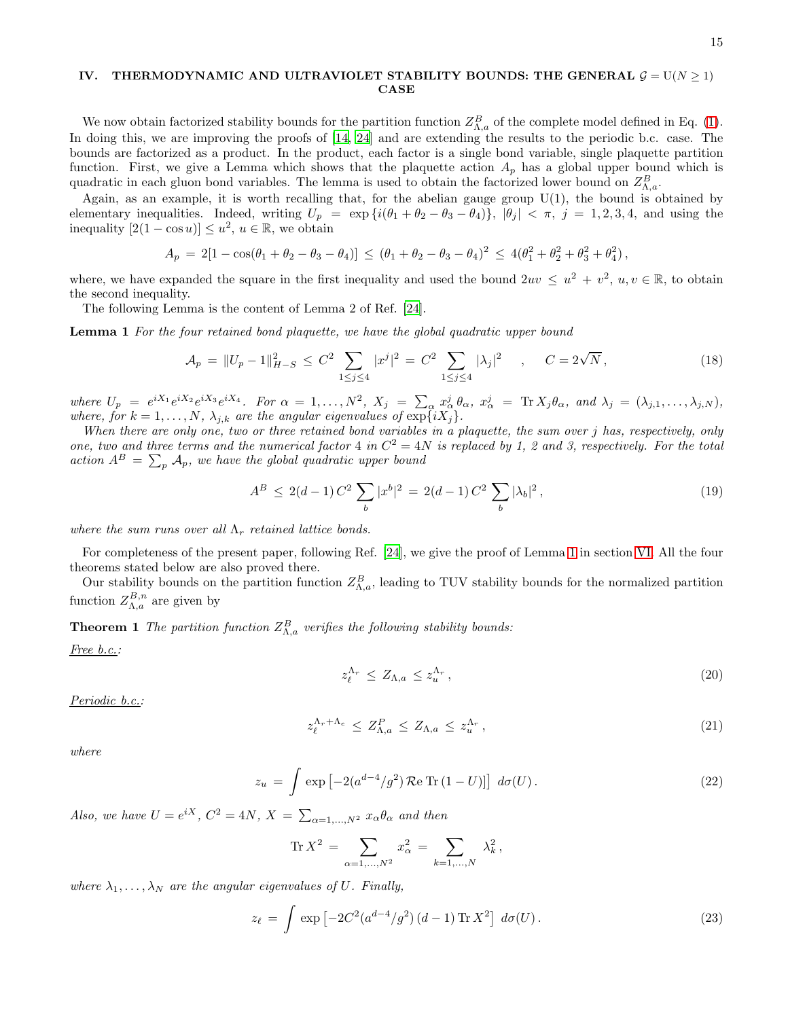# <span id="page-14-0"></span>IV. THERMODYNAMIC AND ULTRAVIOLET STABILITY BOUNDS: THE GENERAL  $G = U(N \ge 1)$ CASE

We now obtain factorized stability bounds for the partition function  $Z_{\Lambda,a}^B$  of the complete model defined in Eq. [\(1\)](#page-3-1). In doing this, we are improving the proofs of [\[14,](#page-29-2) [24](#page-29-10)] and are extending the results to the periodic b.c. case. The bounds are factorized as a product. In the product, each factor is a single bond variable, single plaquette partition function. First, we give a Lemma which shows that the plaquette action  $A_p$  has a global upper bound which is quadratic in each gluon bond variables. The lemma is used to obtain the factorized lower bound on  $Z_{\Lambda,a}^B$ .

Again, as an example, it is worth recalling that, for the abelian gauge group  $U(1)$ , the bound is obtained by elementary inequalities. Indeed, writing  $U_p = \exp{i(\theta_1 + \theta_2 - \theta_3 - \theta_4)}$ ,  $|\theta_j| < \pi$ ,  $j = 1, 2, 3, 4$ , and using the inequality  $[2(1 - \cos u)] \le u^2$ ,  $u \in \mathbb{R}$ , we obtain

$$
A_p = 2[1 - \cos(\theta_1 + \theta_2 - \theta_3 - \theta_4)] \leq (\theta_1 + \theta_2 - \theta_3 - \theta_4)^2 \leq 4(\theta_1^2 + \theta_2^2 + \theta_3^2 + \theta_4^2),
$$

where, we have expanded the square in the first inequality and used the bound  $2uv \leq u^2 + v^2$ ,  $u, v \in \mathbb{R}$ , to obtain the second inequality.

The following Lemma is the content of Lemma 2 of Ref. [\[24\]](#page-29-10).

Lemma 1 For the four retained bond plaquette, we have the global quadratic upper bound

<span id="page-14-1"></span>
$$
\mathcal{A}_p = \|U_p - 1\|_{H-S}^2 \le C^2 \sum_{1 \le j \le 4} |x^j|^2 = C^2 \sum_{1 \le j \le 4} |\lambda_j|^2 \quad , \quad C = 2\sqrt{N}, \tag{18}
$$

where  $U_p = e^{iX_1}e^{iX_2}e^{iX_3}e^{iX_4}$ . For  $\alpha = 1, \ldots, N^2$ ,  $X_j = \sum_{\alpha} x_{\alpha}^j \theta_{\alpha}, x_{\alpha}^j = \text{Tr } X_j \theta_{\alpha}$ , and  $\lambda_j = (\lambda_{j,1}, \ldots, \lambda_{j,N})$ , where, for  $k = 1, ..., N$ ,  $\lambda_{j,k}$  are the angular eigenvalues of  $\exp\{iX_j\}$ .

When there are only one, two or three retained bond variables in a plaquette, the sum over j has, respectively, only one, two and three terms and the numerical factor 4 in  $C^2 = 4N$  is replaced by 1, 2 and 3, respectively. For the total action  $A^B = \sum_p \mathcal{A}_p$ , we have the global quadratic upper bound

<span id="page-14-2"></span>
$$
A^{B} \le 2(d-1)C^{2} \sum_{b} |x^{b}|^{2} = 2(d-1)C^{2} \sum_{b} |\lambda_{b}|^{2}, \qquad (19)
$$

where the sum runs over all  $\Lambda_r$  retained lattice bonds.

For completeness of the present paper, following Ref. [\[24](#page-29-10)], we give the proof of Lemma [1](#page-14-1) in section [VI.](#page-18-0) All the four theorems stated below are also proved there.

Our stability bounds on the partition function  $Z_{\Lambda,a}^B$ , leading to TUV stability bounds for the normalized partition function  $Z_{\Lambda,a}^{B,n}$  are given by

**Theorem 1** The partition function  $Z_{\Lambda,a}^B$  verifies the following stability bounds:

Free b.c.:

$$
z_{\ell}^{\Lambda_r} \le Z_{\Lambda,a} \le z_u^{\Lambda_r},\tag{20}
$$

Periodic b.c.:

$$
z_{\ell}^{\Lambda_r+\Lambda_e} \leq Z_{\Lambda,a}^P \leq Z_{\Lambda,a} \leq z_u^{\Lambda_r},\tag{21}
$$

where

$$
z_u = \int \exp\left[-2(a^{d-4}/g^2)\mathcal{R}e \operatorname{Tr}\left(1-U\right)\right] d\sigma(U). \tag{22}
$$

Also, we have  $U = e^{iX}$ ,  $C^2 = 4N$ ,  $X = \sum_{\alpha=1,...,N^2} x_{\alpha} \theta_{\alpha}$  and then

$$
\text{Tr}\,X^2\,=\,\sum_{\alpha=1,...,N^2}\,x_\alpha^2\,=\,\sum_{k=1,...,N}\,\,\lambda_k^2\,,
$$

where  $\lambda_1, \ldots, \lambda_N$  are the angular eigenvalues of U. Finally,

$$
z_{\ell} = \int \exp\left[-2C^2(a^{d-4}/g^2)\,(d-1)\,\text{Tr}\,X^2\right]\,d\sigma(U). \tag{23}
$$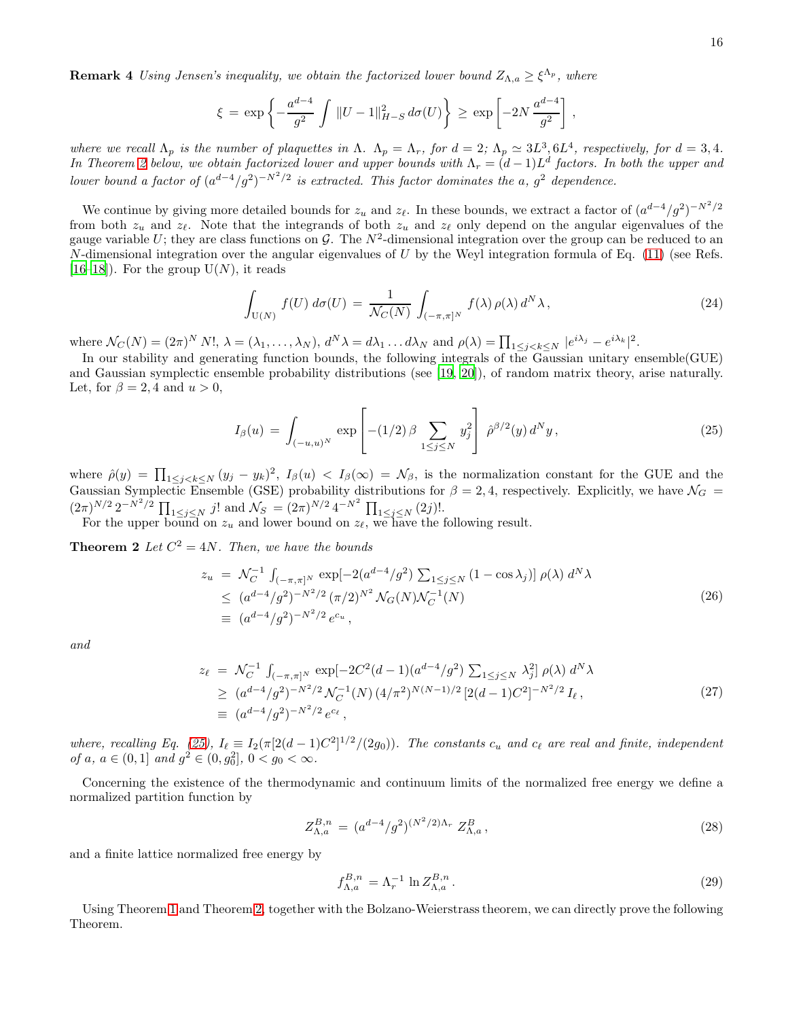**Remark 4** Using Jensen's inequality, we obtain the factorized lower bound  $Z_{\Lambda,a} \geq \xi^{\Lambda_p}$ , where

$$
\xi = \exp\left\{-\frac{a^{d-4}}{g^2} \int ||U - 1||_{H-S}^2 d\sigma(U)\right\} \ge \exp\left[-2N \frac{a^{d-4}}{g^2}\right],
$$

where we recall  $\Lambda_p$  is the number of plaquettes in  $\Lambda$ .  $\Lambda_p = \Lambda_r$ , for  $d = 2$ ;  $\Lambda_p \simeq 3L^3$ ,  $6L^4$ , respectively, for  $d = 3, 4$ . In Theorem [2](#page-15-0) below, we obtain factorized lower and upper bounds with  $\Lambda_r = (d-1)L^d$  factors. In both the upper and lower bound a factor of  $(a^{d-4}/g^2)^{-N^2/2}$  is extracted. This factor dominates the a,  $g^2$  dependence.

We continue by giving more detailed bounds for  $z_u$  and  $z_{\ell}$ . In these bounds, we extract a factor of  $(a^{d-4}/g^2)^{-N^2/2}$ from both  $z_u$  and  $z_\ell$ . Note that the integrands of both  $z_u$  and  $z_\ell$  only depend on the angular eigenvalues of the gauge variable U; they are class functions on G. The  $N^2$ -dimensional integration over the group can be reduced to an N-dimensional integration over the angular eigenvalues of U by the Weyl integration formula of Eq.  $(11)$  (see Refs. [\[16](#page-29-4)[–18\]](#page-29-5)). For the group  $U(N)$ , it reads

<span id="page-15-4"></span>
$$
\int_{\mathcal{U}(N)} f(U) d\sigma(U) = \frac{1}{\mathcal{N}_C(N)} \int_{(-\pi,\pi]^N} f(\lambda) \rho(\lambda) d^N \lambda,
$$
\n(24)

where  $\mathcal{N}_C(N) = (2\pi)^N N!$ ,  $\lambda = (\lambda_1, \ldots, \lambda_N)$ ,  $d^N \lambda = d\lambda_1 \ldots d\lambda_N$  and  $\rho(\lambda) = \prod_{1 \leq j < k \leq N} |e^{i\lambda_j} - e^{i\lambda_k}|^2$ .

In our stability and generating function bounds, the following integrals of the Gaussian unitary ensemble(GUE) and Gaussian symplectic ensemble probability distributions (see [\[19](#page-29-6), [20\]](#page-29-7)), of random matrix theory, arise naturally. Let, for  $\beta = 2, 4$  and  $u > 0$ ,

<span id="page-15-1"></span><span id="page-15-0"></span>
$$
I_{\beta}(u) = \int_{(-u,u)^N} \exp\left[ -(1/2) \beta \sum_{1 \le j \le N} y_j^2 \right] \hat{\rho}^{\beta/2}(y) d^N y, \qquad (25)
$$

where  $\hat{\rho}(y) = \prod_{1 \leq j < k \leq N} (y_j - y_k)^2$ ,  $I_{\beta}(u) < I_{\beta}(\infty) = \mathcal{N}_{\beta}$ , is the normalization constant for the GUE and the Gaussian Symplectic Ensemble (GSE) probability distributions for  $\beta = 2, 4$ , respectively. Explicitly, we have  $\mathcal{N}_G =$  $(2\pi)^{N/2} 2^{-N^2/2} \prod_{1 \le j \le N} j!$  and  $\mathcal{N}_S = (2\pi)^{N/2} 4^{-N^2} \prod_{1 \le j \le N} (2j)!$ .

For the upper bound on  $z_u$  and lower bound on  $z_{\ell}$ , we have the following result.

**Theorem 2** Let  $C^2 = 4N$ . Then, we have the bounds

<span id="page-15-3"></span>
$$
z_u = \mathcal{N}_C^{-1} \int_{(-\pi,\pi]^N} \exp[-2(a^{d-4}/g^2) \sum_{1 \le j \le N} (1 - \cos \lambda_j)] \rho(\lambda) d^N \lambda
$$
  
\n
$$
\le (a^{d-4}/g^2)^{-N^2/2} (\pi/2)^{N^2} \mathcal{N}_G(N) \mathcal{N}_C^{-1}(N)
$$
  
\n
$$
\equiv (a^{d-4}/g^2)^{-N^2/2} e^{c_u},
$$
\n(26)

and

<span id="page-15-2"></span>
$$
z_{\ell} = \mathcal{N}_C^{-1} \int_{(-\pi,\pi]^N} \exp[-2C^2(d-1)(a^{d-4}/g^2) \sum_{1 \le j \le N} \lambda_j^2] \rho(\lambda) d^N \lambda
$$
  
\n
$$
\ge (a^{d-4}/g^2)^{-N^2/2} \mathcal{N}_C^{-1}(N) (4/\pi^2)^{N(N-1)/2} [2(d-1)C^2]^{-N^2/2} I_{\ell},
$$
  
\n
$$
\equiv (a^{d-4}/g^2)^{-N^2/2} e^{c_{\ell}},
$$
\n(27)

where, recalling Eq. [\(25\)](#page-15-1),  $I_{\ell} \equiv I_2(\pi[2(d-1)C^2]^{1/2}/(2g_0))$ . The constants  $c_u$  and  $c_{\ell}$  are real and finite, independent of a,  $a \in (0,1]$  and  $g^2 \in (0,g_0^2], 0 < g_0 < \infty$ .

Concerning the existence of the thermodynamic and continuum limits of the normalized free energy we define a normalized partition function by

$$
Z_{\Lambda,a}^{B,n} = (a^{d-4}/g^2)^{(N^2/2)\Lambda_r} Z_{\Lambda,a}^B,
$$
\n(28)

and a finite lattice normalized free energy by

$$
f_{\Lambda,a}^{B,n} = \Lambda_r^{-1} \ln Z_{\Lambda,a}^{B,n} \,. \tag{29}
$$

<span id="page-15-5"></span>Using Theorem [1](#page-14-2) and Theorem [2,](#page-15-0) together with the Bolzano-Weierstrass theorem, we can directly prove the following Theorem.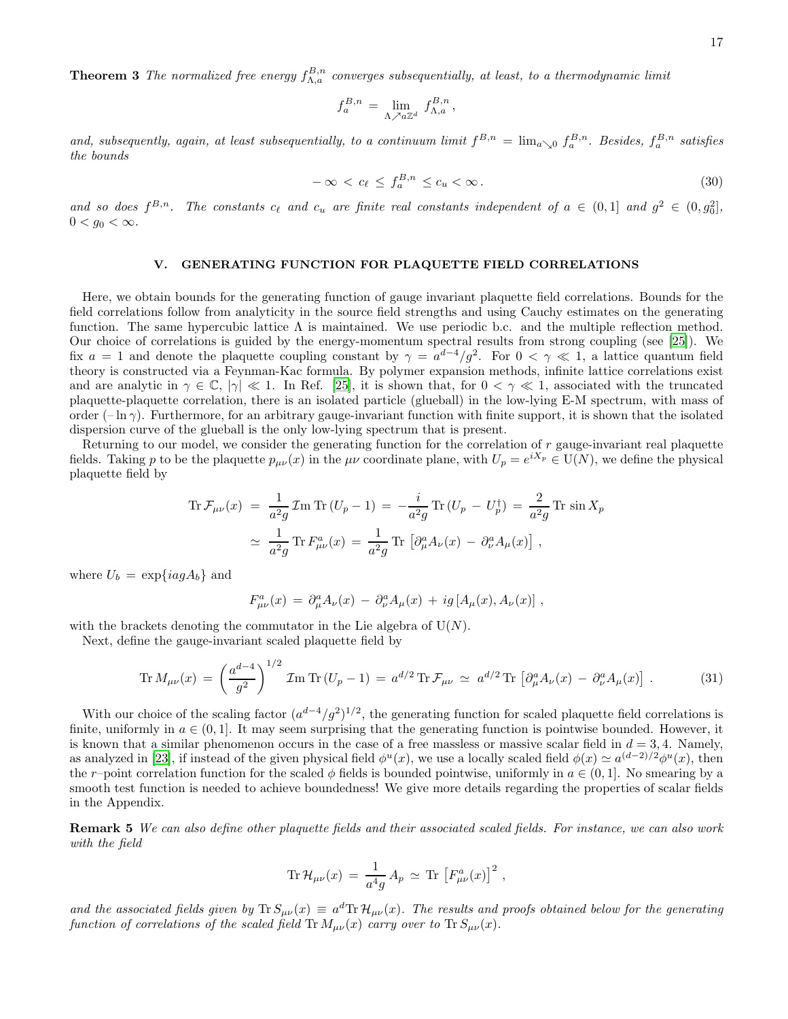**Theorem 3** The normalized free energy  $f_{\Lambda,a}^{B,n}$  converges subsequentially, at least, to a thermodynamic limit

$$
f_a^{B,n}\,=\,\lim_{\Lambda\nearrow a\mathbb{Z}^d}\ f_{\Lambda,a}^{B,n}\,,
$$

and, subsequently, again, at least subsequentially, to a continuum limit  $f^{B,n} = \lim_{a\to 0} f_a^{B,n}$ . Besides,  $f_a^{B,n}$  satisfies the bounds

$$
-\infty < c_\ell \le f_a^{B,n} \le c_u < \infty \,. \tag{30}
$$

and so does  $f^{B,n}$ . The constants  $c_{\ell}$  and  $c_u$  are finite real constants independent of  $a \in (0,1]$  and  $g^2 \in (0,g_0^2]$ ,  $0 < g_0 < \infty$ .

# <span id="page-16-0"></span>V. GENERATING FUNCTION FOR PLAQUETTE FIELD CORRELATIONS

Here, we obtain bounds for the generating function of gauge invariant plaquette field correlations. Bounds for the field correlations follow from analyticity in the source field strengths and using Cauchy estimates on the generating function. The same hypercubic lattice  $\Lambda$  is maintained. We use periodic b.c. and the multiple reflection method. Our choice of correlations is guided by the energy-momentum spectral results from strong coupling (see [\[25\]](#page-29-11)). We fix  $a = 1$  and denote the plaquette coupling constant by  $\gamma = a^{d-4}/g^2$ . For  $0 < \gamma \ll 1$ , a lattice quantum field theory is constructed via a Feynman-Kac formula. By polymer expansion methods, infinite lattice correlations exist and are analytic in  $\gamma \in \mathbb{C}$ ,  $|\gamma| \ll 1$ . In Ref. [\[25\]](#page-29-11), it is shown that, for  $0 < \gamma \ll 1$ , associated with the truncated plaquette-plaquette correlation, there is an isolated particle (glueball) in the low-lying E-M spectrum, with mass of order  $(-\ln \gamma)$ . Furthermore, for an arbitrary gauge-invariant function with finite support, it is shown that the isolated dispersion curve of the glueball is the only low-lying spectrum that is present.

Returning to our model, we consider the generating function for the correlation of r gauge-invariant real plaquette fields. Taking p to be the plaquette  $p_{\mu\nu}(x)$  in the  $\mu\nu$  coordinate plane, with  $U_p = e^{iX_p} \in U(N)$ , we define the physical plaquette field by

$$
\operatorname{Tr} \mathcal{F}_{\mu\nu}(x) = \frac{1}{a^2 g} \operatorname{Im} \operatorname{Tr} (U_p - 1) = -\frac{i}{a^2 g} \operatorname{Tr} (U_p - U_p^{\dagger}) = \frac{2}{a^2 g} \operatorname{Tr} \sin X_p
$$
  

$$
\simeq \frac{1}{a^2 g} \operatorname{Tr} F_{\mu\nu}^a(x) = \frac{1}{a^2 g} \operatorname{Tr} \left[ \partial_{\mu}^a A_{\nu}(x) - \partial_{\nu}^a A_{\mu}(x) \right],
$$

where  $U_b = \exp\{iag A_b\}$  and

$$
F^a_{\mu\nu}(x) = \partial^a_\mu A_\nu(x) - \partial^a_\nu A_\mu(x) + ig[A_\mu(x), A_\nu(x)],
$$

with the brackets denoting the commutator in the Lie algebra of  $U(N)$ .

Next, define the gauge-invariant scaled plaquette field by

<span id="page-16-1"></span>
$$
\text{Tr}\,M_{\mu\nu}(x) = \left(\frac{a^{d-4}}{g^2}\right)^{1/2}\mathcal{I}\text{m}\,\text{Tr}\,(U_p - 1) = a^{d/2}\,\text{Tr}\,\mathcal{F}_{\mu\nu} \simeq a^{d/2}\,\text{Tr}\,\left[\partial^a_\mu A_\nu(x) - \partial^a_\nu A_\mu(x)\right].\tag{31}
$$

With our choice of the scaling factor  $(a^{d-4}/g^2)^{1/2}$ , the generating function for scaled plaquette field correlations is finite, uniformly in  $a \in (0,1]$ . It may seem surprising that the generating function is pointwise bounded. However, it is known that a similar phenomenon occurs in the case of a free massless or massive scalar field in  $d = 3, 4$ . Namely, as analyzed in [\[23\]](#page-29-9), if instead of the given physical field  $\phi^u(x)$ , we use a locally scaled field  $\phi(x) \simeq a^{(d-2)/2} \phi^u(x)$ , then the r–point correlation function for the scaled  $\phi$  fields is bounded pointwise, uniformly in  $a \in (0,1]$ . No smearing by a smooth test function is needed to achieve boundedness! We give more details regarding the properties of scalar fields in the Appendix.

Remark 5 We can also define other plaquette fields and their associated scaled fields. For instance, we can also work with the field

$$
\operatorname{Tr} \mathcal{H}_{\mu\nu}(x) = \frac{1}{a^4g} A_p \simeq \operatorname{Tr} \left[ F_{\mu\nu}^a(x) \right]^2,
$$

and the associated fields given by  $Tr S_{\mu\nu}(x) = a^d Tr \mathcal{H}_{\mu\nu}(x)$ . The results and proofs obtained below for the generating function of correlations of the scaled field  $\text{Tr} M_{\mu\nu}(x)$  carry over to  $\text{Tr} S_{\mu\nu}(x)$ .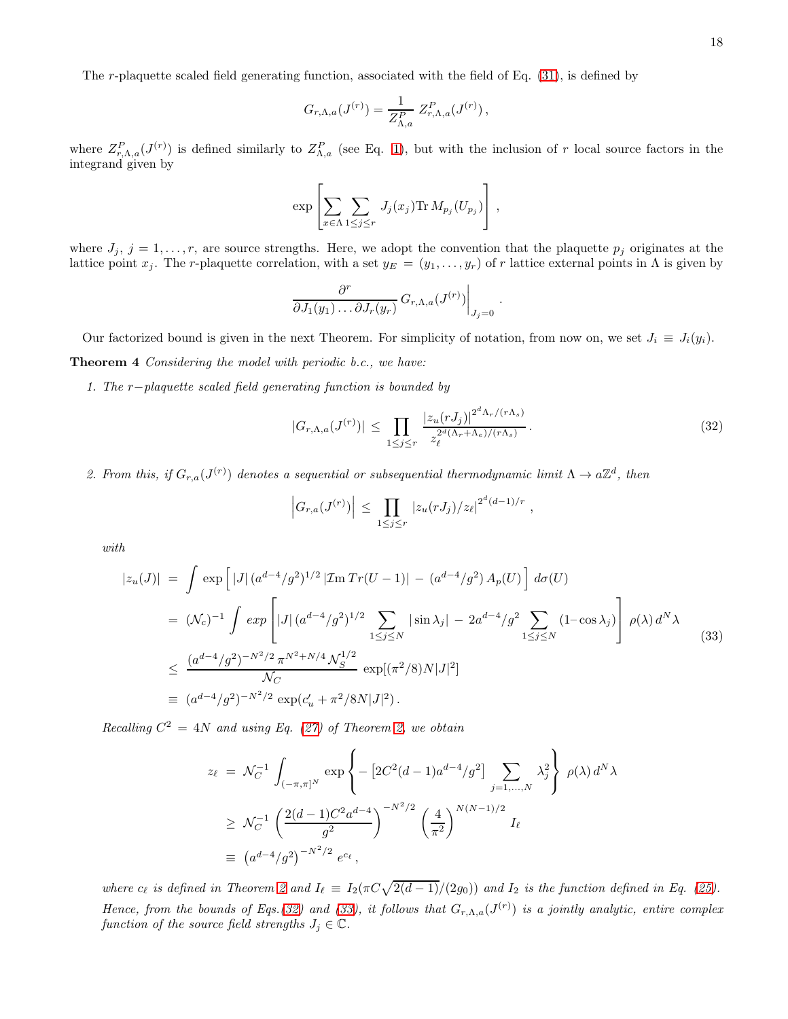The r-plaquette scaled field generating function, associated with the field of Eq. [\(31\)](#page-16-1), is defined by

$$
G_{r,\Lambda,a}(J^{(r)}) = \frac{1}{Z_{\Lambda,a}^P} Z_{r,\Lambda,a}^P(J^{(r)})\,,
$$

where  $Z_{r,\Lambda,a}^P(J^{(r)})$  is defined similarly to  $Z_{\Lambda,a}^P$  (see Eq. [1\)](#page-3-1), but with the inclusion of r local source factors in the integrand given by

$$
\exp\left[\sum_{x\in\Lambda}\sum_{1\leq j\leq r} J_j(x_j) \text{Tr}\, M_{p_j}(U_{p_j})\right],
$$

where  $J_j$ ,  $j = 1, \ldots, r$ , are source strengths. Here, we adopt the convention that the plaquette  $p_j$  originates at the lattice point  $x_j$ . The r-plaquette correlation, with a set  $y_E = (y_1, \ldots, y_r)$  of r lattice external points in  $\Lambda$  is given by

<span id="page-17-0"></span>
$$
\left.\frac{\partial^r}{\partial J_1(y_1)\dots\partial J_r(y_r)}\,G_{r,\Lambda,a}(J^{(r)})\right|_{J_j=0}.
$$

Our factorized bound is given in the next Theorem. For simplicity of notation, from now on, we set  $J_i \equiv J_i(y_i)$ . Theorem 4 Considering the model with periodic b.c., we have:

1. The r−plaquette scaled field generating function is bounded by

<span id="page-17-1"></span>
$$
|G_{r,\Lambda,a}(J^{(r)})| \leq \prod_{1 \leq j \leq r} \frac{|z_u(rJ_j)|^{2^d \Lambda_r/(r\Lambda_s)}}{z_\ell^{2^d(\Lambda_r+\Lambda_e)/(r\Lambda_s)}}.
$$
\n(32)

2. From this, if  $G_{r,a}(J^{(r)})$  denotes a sequential or subsequential thermodynamic limit  $\Lambda \to a\mathbb{Z}^d$ , then

$$
\left| G_{r,a}(J^{(r)}) \right| \leq \prod_{1 \leq j \leq r} |z_u(rJ_j)/z_{\ell}|^{2^d (d-1)/r} ,
$$

with

<span id="page-17-2"></span>
$$
|z_u(J)| = \int \exp\left[|J| \left(a^{d-4}/g^2\right)^{1/2} |\mathcal{I}m \operatorname{Tr}(U-1)| - \left(a^{d-4}/g^2\right) A_p(U)\right] d\sigma(U)
$$
  
\n
$$
= (\mathcal{N}_c)^{-1} \int \exp\left[|J| \left(a^{d-4}/g^2\right)^{1/2} \sum_{1 \le j \le N} |\sin \lambda_j| - 2a^{d-4}/g^2 \sum_{1 \le j \le N} (1 - \cos \lambda_j)\right] \rho(\lambda) d^N \lambda
$$
  
\n
$$
\le \frac{(a^{d-4}/g^2)^{-N^2/2} \pi^{N^2 + N/4} \mathcal{N}_S^{1/2}}{\mathcal{N}_C} \exp[(\pi^2/8)N|J|^2]
$$
  
\n
$$
\equiv (a^{d-4}/g^2)^{-N^2/2} \exp(c_u' + \pi^2/8N|J|^2).
$$
 (33)

Recalling  $C^2 = 4N$  and using Eq. [\(27\)](#page-15-2) of Theorem [2,](#page-15-0) we obtain

$$
z_{\ell} = \mathcal{N}_C^{-1} \int_{(-\pi,\pi]^N} \exp \left\{ -\left[ 2C^2(d-1)a^{d-4}/g^2 \right] \sum_{j=1,...,N} \lambda_j^2 \right\} \rho(\lambda) d^N \lambda
$$
  
 
$$
\geq \mathcal{N}_C^{-1} \left( \frac{2(d-1)C^2 a^{d-4}}{g^2} \right)^{-N^2/2} \left( \frac{4}{\pi^2} \right)^{N(N-1)/2} I_{\ell}
$$
  
\n
$$
\equiv (a^{d-4}/g^2)^{-N^2/2} e^{c_{\ell}},
$$

where  $c_{\ell}$  is defined in Theorem [2](#page-15-0) and  $I_{\ell} \equiv I_2(\pi C \sqrt{2(d-1)}/(2g_0))$  and  $I_2$  is the function defined in Eq. [\(25\)](#page-15-1). Hence, from the bounds of Eqs.[\(32\)](#page-17-1) and [\(33\)](#page-17-2), it follows that  $G_{r,\Lambda,a}(J^{(r)})$  is a jointly analytic, entire complex function of the source field strengths  $J_j \in \mathbb{C}$ .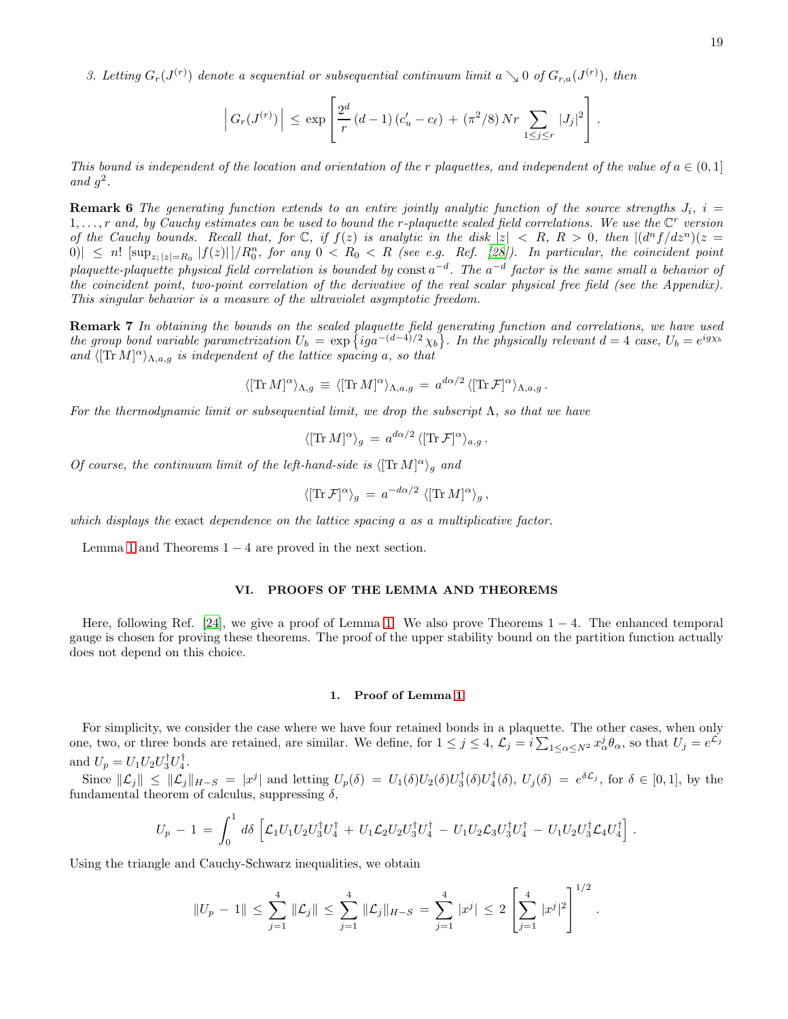3. Letting  $G_r(J^{(r)})$  denote a sequential or subsequential continuum limit  $a \searrow 0$  of  $G_{r,a}(J^{(r)})$ , then

$$
\left| G_r(J^{(r)}) \right| \leq \exp \left[ \frac{2^d}{r} (d-1) (c'_u - c_\ell) + (\pi^2/8) N r \sum_{1 \leq j \leq r} |J_j|^2 \right].
$$

This bound is independent of the location and orientation of the r plaquettes, and independent of the value of  $a \in (0,1]$ and  $g^2$ .

**Remark 6** The generating function extends to an entire jointly analytic function of the source strengths  $J_i$ ,  $i =$  $1,\ldots,r$  and, by Cauchy estimates can be used to bound the r-plaquette scaled field correlations. We use the  $\mathbb{C}^r$  version of the Cauchy bounds. Recall that, for  $\mathbb{C}$ , if  $f(z)$  is analytic in the disk  $|z| < R$ ,  $R > 0$ , then  $\left| \frac{d^n f}{dz^n} \right| (z - z)^n$  $|0\rangle| \leq n! \left[\sup_{z:|z|=R_0} |f(z)||/R_0^n$ , for any  $0 < R_0 < R$  (see e.g. Ref. [\[28](#page-29-15)]). In particular, the coincident point plaquette-plaquette physical field correlation is bounded by  $\text{const}\,a^{-d}$ . The  $a^{-d}$  factor is the same small a behavior of the coincident point, two-point correlation of the derivative of the real scalar physical free field (see the Appendix). This singular behavior is a measure of the ultraviolet asymptotic freedom.

Remark 7 In obtaining the bounds on the scaled plaquette field generating function and correlations, we have used the group bond variable parametrization  $U_b = \exp \{ i g a^{-(d-4)/2} \chi_b \}$ . In the physically relevant  $d = 4$  case,  $U_b = e^{ig\chi_b}$ and  $\langle [\text{Tr }M]^{\alpha} \rangle_{\Lambda,a,g}$  is independent of the lattice spacing a, so that

$$
\langle [\text{Tr } M]^{\alpha} \rangle_{\Lambda, g} \, \equiv \, \langle [\text{Tr } M]^{\alpha} \rangle_{\Lambda, a, g} \, = \, a^{d\alpha/2} \, \langle [\text{Tr } \mathcal{F}]^{\alpha} \rangle_{\Lambda, a, g} \, .
$$

For the thermodynamic limit or subsequential limit, we drop the subscript  $\Lambda$ , so that we have

$$
\langle [\text{Tr} \, M]^{\alpha} \rangle_g = a^{d\alpha/2} \, \langle [\text{Tr} \, \mathcal{F}]^{\alpha} \rangle_{a,g} \, .
$$

Of course, the continuum limit of the left-hand-side is  $\langle [\text{Tr } M]^{\alpha} \rangle_g$  and

$$
\langle [\text{Tr}\,\mathcal{F}]^{\alpha} \rangle_{g} = a^{-d\alpha/2} \langle [\text{Tr}\,M]^{\alpha} \rangle_{g},
$$

which displays the exact dependence on the lattice spacing a as a multiplicative factor.

Lemma [1](#page-14-1) and Theorems  $1 - 4$  are proved in the next section.

### <span id="page-18-0"></span>VI. PROOFS OF THE LEMMA AND THEOREMS

Here, following Ref. [\[24](#page-29-10)], we give a proof of Lemma [1.](#page-14-1) We also prove Theorems  $1 - 4$ . The enhanced temporal gauge is chosen for proving these theorems. The proof of the upper stability bound on the partition function actually does not depend on this choice.

### 1. Proof of Lemma [1](#page-14-1)

For simplicity, we consider the case where we have four retained bonds in a plaquette. The other cases, when only one, two, or three bonds are retained, are similar. We define, for  $1 \leq j \leq 4$ ,  $\mathcal{L}_j = i \sum_{1 \leq \alpha \leq N^2} x_\alpha^j \theta_\alpha$ , so that  $U_j = e^{\mathcal{L}_j}$ and  $U_p = U_1 U_2 U_3^{\dagger} U_4^{\dagger}$ .

Since  $\|\mathcal{L}_j\| \leq \|\mathcal{L}_j\|_{H-S} = |x^j|$  and letting  $U_p(\delta) = U_1(\delta)U_2(\delta)U_3^{\dagger}(\delta)U_4^{\dagger}(\delta), U_j(\delta) = e^{\delta \mathcal{L}_j}$ , for  $\delta \in [0,1]$ , by the fundamental theorem of calculus, suppressing  $\delta$ ,

$$
U_p - 1 = \int_0^1 d\delta \left[ \mathcal{L}_1 U_1 U_2 U_3^{\dagger} U_4^{\dagger} + U_1 \mathcal{L}_2 U_2 U_3^{\dagger} U_4^{\dagger} - U_1 U_2 \mathcal{L}_3 U_3^{\dagger} U_4^{\dagger} - U_1 U_2 U_3^{\dagger} \mathcal{L}_4 U_4^{\dagger} \right].
$$

Using the triangle and Cauchy-Schwarz inequalities, we obtain

$$
||U_p - 1|| \leq \sum_{j=1}^4 ||\mathcal{L}_j|| \leq \sum_{j=1}^4 ||\mathcal{L}_j||_{H-S} = \sum_{j=1}^4 |x^j| \leq 2 \left[ \sum_{j=1}^4 |x^j|^2 \right]^{1/2}.
$$

 $1/2$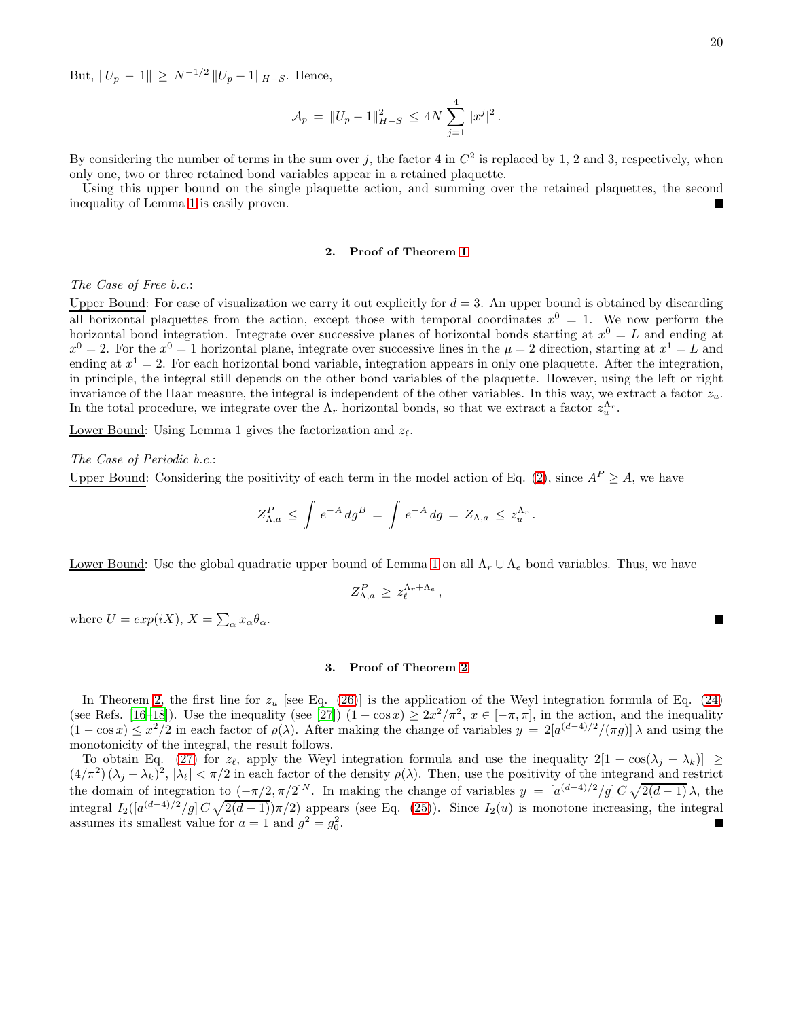But,  $||U_p - 1|| \ge N^{-1/2} ||U_p - 1||_{H-S}$ . Hence,

$$
\mathcal{A}_p = ||U_p - 1||_{H-S}^2 \le 4N \sum_{j=1}^4 |x^j|^2.
$$

By considering the number of terms in the sum over j, the factor 4 in  $C^2$  is replaced by 1, 2 and 3, respectively, when only one, two or three retained bond variables appear in a retained plaquette.

Using this upper bound on the single plaquette action, and summing over the retained plaquettes, the second inequality of Lemma [1](#page-14-1) is easily proven.

### 2. Proof of Theorem [1](#page-14-2)

The Case of Free b.c.:

Upper Bound: For ease of visualization we carry it out explicitly for  $d = 3$ . An upper bound is obtained by discarding all horizontal plaquettes from the action, except those with temporal coordinates  $x^0 = 1$ . We now perform the horizontal bond integration. Integrate over successive planes of horizontal bonds starting at  $x^0 = L$  and ending at  $x^0 = 2$ . For the  $x^0 = 1$  horizontal plane, integrate over successive lines in the  $\mu = 2$  direction, starting at  $x^1 = L$  and ending at  $x^1 = 2$ . For each horizontal bond variable, integration appears in only one plaquette. After the integration, in principle, the integral still depends on the other bond variables of the plaquette. However, using the left or right invariance of the Haar measure, the integral is independent of the other variables. In this way, we extract a factor  $z_u$ . In the total procedure, we integrate over the  $\Lambda_r$  horizontal bonds, so that we extract a factor  $z_u^{\Lambda_r}$ .

Lower Bound: Using Lemma 1 gives the factorization and  $z_{\ell}$ .

# The Case of Periodic b.c.:

Upper Bound: Considering the positivity of each term in the model action of Eq. [\(2\)](#page-3-2), since  $A^P \geq A$ , we have

$$
Z_{\Lambda,a}^P \leq \int e^{-A} \, dg^B = \int e^{-A} \, dg = Z_{\Lambda,a} \leq z_u^{\Lambda_r}.
$$

Lower Bound: Use the global quadratic upper bound of Lemma [1](#page-14-1) on all  $\Lambda_r \cup \Lambda_e$  bond variables. Thus, we have

$$
Z_{\Lambda,a}^P \geq z_{\ell}^{\Lambda_r+\Lambda_e},
$$

where  $U = exp(iX)$ ,  $X = \sum_{\alpha} x_{\alpha} \theta_{\alpha}$ .

# 3. Proof of Theorem [2](#page-15-0)

In Theorem [2,](#page-15-0) the first line for  $z_u$  [see Eq. [\(26\)](#page-15-3)] is the application of the Weyl integration formula of Eq. [\(24\)](#page-15-4) (see Refs. [\[16](#page-29-4)[–18\]](#page-29-5)). Use the inequality (see [\[27\]](#page-29-13))  $(1 - \cos x) \ge 2x^2/\pi^2$ ,  $x \in [-\pi, \pi]$ , in the action, and the inequality  $(1 - \cos x) \leq x^2/2$  in each factor of  $\rho(\lambda)$ . After making the change of variables  $y = 2[a^{(d-4)/2}/(\pi g)] \lambda$  and using the monotonicity of the integral, the result follows.

To obtain Eq. [\(27\)](#page-15-2) for  $z_{\ell}$ , apply the Weyl integration formula and use the inequality  $2[1 - \cos(\lambda_i - \lambda_k)] \ge$  $(4/\pi^2)(\lambda_j - \lambda_k)^2$ ,  $|\lambda_\ell| < \pi/2$  in each factor of the density  $\rho(\lambda)$ . Then, use the positivity of the integrand and restrict the domain of integration to  $(-\pi/2, \pi/2]^N$ . In making the change of variables  $y = [a^{(d-4)/2}/g] C \sqrt{2(d-1)} \lambda$ , the integral  $I_2([a^{(d-4)/2}/g]C\sqrt{2(d-1)})\pi/2$  appears (see Eq. [\(25\)](#page-15-1)). Since  $I_2(u)$  is monotone increasing, the integral assumes its smallest value for  $a = 1$  and  $g^2 = g_0^2$ .

П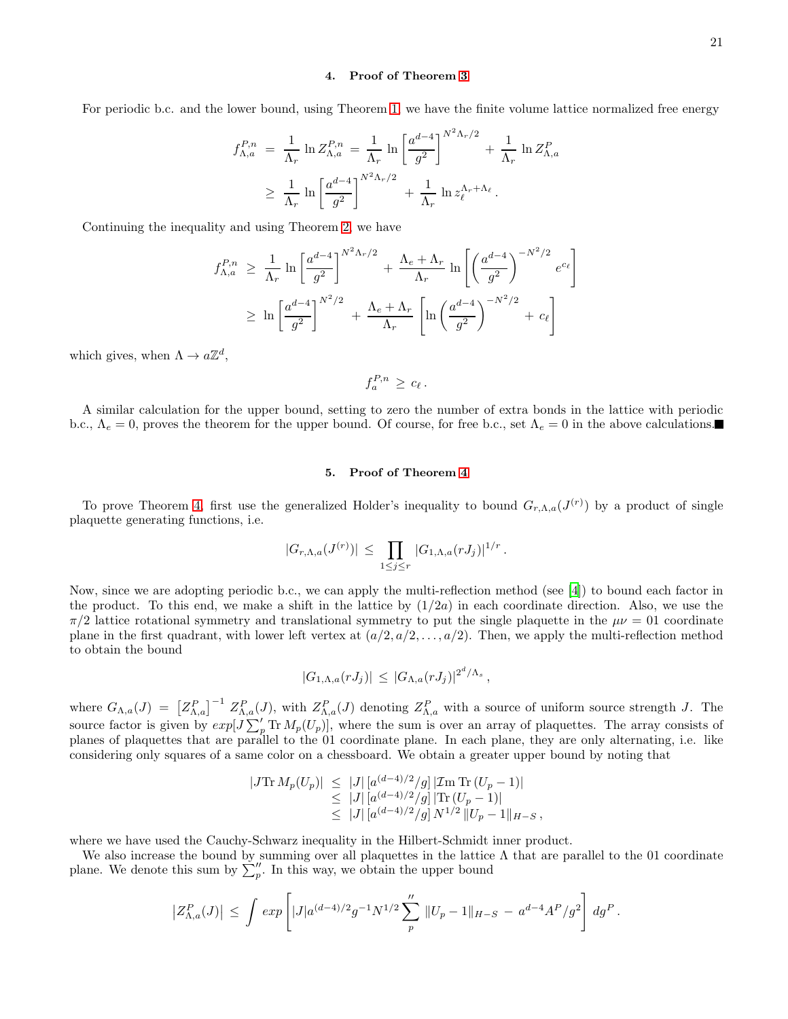# 4. Proof of Theorem [3](#page-15-5)

For periodic b.c. and the lower bound, using Theorem [1,](#page-14-2) we have the finite volume lattice normalized free energy

$$
f_{\Lambda,a}^{P,n} = \frac{1}{\Lambda_r} \ln Z_{\Lambda,a}^{P,n} = \frac{1}{\Lambda_r} \ln \left[ \frac{a^{d-4}}{g^2} \right]^{N^2 \Lambda_r/2} + \frac{1}{\Lambda_r} \ln Z_{\Lambda,a}^P
$$
  
 
$$
\geq \frac{1}{\Lambda_r} \ln \left[ \frac{a^{d-4}}{g^2} \right]^{N^2 \Lambda_r/2} + \frac{1}{\Lambda_r} \ln z_{\ell}^{\Lambda_r + \Lambda_{\ell}}.
$$

Continuing the inequality and using Theorem [2,](#page-15-0) we have

$$
f_{\Lambda,a}^{P,n} \geq \frac{1}{\Lambda_r} \ln \left[ \frac{a^{d-4}}{g^2} \right]^{N^2 \Lambda_r/2} + \frac{\Lambda_e + \Lambda_r}{\Lambda_r} \ln \left[ \left( \frac{a^{d-4}}{g^2} \right)^{-N^2/2} e^{c_\ell} \right]
$$
  

$$
\geq \ln \left[ \frac{a^{d-4}}{g^2} \right]^{N^2/2} + \frac{\Lambda_e + \Lambda_r}{\Lambda_r} \left[ \ln \left( \frac{a^{d-4}}{g^2} \right)^{-N^2/2} + c_\ell \right]
$$

which gives, when  $\Lambda \to a\mathbb{Z}^d$ ,

$$
f_a^{P,n} \geq c_{\ell}.
$$

A similar calculation for the upper bound, setting to zero the number of extra bonds in the lattice with periodic b.c.,  $\Lambda_e = 0$ , proves the theorem for the upper bound. Of course, for free b.c., set  $\Lambda_e = 0$  in the above calculations.

# 5. Proof of Theorem [4](#page-17-0)

To prove Theorem [4,](#page-17-0) first use the generalized Holder's inequality to bound  $G_{r,\Lambda,a}(J^{(r)})$  by a product of single plaquette generating functions, i.e.

$$
|G_{r,\Lambda,a}(J^{(r)})| \leq \prod_{1 \leq j \leq r} |G_{1,\Lambda,a}(rJ_j)|^{1/r}.
$$

Now, since we are adopting periodic b.c., we can apply the multi-reflection method (see [\[4](#page-28-1)]) to bound each factor in the product. To this end, we make a shift in the lattice by  $(1/2a)$  in each coordinate direction. Also, we use the  $\pi/2$  lattice rotational symmetry and translational symmetry to put the single plaquette in the  $\mu\nu = 01$  coordinate plane in the first quadrant, with lower left vertex at  $(a/2, a/2, \ldots, a/2)$ . Then, we apply the multi-reflection method to obtain the bound

$$
|G_{1,\Lambda,a}(rJ_j)| \leq |G_{\Lambda,a}(rJ_j)|^{2^d/\Lambda_s},
$$

where  $G_{\Lambda,a}(J) = \left[ Z_{\Lambda,a}^P \right]^{-1} Z_{\Lambda,a}^P(J)$ , with  $Z_{\Lambda,a}^P(J)$  denoting  $Z_{\Lambda,a}^P$  with a source of uniform source strength J. The source factor is given by  $exp[J\sum_{p}^{\prime} \text{Tr} M_{p}(U_{p})]$ , where the sum is over an array of plaquettes. The array consists of planes of plaquettes that are parallel to the 01 coordinate plane. In each plane, they are only alternating, i.e. like considering only squares of a same color on a chessboard. We obtain a greater upper bound by noting that

$$
|J\text{Tr } M_p(U_p)| \leq |J| \left[ a^{(d-4)/2}/g \right] |\text{Im Tr } (U_p - 1)|
$$
  
\n
$$
\leq |J| \left[ a^{(d-4)/2}/g \right] |\text{Tr } (U_p - 1)|
$$
  
\n
$$
\leq |J| \left[ a^{(d-4)/2}/g \right] N^{1/2} ||U_p - 1||_{H-S},
$$

where we have used the Cauchy-Schwarz inequality in the Hilbert-Schmidt inner product.

We also increase the bound by summing over all plaquettes in the lattice  $\Lambda$  that are parallel to the 01 coordinate plane. We denote this sum by  $\sum_{p}^{\prime\prime}$ . In this way, we obtain the upper bound

$$
\left|Z_{\Lambda,a}^P(J)\right| \,\leq\, \int\, exp\left[|J|a^{(d-4)/2}g^{-1}N^{1/2}\sum_p''\,\|U_p-1\|_{H-S}\,-\,a^{d-4}A^P/g^2\right]\,dg^P\,.
$$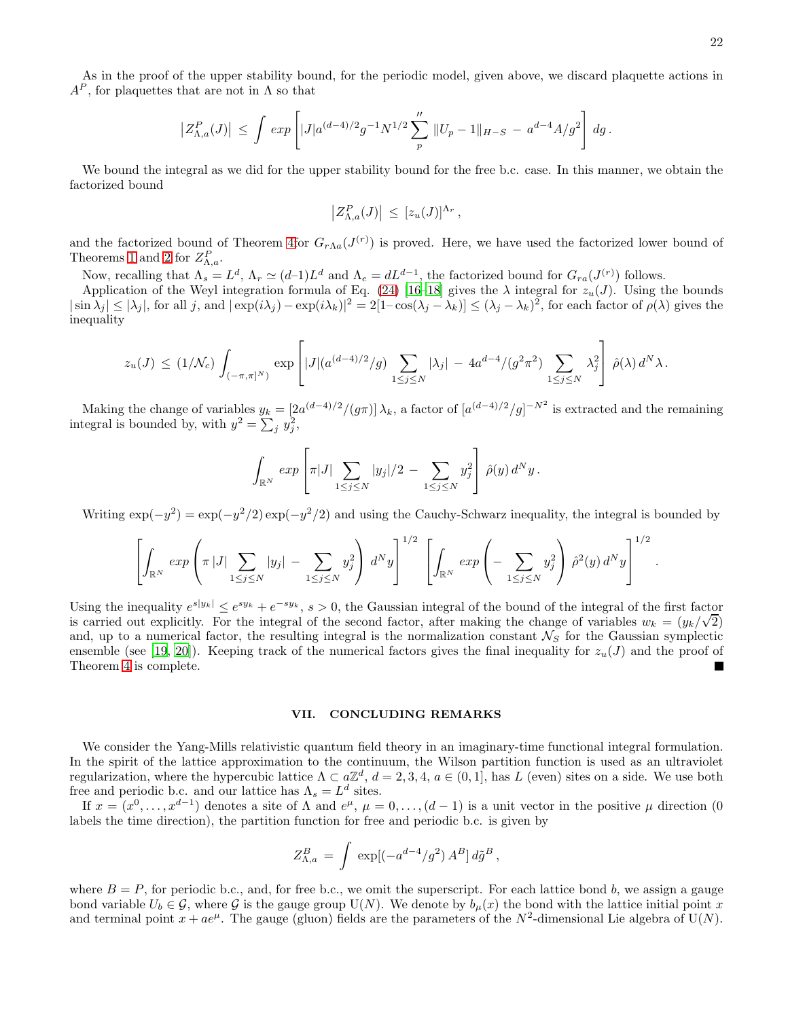22

As in the proof of the upper stability bound, for the periodic model, given above, we discard plaquette actions in  $A^P$ , for plaquettes that are not in  $\Lambda$  so that

$$
\left| Z^P_{\Lambda,a}(J) \right| \, \leq \, \int \, exp \left[ |J| a^{(d-4)/2} g^{-1} N^{1/2} \sum_{p}^{''} \, \|U_p - 1\|_{H-S} \, - \, a^{d-4} A/g^2 \right] \, dg \, .
$$

We bound the integral as we did for the upper stability bound for the free b.c. case. In this manner, we obtain the factorized bound

$$
\left|Z_{\Lambda,a}^P(J)\right| \,\leq\, [z_u(J)]^{\Lambda_r}\,,
$$

and the factorized bound of Theorem [4f](#page-17-0)or  $G_{r\Lambda a}(J^{(r)})$  is proved. Here, we have used the factorized lower bound of Theorems [1](#page-14-2) and [2](#page-15-0) for  $Z_{\Lambda,a}^P$ .

Now, recalling that  $\Lambda_s = L^d$ ,  $\Lambda_r \simeq (d-1)L^d$  and  $\Lambda_e = dL^{d-1}$ , the factorized bound for  $G_{ra}(J^{(r)})$  follows.

Application of the Weyl integration formula of Eq. [\(24\)](#page-15-4) [\[16](#page-29-4)[–18](#page-29-5)] gives the  $\lambda$  integral for  $z_u(J)$ . Using the bounds  $|\sin \lambda_j| \leq |\lambda_j|$ , for all j, and  $|\exp(i\lambda_j) - \exp(i\lambda_k)|^2 = 2[1-\cos(\lambda_j - \lambda_k)] \leq (\lambda_j - \lambda_k)^2$ , for each factor of  $\rho(\lambda)$  gives the inequality

$$
z_u(J) \le (1/\mathcal{N}_c) \int_{(-\pi,\pi]^N} \exp \left[ |J|(a^{(d-4)/2}/g) \sum_{1 \le j \le N} |\lambda_j| - 4a^{d-4}/(g^2 \pi^2) \sum_{1 \le j \le N} \lambda_j^2 \right] \hat{\rho}(\lambda) d^N \lambda.
$$

Making the change of variables  $y_k = \left[2a^{(d-4)/2}/(g\pi)\right]\lambda_k$ , a factor of  $\left[a^{(d-4)/2}/g\right]^{-N^2}$  is extracted and the remaining integral is bounded by, with  $y^2 = \sum_j y_j^2$ ,

$$
\int_{\mathbb{R}^N} exp \left[ \pi |J| \sum_{1 \leq j \leq N} |y_j|/2 - \sum_{1 \leq j \leq N} y_j^2 \right] \hat{\rho}(y) d^N y.
$$

Writing  $\exp(-y^2) = \exp(-y^2/2) \exp(-y^2/2)$  and using the Cauchy-Schwarz inequality, the integral is bounded by

$$
\left[\int_{\mathbb{R}^N} exp \left(\pi |J| \sum_{1 \leq j \leq N} |y_j| - \sum_{1 \leq j \leq N} y_j^2 \right) d^N y \right]^{1/2} \left[\int_{\mathbb{R}^N} exp \left(-\sum_{1 \leq j \leq N} y_j^2 \right) \hat{\rho}^2(y) d^N y \right]^{1/2}.
$$

Using the inequality  $e^{s|y_k|} \leq e^{sy_k} + e^{-sy_k}$ ,  $s > 0$ , the Gaussian integral of the bound of the integral of the first factor is carried out explicitly. For the integral of the second factor, after making the change of variables  $w_k = (y_k/\sqrt{2})$ and, up to a numerical factor, the resulting integral is the normalization constant  $\mathcal{N}_S$  for the Gaussian symplectic ensemble (see [\[19,](#page-29-6) [20\]](#page-29-7)). Keeping track of the numerical factors gives the final inequality for  $z_u(J)$  and the proof of Theorem [4](#page-17-0) is complete.

# <span id="page-21-0"></span>VII. CONCLUDING REMARKS

We consider the Yang-Mills relativistic quantum field theory in an imaginary-time functional integral formulation. In the spirit of the lattice approximation to the continuum, the Wilson partition function is used as an ultraviolet regularization, where the hypercubic lattice  $\Lambda \subset a\mathbb{Z}^d$ ,  $d = 2, 3, 4, a \in (0, 1]$ , has L (even) sites on a side. We use both free and periodic b.c. and our lattice has  $\Lambda_s = L^d$  sites.

If  $x = (x^0, \ldots, x^{d-1})$  denotes a site of  $\Lambda$  and  $e^{\mu}, \mu = 0, \ldots, (d-1)$  is a unit vector in the positive  $\mu$  direction  $(0, \ldots, 0)$ labels the time direction), the partition function for free and periodic b.c. is given by

$$
Z_{\Lambda,a}^B = \int \exp[(-a^{d-4}/g^2) A^B] d\tilde{g}^B,
$$

where  $B = P$ , for periodic b.c., and, for free b.c., we omit the superscript. For each lattice bond b, we assign a gauge bond variable  $U_b \in \mathcal{G}$ , where  $\mathcal{G}$  is the gauge group U(N). We denote by  $b_\mu(x)$  the bond with the lattice initial point x and terminal point  $x + ae^{\mu}$ . The gauge (gluon) fields are the parameters of the  $N^2$ -dimensional Lie algebra of U(N).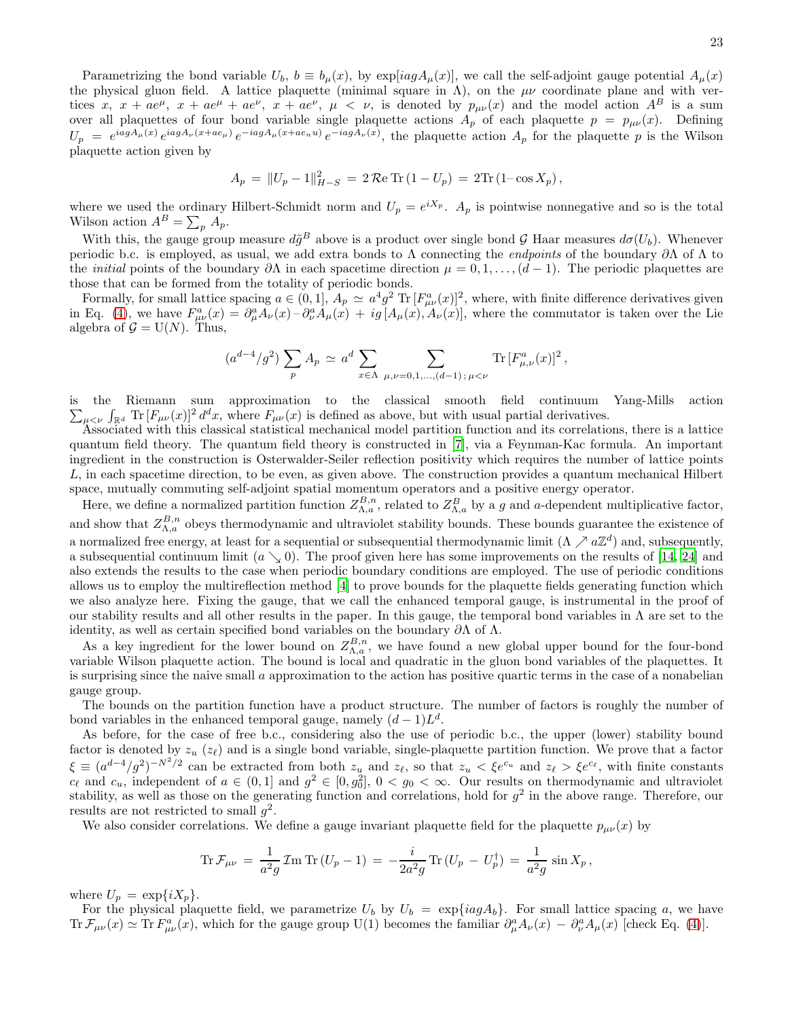Parametrizing the bond variable  $U_b$ ,  $b \equiv b_\mu(x)$ , by  $\exp[iagA_\mu(x)]$ , we call the self-adjoint gauge potential  $A_\mu(x)$ the physical gluon field. A lattice plaquette (minimal square in  $\Lambda$ ), on the  $\mu\nu$  coordinate plane and with vertices x,  $x + ae^{\mu}$ ,  $x + ae^{\mu} + ae^{\nu}$ ,  $x + ae^{\nu}$ ,  $\mu < \nu$ , is denoted by  $p_{\mu\nu}(x)$  and the model action  $A^B$  is a sum over all plaquettes of four bond variable single plaquette actions  $A_p$  of each plaquette  $p = p_{\mu\nu}(x)$ . Defining  $U_p = e^{iagA_\mu(x)}e^{iagA_\nu(x+ae_\mu)}e^{-iagA_\mu(x+ae_nu)}e^{-iagA_\nu(x)}$ , the plaquette action  $A_p$  for the plaquette p is the Wilson plaquette action given by

$$
A_p = ||U_p - 1||_{H-S}^2 = 2\Re\mathrm{Tr} (1 - U_p) = 2\mathrm{Tr} (1 - \cos X_p),
$$

where we used the ordinary Hilbert-Schmidt norm and  $U_p = e^{iX_p}$ .  $A_p$  is pointwise nonnegative and so is the total Wilson action  $A^B = \sum_p A_p$ .

With this, the gauge group measure  $d\tilde{g}^B$  above is a product over single bond G Haar measures  $d\sigma(U_b)$ . Whenever periodic b.c. is employed, as usual, we add extra bonds to  $\Lambda$  connecting the *endpoints* of the boundary  $\partial\Lambda$  of  $\Lambda$  to the *initial* points of the boundary  $\partial \Lambda$  in each spacetime direction  $\mu = 0, 1, \ldots, (d-1)$ . The periodic plaquettes are those that can be formed from the totality of periodic bonds.

Formally, for small lattice spacing  $a \in (0,1]$ ,  $A_p \simeq a^4 g^2 \text{ Tr } [F_{\mu\nu}^a(x)]^2$ , where, with finite difference derivatives given in Eq. [\(4\)](#page-4-0), we have  $F_{\mu\nu}^a(x) = \partial_\mu^a A_\nu(x) - \partial_\nu^a A_\mu(x) + ig[A_\mu(x), A_\nu(x)]$ , where the commutator is taken over the Lie algebra of  $\mathcal{G} = U(N)$ . Thus,

$$
(a^{d-4}/g^2) \sum_p A_p \simeq a^d \sum_{x \in \Lambda} \sum_{\mu,\nu=0,1,\dots,(d-1)\,;\,\mu < \nu} \text{Tr} \left[F_{\mu,\nu}^a(x)\right]^2,
$$

is the Riemann sum approximation to the classical smooth field continu um Yang-Mills action  $\sum_{\mu\leq \nu}$   $\int_{\mathbb{R}^d}$  Tr  $[F_{\mu\nu}(x)]^2 d^dx$ , where  $F_{\mu\nu}(x)$  is defined as above, but with usual partial derivatives.

Associated with this classical statistical mechanical model partition function and its correlations, there is a lattice quantum field theory. The quantum field theory is constructed in [\[7\]](#page-28-2), via a Feynman-Kac formula. An important ingredient in the construction is Osterwalder-Seiler reflection positivity which requires the number of lattice points L, in each spacetime direction, to be even, as given above. The construction provides a quantum mechanical Hilbert space, mutually commuting self-adjoint spatial momentum operators and a positive energy operator.

Here, we define a normalized partition function  $Z_{\Lambda,a}^{B,n}$ , related to  $Z_{\Lambda,a}^B$  by a g and a-dependent multiplicative factor, and show that  $Z_{\Lambda,a}^{B,n}$  obeys thermodynamic and ultraviolet stability bounds. These bounds guarantee the existence of a normalized free energy, at least for a sequential or subsequential thermodynamic limit  $(\Lambda \nearrow a\mathbb{Z}^d)$  and, subsequently, a subsequential continuum limit  $(a \searrow 0)$ . The proof given here has some improvements on the results of [\[14](#page-29-2), [24\]](#page-29-10) and also extends the results to the case when periodic boundary conditions are employed. The use of periodic conditions allows us to employ the multireflection method [\[4](#page-28-1)] to prove bounds for the plaquette fields generating function which we also analyze here. Fixing the gauge, that we call the enhanced temporal gauge, is instrumental in the proof of our stability results and all other results in the paper. In this gauge, the temporal bond variables in  $\Lambda$  are set to the identity, as well as certain specified bond variables on the boundary  $\partial \Lambda$  of  $\Lambda$ .

As a key ingredient for the lower bound on  $Z_{\Lambda,a}^{B,n}$ , we have found a new global upper bound for the four-bond variable Wilson plaquette action. The bound is local and quadratic in the gluon bond variables of the plaquettes. It is surprising since the naive small  $\alpha$  approximation to the action has positive quartic terms in the case of a nonabelian gauge group.

The bounds on the partition function have a product structure. The number of factors is roughly the number of bond variables in the enhanced temporal gauge, namely  $(d-1)L<sup>d</sup>$ .

As before, for the case of free b.c., considering also the use of periodic b.c., the upper (lower) stability bound factor is denoted by  $z_u$  ( $z_\ell$ ) and is a single bond variable, single-plaquette partition function. We prove that a factor  $\xi \equiv (a^{d-4}/g^2)^{-N^2/2}$  can be extracted from both  $z_u$  and  $z_\ell$ , so that  $z_u < \xi e^{c_u}$  and  $z_\ell > \xi e^{c_\ell}$ , with finite constants  $c_{\ell}$  and  $c_u$ , independent of  $a \in (0,1]$  and  $g^2 \in [0,g_0^2]$ ,  $0 < g_0 < \infty$ . Our results on thermodynamic and ultraviolet stability, as well as those on the generating function and correlations, hold for  $g^2$  in the above range. Therefore, our results are not restricted to small  $g^2$ .

We also consider correlations. We define a gauge invariant plaquette field for the plaquette  $p_{\mu\nu}(x)$  by

$$
\text{Tr}\,\mathcal{F}_{\mu\nu} \,=\, \frac{1}{a^2g}\,\mathcal{I}\text{m}\,\text{Tr}\,(U_p - 1) \,=\, -\frac{i}{2a^2g}\,\text{Tr}\,(U_p \,-\,U_p^\dagger) \,=\, \frac{1}{a^2g}\,\sin X_p\,,
$$

where  $U_p = \exp\{iX_p\}.$ 

For the physical plaquette field, we parametrize  $U_b$  by  $U_b = \exp\{iag A_b\}$ . For small lattice spacing a, we have Tr  $\mathcal{F}_{\mu\nu}(x) \simeq \text{Tr} F_{\mu\nu}^a(x)$ , which for the gauge group U(1) becomes the familiar  $\partial_{\mu}^a A_{\nu}(x) - \partial_{\nu}^a A_{\mu}(x)$  [check Eq. [\(4\)](#page-4-0)].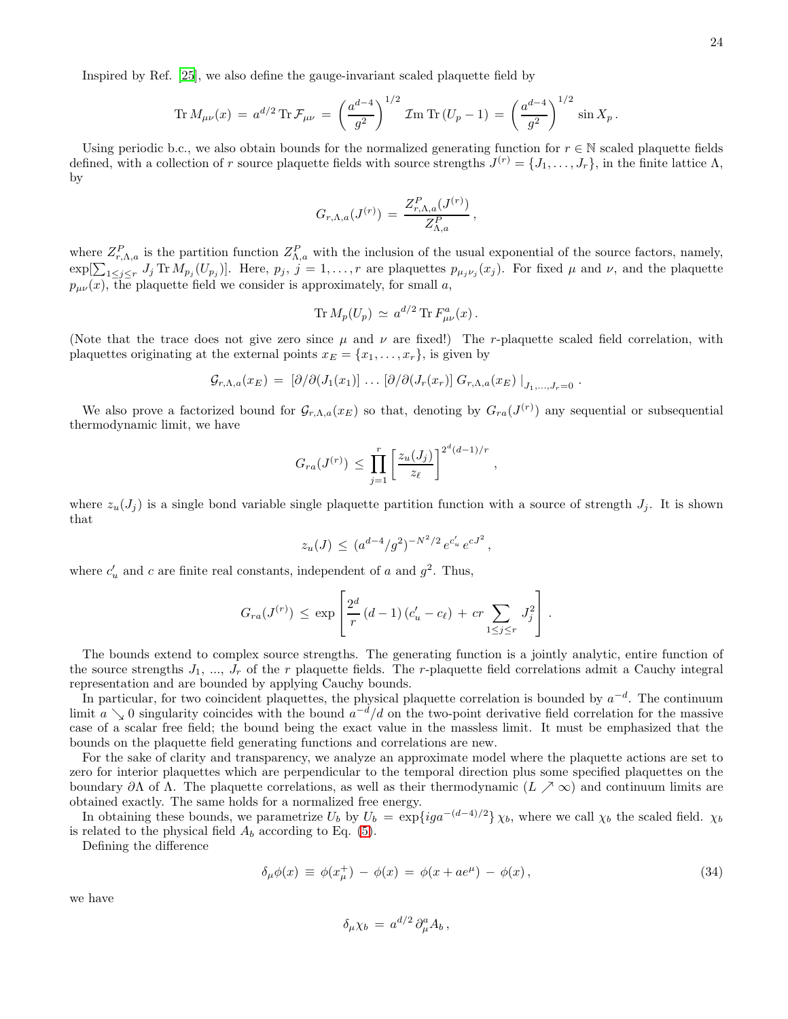$$
\operatorname{Tr} M_{\mu\nu}(x) = a^{d/2} \operatorname{Tr} \mathcal{F}_{\mu\nu} = \left(\frac{a^{d-4}}{g^2}\right)^{1/2} \mathcal{I} \operatorname{Im} \operatorname{Tr} (U_p - 1) = \left(\frac{a^{d-4}}{g^2}\right)^{1/2} \sin X_p.
$$

Using periodic b.c., we also obtain bounds for the normalized generating function for  $r \in \mathbb{N}$  scaled plaquette fields defined, with a collection of r source plaquette fields with source strengths  $J^{(r)} = \{J_1, \ldots, J_r\}$ , in the finite lattice  $\Lambda$ , by

$$
G_{r,\Lambda,a}(J^{(r)}) \,=\, \frac{Z_{r,\Lambda,a}^P(J^{(r)})}{Z_{\Lambda,a}^P}
$$

,

,

where  $Z_{r,\Lambda,a}^P$  is the partition function  $Z_{\Lambda,a}^P$  with the inclusion of the usual exponential of the source factors, namely,  $\exp[\sum_{1\leq j\leq r} J_j \text{Tr } M_{p_j}(U_{p_j})]$ . Here,  $p_j, j=1,\ldots,r$  are plaquettes  $p_{\mu_j\nu_j}(x_j)$ . For fixed  $\mu$  and  $\nu$ , and the plaquette  $p_{\mu\nu}(x)$ , the plaquette field we consider is approximately, for small a,

$$
\operatorname{Tr} M_p(U_p) \, \simeq \, a^{d/2} \operatorname{Tr} F^a_{\mu\nu}(x) \, .
$$

(Note that the trace does not give zero since  $\mu$  and  $\nu$  are fixed!) The r-plaquette scaled field correlation, with plaquettes originating at the external points  $x_E = \{x_1, \ldots, x_r\}$ , is given by

$$
\mathcal{G}_{r,\Lambda,a}(x_E) = [\partial/\partial (J_1(x_1)) \dots [\partial/\partial (J_r(x_r)) G_{r,\Lambda,a}(x_E)]_{J_1,...,J_r=0}.
$$

We also prove a factorized bound for  $\mathcal{G}_{r,\Lambda,a}(x_E)$  so that, denoting by  $G_{ra}(J^{(r)})$  any sequential or subsequential thermodynamic limit, we have

$$
G_{ra}(J^{(r)}) \le \prod_{j=1}^r \left[\frac{z_u(J_j)}{z_\ell}\right]^{2^d(d-1)/r}
$$

where  $z_u(J_j)$  is a single bond variable single plaquette partition function with a source of strength  $J_j$ . It is shown that

$$
z_u(J) \, \leq \, (a^{d-4}/g^2)^{-N^2/2} \, e^{c'_u} \, e^{cJ^2} \,,
$$

where  $c'_u$  and c are finite real constants, independent of a and  $g^2$ . Thus,

$$
G_{ra}(J^{(r)}) \le \exp\left[\frac{2^d}{r}(d-1)(c'_u - c_\ell) + cr \sum_{1 \le j \le r} J_j^2\right].
$$

The bounds extend to complex source strengths. The generating function is a jointly analytic, entire function of the source strengths  $J_1$ , ...,  $J_r$  of the r plaquette fields. The r-plaquette field correlations admit a Cauchy integral representation and are bounded by applying Cauchy bounds.

In particular, for two coincident plaquettes, the physical plaquette correlation is bounded by  $a^{-d}$ . The continuum limit  $a \searrow 0$  singularity coincides with the bound  $a^{-d}/d$  on the two-point derivative field correlation for the massive case of a scalar free field; the bound being the exact value in the massless limit. It must be emphasized that the bounds on the plaquette field generating functions and correlations are new.

For the sake of clarity and transparency, we analyze an approximate model where the plaquette actions are set to zero for interior plaquettes which are perpendicular to the temporal direction plus some specified plaquettes on the boundary  $\partial\Lambda$  of  $\Lambda$ . The plaquette correlations, as well as their thermodynamic  $(L \nearrow \infty)$  and continuum limits are obtained exactly. The same holds for a normalized free energy.

In obtaining these bounds, we parametrize  $U_b$  by  $U_b = \exp\{iga^{-(d-4)/2}\}\chi_b$ , where we call  $\chi_b$  the scaled field.  $\chi_b$ is related to the physical field  $A_b$  according to Eq. [\(5\)](#page-5-2).

Defining the difference

$$
\delta_{\mu}\phi(x) \equiv \phi(x_{\mu}^{+}) - \phi(x) = \phi(x + ae^{\mu}) - \phi(x), \qquad (34)
$$

we have

$$
\delta_\mu \chi_b = a^{d/2} \, \partial_\mu^a A_b \,,
$$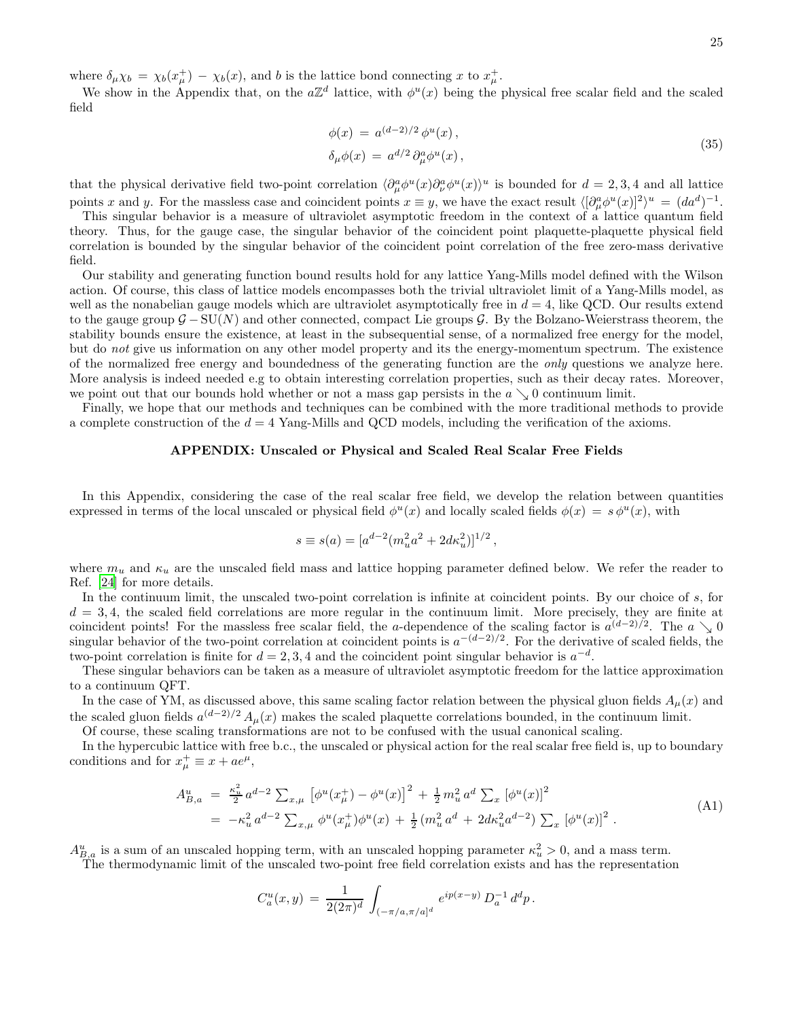where  $\delta_{\mu}\chi_b = \chi_b(x^+_{\mu}) - \chi_b(x)$ , and b is the lattice bond connecting x to  $x^+_{\mu}$ .

We show in the Appendix that, on the  $a\mathbb{Z}^d$  lattice, with  $\phi^u(x)$  being the physical free scalar field and the scaled field

$$
\phi(x) = a^{(d-2)/2} \phi^u(x),
$$
  
\n
$$
\delta_\mu \phi(x) = a^{d/2} \partial_\mu^a \phi^u(x),
$$
\n(35)

that the physical derivative field two-point correlation  $\langle \partial_{\mu}^{a} \phi^{u}(x) \partial_{\nu}^{a} \phi^{u}(x) \rangle^{u}$  is bounded for  $d = 2, 3, 4$  and all lattice points x and y. For the massless case and coincident points  $x \equiv y$ , we have the exact result  $\langle [\partial_\mu^a \phi^u(x)]^2 \rangle^u = (da^d)^{-1}$ .

This singular behavior is a measure of ultraviolet asymptotic freedom in the context of a lattice quantum field theory. Thus, for the gauge case, the singular behavior of the coincident point plaquette-plaquette physical field correlation is bounded by the singular behavior of the coincident point correlation of the free zero-mass derivative field.

Our stability and generating function bound results hold for any lattice Yang-Mills model defined with the Wilson action. Of course, this class of lattice models encompasses both the trivial ultraviolet limit of a Yang-Mills model, as well as the nonabelian gauge models which are ultraviolet asymptotically free in  $d = 4$ , like QCD. Our results extend to the gauge group  $\mathcal{G} - SU(N)$  and other connected, compact Lie groups  $\mathcal{G}$ . By the Bolzano-Weierstrass theorem, the stability bounds ensure the existence, at least in the subsequential sense, of a normalized free energy for the model, but do not give us information on any other model property and its the energy-momentum spectrum. The existence of the normalized free energy and boundedness of the generating function are the *only* questions we analyze here. More analysis is indeed needed e.g to obtain interesting correlation properties, such as their decay rates. Moreover, we point out that our bounds hold whether or not a mass gap persists in the  $a \searrow 0$  continuum limit.

Finally, we hope that our methods and techniques can be combined with the more traditional methods to provide a complete construction of the  $d = 4$  Yang-Mills and QCD models, including the verification of the axioms.

# APPENDIX: Unscaled or Physical and Scaled Real Scalar Free Fields

In this Appendix, considering the case of the real scalar free field, we develop the relation between quantities expressed in terms of the local unscaled or physical field  $\phi^u(x)$  and locally scaled fields  $\phi(x) = s \phi^u(x)$ , with

$$
s \equiv s(a) = [a^{d-2}(m_u^2 a^2 + 2d\kappa_u^2)]^{1/2},
$$

where  $m_u$  and  $\kappa_u$  are the unscaled field mass and lattice hopping parameter defined below. We refer the reader to Ref. [\[24\]](#page-29-10) for more details.

In the continuum limit, the unscaled two-point correlation is infinite at coincident points. By our choice of s, for  $d = 3, 4$ , the scaled field correlations are more regular in the continuum limit. More precisely, they are finite at coincident points! For the massless free scalar field, the a-dependence of the scaling factor is  $a^{(d-2)/2}$ . The  $a \searrow 0$ singular behavior of the two-point correlation at coincident points is  $a^{-(d-2)/2}$ . For the derivative of scaled fields, the two-point correlation is finite for  $d = 2, 3, 4$  and the coincident point singular behavior is  $a^{-d}$ .

These singular behaviors can be taken as a measure of ultraviolet asymptotic freedom for the lattice approximation to a continuum QFT.

In the case of YM, as discussed above, this same scaling factor relation between the physical gluon fields  $A_\mu(x)$  and the scaled gluon fields  $a^{(d-2)/2} A_\mu(x)$  makes the scaled plaquette correlations bounded, in the continuum limit.

Of course, these scaling transformations are not to be confused with the usual canonical scaling.

In the hypercubic lattice with free b.c., the unscaled or physical action for the real scalar free field is, up to boundary conditions and for  $x^+_\mu \equiv x + ae^\mu$ ,

$$
A_{B,a}^u = \frac{\kappa_u^2}{2} a^{d-2} \sum_{x,\mu} \left[ \phi^u(x_\mu^+) - \phi^u(x) \right]^2 + \frac{1}{2} m_u^2 a^d \sum_x \left[ \phi^u(x) \right]^2
$$
  
=  $-\kappa_u^2 a^{d-2} \sum_{x,\mu} \phi^u(x_\mu^+) \phi^u(x) + \frac{1}{2} \left( m_u^2 a^d + 2d \kappa_u^2 a^{d-2} \right) \sum_x \left[ \phi^u(x) \right]^2$ . (A1)

 $A_{B,a}^u$  is a sum of an unscaled hopping term, with an unscaled hopping parameter  $\kappa_u^2 > 0$ , and a mass term.

The thermodynamic limit of the unscaled two-point free field correlation exists and has the representation

$$
C_a^u(x,y) = \frac{1}{2(2\pi)^d} \int_{(-\pi/a,\pi/a]^d} e^{ip(x-y)} D_a^{-1} d^d p.
$$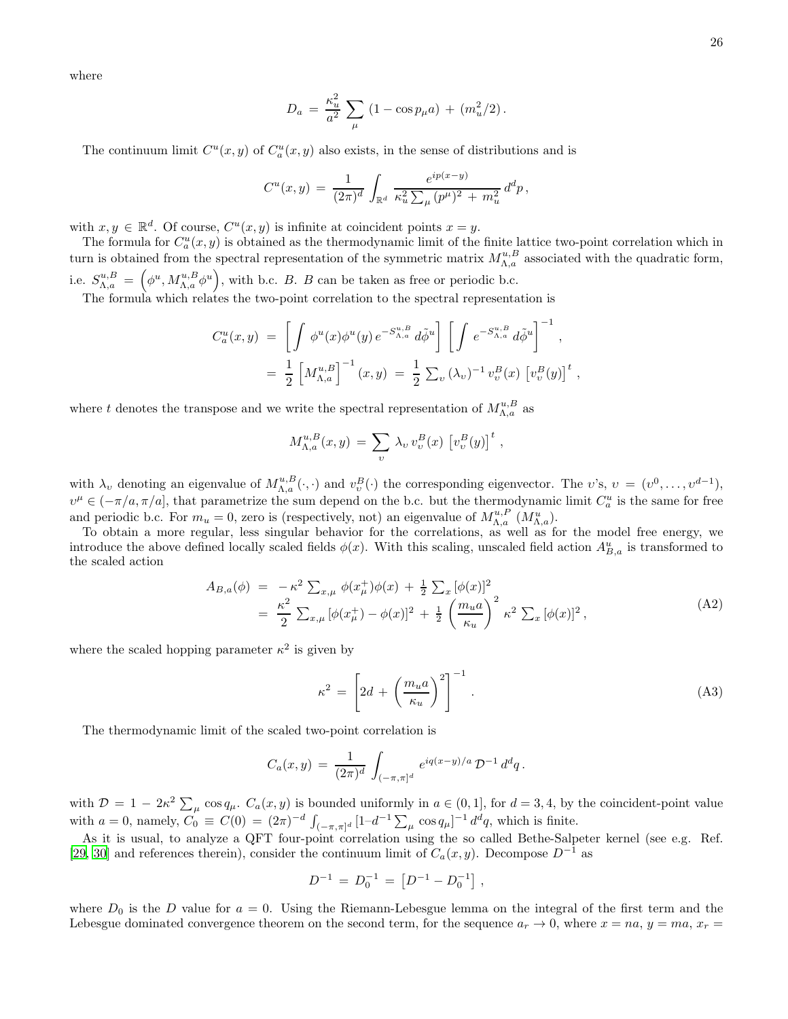where

$$
D_a = \frac{\kappa_u^2}{a^2} \sum_{\mu} (1 - \cos p_{\mu} a) + (m_u^2/2).
$$

The continuum limit  $C^u(x, y)$  of  $C^u_a(x, y)$  also exists, in the sense of distributions and is

$$
C^{u}(x,y) = \frac{1}{(2\pi)^{d}} \int_{\mathbb{R}^{d}} \frac{e^{ip(x-y)}}{\kappa_{u}^{2} \sum_{\mu} (p^{\mu})^{2} + m_{u}^{2}} d^{d}p,
$$

with  $x, y \in \mathbb{R}^d$ . Of course,  $C^u(x, y)$  is infinite at coincident points  $x = y$ .

The formula for  $C_a^u(x, y)$  is obtained as the thermodynamic limit of the finite lattice two-point correlation which in turn is obtained from the spectral representation of the symmetric matrix  $M_{\Lambda,a}^{u,B}$  associated with the quadratic form, i.e.  $S_{\Lambda,a}^{u,B} = (\phi^u, M_{\Lambda,a}^{u,B} \phi^u),$  with b.c. B. B can be taken as free or periodic b.c.

The formula which relates the two-point correlation to the spectral representation is

$$
C_a^u(x,y) = \left[ \int \phi^u(x) \phi^u(y) e^{-S_{\Lambda,a}^{u,B}} d\tilde{\phi}^u \right] \left[ \int e^{-S_{\Lambda,a}^{u,B}} d\tilde{\phi}^u \right]^{-1},
$$
  
=  $\frac{1}{2} \left[ M_{\Lambda,a}^{u,B} \right]^{-1} (x,y) = \frac{1}{2} \sum_v (\lambda_v)^{-1} v_v^B(x) \left[ v_v^B(y) \right]^t,$ 

where t denotes the transpose and we write the spectral representation of  $M_{\Lambda,a}^{u,B}$  as

$$
M_{\Lambda,a}^{u,B}(x,y) = \sum_{v} \lambda_v v_v^B(x) \left[ v_v^B(y) \right]^t,
$$

with  $\lambda_v$  denoting an eigenvalue of  $M_{\Lambda,a}^{u,B}(\cdot,\cdot)$  and  $v_v^B(\cdot)$  the corresponding eigenvector. The  $v$ 's,  $v = (v^0, \ldots, v^{d-1}),$  $v^{\mu} \in (-\pi/a, \pi/a]$ , that parametrize the sum depend on the b.c. but the thermodynamic limit  $C_a^u$  is the same for free and periodic b.c. For  $m_u = 0$ , zero is (respectively, not) an eigenvalue of  $M_{\Lambda,a}^{u,P}(M_{\Lambda,a}^u)$ .

To obtain a more regular, less singular behavior for the correlations, as well as for the model free energy, we introduce the above defined locally scaled fields  $\phi(x)$ . With this scaling, unscaled field action  $A_{B,a}^u$  is transformed to the scaled action

$$
A_{B,a}(\phi) = -\kappa^2 \sum_{x,\mu} \phi(x_{\mu}^+) \phi(x) + \frac{1}{2} \sum_x [\phi(x)]^2
$$
  
=  $\frac{\kappa^2}{2} \sum_{x,\mu} [\phi(x_{\mu}^+) - \phi(x)]^2 + \frac{1}{2} \left(\frac{m_u a}{\kappa_u}\right)^2 \kappa^2 \sum_x [\phi(x)]^2,$  (A2)

where the scaled hopping parameter  $\kappa^2$  is given by

$$
\kappa^2 = \left[2d + \left(\frac{m_u a}{\kappa_u}\right)^2\right]^{-1}.\tag{A3}
$$

The thermodynamic limit of the scaled two-point correlation is

$$
C_a(x,y) = \frac{1}{(2\pi)^d} \int_{(-\pi,\pi]^d} e^{iq(x-y)/a} \mathcal{D}^{-1} d^dq.
$$

with  $\mathcal{D} = 1 - 2\kappa^2 \sum_{\mu} \cos q_{\mu}$ .  $C_a(x, y)$  is bounded uniformly in  $a \in (0, 1]$ , for  $d = 3, 4$ , by the coincident-point value with  $a = 0$ , namely,  $C_0 \equiv C(0) = (2\pi)^{-d} \int_{(-\pi,\pi]^d} [1-d^{-1} \sum_{\mu} \cos q_{\mu}]^{-1} d^d q$ , which is finite.

As it is usual, to analyze a QFT four-point correlation using the so called Bethe-Salpeter kernel (see e.g. Ref. [\[29,](#page-29-16) [30\]](#page-29-17) and references therein), consider the continuum limit of  $C_a(x, y)$ . Decompose  $D^{-1}$  as

$$
D^{-1} = D_0^{-1} = [D^{-1} - D_0^{-1}],
$$

where  $D_0$  is the D value for  $a = 0$ . Using the Riemann-Lebesgue lemma on the integral of the first term and the Lebesgue dominated convergence theorem on the second term, for the sequence  $a_r \to 0$ , where  $x = na$ ,  $y = ma$ ,  $x_r =$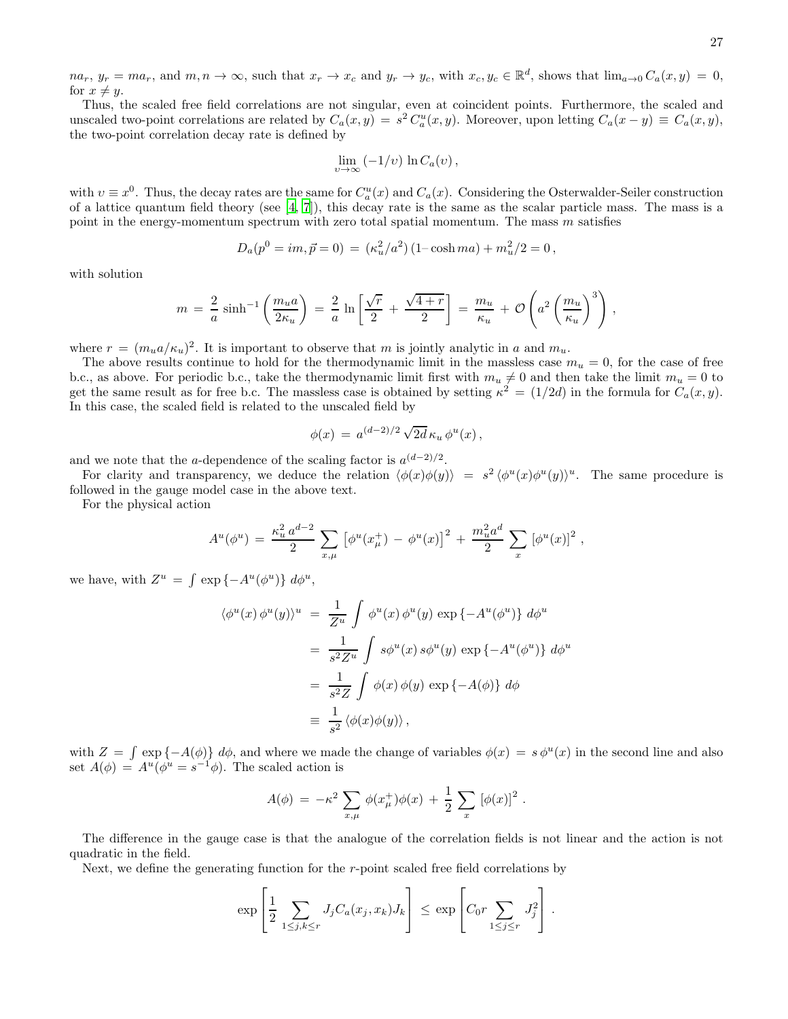$na_r, y_r = ma_r$ , and  $m, n \to \infty$ , such that  $x_r \to x_c$  and  $y_r \to y_c$ , with  $x_c, y_c \in \mathbb{R}^d$ , shows that  $\lim_{a\to 0} C_a(x, y) = 0$ , for  $x \neq y$ .

Thus, the scaled free field correlations are not singular, even at coincident points. Furthermore, the scaled and unscaled two-point correlations are related by  $C_a(x, y) = s^2 C_a^u(x, y)$ . Moreover, upon letting  $C_a(x - y) \equiv C_a(x, y)$ , the two-point correlation decay rate is defined by

$$
\lim_{v \to \infty} \left( -1/v \right) \ln C_a(v) \,,
$$

with  $v \equiv x^0$ . Thus, the decay rates are the same for  $C_a^u(x)$  and  $C_a(x)$ . Considering the Osterwalder-Seiler construction of a lattice quantum field theory (see  $[4, 7]$  $[4, 7]$ ), this decay rate is the same as the scalar particle mass. The mass is a point in the energy-momentum spectrum with zero total spatial momentum. The mass m satisfies

$$
D_a(p^0 = im, \vec{p} = 0) = (\kappa_u^2/a^2) (1 - \cosh ma) + m_u^2/2 = 0,
$$

with solution

$$
m = \frac{2}{a} \sinh^{-1} \left( \frac{m_u a}{2\kappa_u} \right) = \frac{2}{a} \ln \left[ \frac{\sqrt{r}}{2} + \frac{\sqrt{4+r}}{2} \right] = \frac{m_u}{\kappa_u} + \mathcal{O}\left( a^2 \left( \frac{m_u}{\kappa_u} \right)^3 \right),
$$

where  $r = (m_u a/\kappa_u)^2$ . It is important to observe that m is jointly analytic in a and  $m_u$ .

The above results continue to hold for the thermodynamic limit in the massless case  $m_u = 0$ , for the case of free b.c., as above. For periodic b.c., take the thermodynamic limit first with  $m_u \neq 0$  and then take the limit  $m_u = 0$  to get the same result as for free b.c. The massless case is obtained by setting  $\kappa^2 = (1/2d)$  in the formula for  $C_a(x, y)$ . In this case, the scaled field is related to the unscaled field by

$$
\phi(x) = a^{(d-2)/2} \sqrt{2d} \kappa_u \phi^u(x),
$$

and we note that the a-dependence of the scaling factor is  $a^{(d-2)/2}$ .

For clarity and transparency, we deduce the relation  $\langle \phi(x)\phi(y)\rangle = s^2 \langle \phi^u(x)\phi^u(y)\rangle^u$ . The same procedure is followed in the gauge model case in the above text.

For the physical action

$$
A^{u}(\phi^{u}) = \frac{\kappa_{u}^{2} a^{d-2}}{2} \sum_{x,\mu} [\phi^{u}(x_{\mu}^{+}) - \phi^{u}(x)]^{2} + \frac{m_{u}^{2} a^{d}}{2} \sum_{x} [\phi^{u}(x)]^{2},
$$

we have, with  $Z^u = \int \exp \{-A^u(\phi^u)\} d\phi^u$ ,

$$
\langle \phi^u(x) \phi^u(y) \rangle^u = \frac{1}{Z^u} \int \phi^u(x) \phi^u(y) \exp \{-A^u(\phi^u)\} d\phi^u
$$
  

$$
= \frac{1}{s^2 Z^u} \int s\phi^u(x) s\phi^u(y) \exp \{-A^u(\phi^u)\} d\phi^u
$$
  

$$
= \frac{1}{s^2 Z} \int \phi(x) \phi(y) \exp \{-A(\phi)\} d\phi
$$
  

$$
\equiv \frac{1}{s^2} \langle \phi(x) \phi(y) \rangle,
$$

with  $Z = \int \exp \{-A(\phi)\} d\phi$ , and where we made the change of variables  $\phi(x) = s \phi^u(x)$  in the second line and also set  $A(\phi) = A^u(\phi^u = s^{-1}\phi)$ . The scaled action is

$$
A(\phi) = -\kappa^2 \sum_{x,\mu} \phi(x^+_{\mu}) \phi(x) + \frac{1}{2} \sum_x [\phi(x)]^2.
$$

The difference in the gauge case is that the analogue of the correlation fields is not linear and the action is not quadratic in the field.

Next, we define the generating function for the  $r$ -point scaled free field correlations by

$$
\exp\left[\frac{1}{2}\sum_{1\leq j,k\leq r}J_jC_a(x_j,x_k)J_k\right] \leq \exp\left[C_0r\sum_{1\leq j\leq r}J_j^2\right].
$$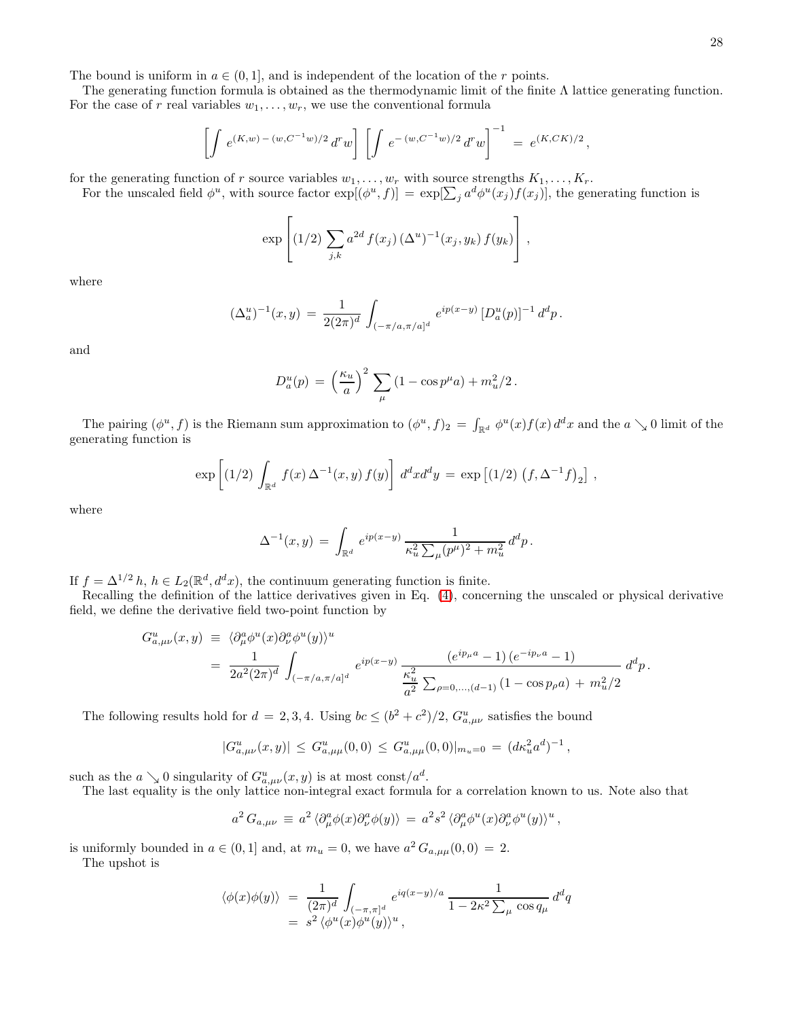The bound is uniform in  $a \in (0, 1]$ , and is independent of the location of the r points.

The generating function formula is obtained as the thermodynamic limit of the finite  $\Lambda$  lattice generating function. For the case of r real variables  $w_1, \ldots, w_r$ , we use the conventional formula

$$
\left[\int e^{(K,w)-(w,C^{-1}w)/2} d^r w\right] \left[\int e^{-(w,C^{-1}w)/2} d^r w\right]^{-1} = e^{(K,CK)/2},
$$

for the generating function of r source variables  $w_1, \ldots, w_r$  with source strengths  $K_1, \ldots, K_r$ .

For the unscaled field  $\phi^u$ , with source factor  $\exp[(\phi^u, f)] = \exp[\sum_j a^d \phi^u(x_j) f(x_j)]$ , the generating function is

$$
\exp\left[ (1/2) \sum_{j,k} a^{2d} f(x_j) (\Delta^u)^{-1} (x_j, y_k) f(y_k) \right],
$$

where

$$
(\Delta_a^u)^{-1}(x,y) = \frac{1}{2(2\pi)^d} \int_{(-\pi/a,\pi/a]^d} e^{ip(x-y)} \left[ D_a^u(p) \right]^{-1} d^dp.
$$

and

$$
D_a^u(p) = \left(\frac{\kappa_u}{a}\right)^2 \sum_{\mu} (1 - \cos p^{\mu} a) + m_u^2/2.
$$

The pairing  $(\phi^u, f)$  is the Riemann sum approximation to  $(\phi^u, f)_2 = \int_{\mathbb{R}^d} \phi^u(x) f(x) d^d x$  and the  $a \searrow 0$  limit of the generating function is

$$
\exp\left[ (1/2) \int_{\mathbb{R}^d} f(x) \Delta^{-1}(x, y) f(y) \right] d^d x d^d y = \exp\left[ (1/2) \left( f, \Delta^{-1} f \right)_2 \right],
$$

where

$$
\Delta^{-1}(x,y)\,=\,\int_{\mathbb{R}^d}\,e^{ip(x-y)}\,\frac{1}{\kappa_u^2\sum_\mu(p^\mu)^2+m_u^2}\,d^dp\,.
$$

If  $f = \Delta^{1/2} h$ ,  $h \in L_2(\mathbb{R}^d, d^dx)$ , the continuum generating function is finite.

Recalling the definition of the lattice derivatives given in Eq. [\(4\)](#page-4-0), concerning the unscaled or physical derivative field, we define the derivative field two-point function by

$$
G_{a,\mu\nu}^{u}(x,y) \equiv \langle \partial_{\mu}^{a} \phi^{u}(x) \partial_{\nu}^{a} \phi^{u}(y) \rangle^{u}
$$
  
= 
$$
\frac{1}{2a^{2}(2\pi)^{d}} \int_{(-\pi/a,\pi/a]^{d}} e^{ip(x-y)} \frac{(e^{ip_{\mu}a} - 1) (e^{-ip_{\nu}a} - 1)}{\frac{\kappa_{u}^{2}}{a^{2}} \sum_{\rho=0,...,(d-1)} (1 - \cos p_{\rho}a) + m_{u}^{2}/2} d^{d}p.
$$

The following results hold for  $d = 2, 3, 4$ . Using  $bc \leq (b^2 + c^2)/2$ ,  $G^u_{a,\mu\nu}$  satisfies the bound

$$
|G_{a,\mu\nu}^u(x,y)| \leq G_{a,\mu\mu}^u(0,0) \leq G_{a,\mu\mu}^u(0,0)|_{m_u=0} = (d\kappa_u^2 a^d)^{-1},
$$

such as the  $a \searrow 0$  singularity of  $G^u_{a,\mu\nu}(x,y)$  is at most const $/a^d$ .

The last equality is the only lattice non-integral exact formula for a correlation known to us. Note also that

$$
a^2 G_{a,\mu\nu} \equiv a^2 \langle \partial^a_\mu \phi(x) \partial^a_\nu \phi(y) \rangle = a^2 s^2 \langle \partial^a_\mu \phi^u(x) \partial^a_\nu \phi^u(y) \rangle^u,
$$

is uniformly bounded in  $a \in (0,1]$  and, at  $m_u = 0$ , we have  $a^2 G_{a,\mu\mu}(0,0) = 2$ . The upshot is

$$
\langle \phi(x)\phi(y) \rangle = \frac{1}{(2\pi)^d} \int_{(-\pi,\pi]^d} e^{iq(x-y)/a} \frac{1}{1 - 2\kappa^2 \sum_{\mu} \cos q_{\mu}} d^dq
$$
  
=  $s^2 \langle \phi^u(x)\phi^u(y) \rangle^u$ ,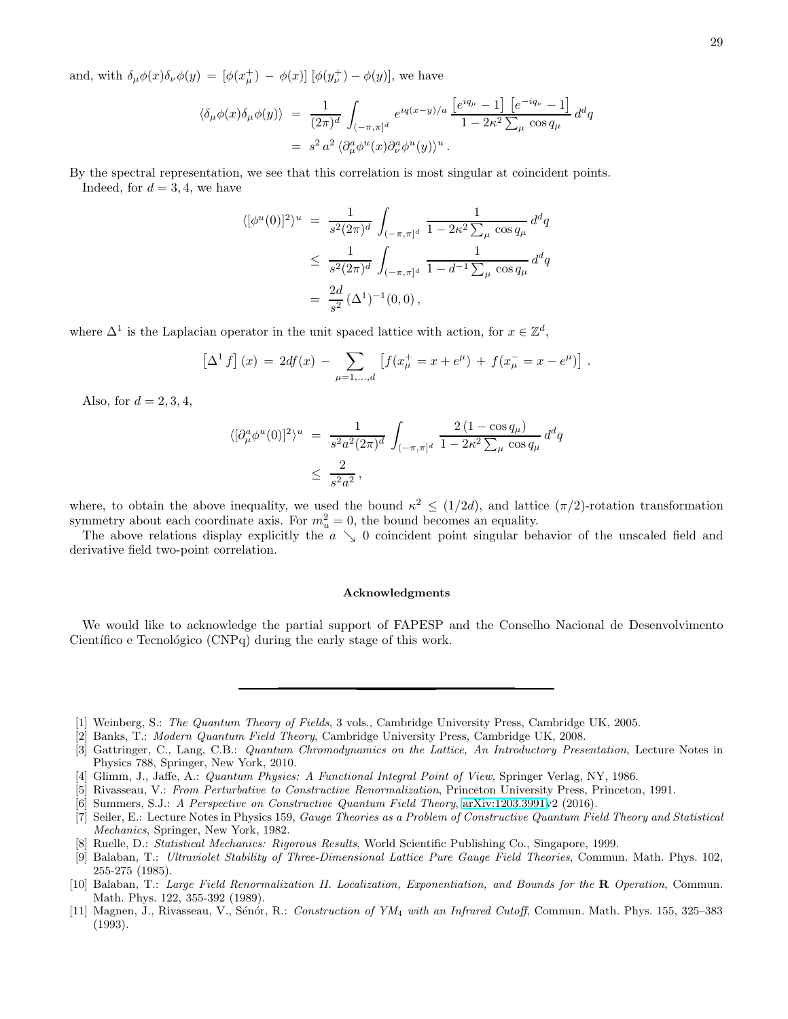and, with  $\delta_{\mu}\phi(x)\delta_{\nu}\phi(y) = [\phi(x_{\mu}^+) - \phi(x)] [\phi(y_{\nu}^+) - \phi(y)]$ , we have

$$
\langle \delta_{\mu}\phi(x)\delta_{\mu}\phi(y)\rangle = \frac{1}{(2\pi)^d} \int_{(-\pi,\pi]^d} e^{iq(x-y)/a} \frac{\left[e^{iq_{\mu}}-1\right] \left[e^{-iq_{\nu}}-1\right]}{1-2\kappa^2 \sum_{\mu} \cos q_{\mu}} d^dq
$$
  
=  $s^2 a^2 \langle \partial_{\mu}^a \phi^u(x)\partial_{\nu}^a \phi^u(y)\rangle^u$ .

By the spectral representation, we see that this correlation is most singular at coincident points. Indeed, for  $d = 3, 4$ , we have

$$
\langle [\phi^u(0)]^2 \rangle^u = \frac{1}{s^2 (2\pi)^d} \int_{(-\pi,\pi]^d} \frac{1}{1 - 2\kappa^2 \sum_{\mu} \cos q_{\mu}} d^d q
$$
  

$$
\leq \frac{1}{s^2 (2\pi)^d} \int_{(-\pi,\pi]^d} \frac{1}{1 - d^{-1} \sum_{\mu} \cos q_{\mu}} d^d q
$$
  

$$
= \frac{2d}{s^2} (\Delta^1)^{-1} (0,0),
$$

where  $\Delta^1$  is the Laplacian operator in the unit spaced lattice with action, for  $x \in \mathbb{Z}^d$ ,

$$
\[\Delta^1 f\] (x) = 2df(x) - \sum_{\mu=1,\dots,d} \left[ f(x^+_\mu = x + e^\mu) + f(x^-_\mu = x - e^\mu) \right].
$$

Also, for  $d = 2, 3, 4$ ,

$$
\langle [\partial_{\mu}^{a} \phi^{u}(0)]^{2} \rangle^{u} = \frac{1}{s^{2} a^{2} (2\pi)^{d}} \int_{(-\pi,\pi]^{d}} \frac{2 (1 - \cos q_{\mu})}{1 - 2\kappa^{2} \sum_{\mu} \cos q_{\mu}} d^{d}q
$$
  

$$
\leq \frac{2}{s^{2} a^{2}},
$$

where, to obtain the above inequality, we used the bound  $\kappa^2 \leq (1/2d)$ , and lattice  $(\pi/2)$ -rotation transformation symmetry about each coordinate axis. For  $m_u^2 = 0$ , the bound becomes an equality.

The above relations display explicitly the  $a \searrow 0$  coincident point singular behavior of the unscaled field and derivative field two-point correlation.

### Acknowledgments

We would like to acknowledge the partial support of FAPESP and the Conselho Nacional de Desenvolvimento Científico e Tecnológico  $(CNPq)$  during the early stage of this work.

- <span id="page-28-0"></span>[1] Weinberg, S.: The Quantum Theory of Fields, 3 vols., Cambridge University Press, Cambridge UK, 2005.
- [2] Banks, T.: Modern Quantum Field Theory, Cambridge University Press, Cambridge UK, 2008.
- <span id="page-28-7"></span>[3] Gattringer, C., Lang, C.B.: Quantum Chromodynamics on the Lattice, An Introductory Presentation, Lecture Notes in Physics 788, Springer, New York, 2010.
- <span id="page-28-1"></span>[4] Glimm, J., Jaffe, A.: Quantum Physics: A Functional Integral Point of View, Springer Verlag, NY, 1986.
- [5] Rivasseau, V.: From Perturbative to Constructive Renormalization, Princeton University Press, Princeton, 1991.
- [6] Summers, S.J.: A Perspective on Constructive Quantum Field Theory, [arXiv:1203.3991v](http://arxiv.org/abs/1203.3991)2 (2016).
- <span id="page-28-2"></span>[7] Seiler, E.: Lecture Notes in Physics 159, Gauge Theories as a Problem of Constructive Quantum Field Theory and Statistical Mechanics, Springer, New York, 1982.
- <span id="page-28-3"></span>[8] Ruelle, D.: Statistical Mechanics: Rigorous Results, World Scientific Publishing Co., Singapore, 1999.
- <span id="page-28-4"></span>[9] Balaban, T.: Ultraviolet Stability of Three-Dimensional Lattice Pure Gauge Field Theories, Commun. Math. Phys. 102, 255-275 (1985).
- <span id="page-28-5"></span>[10] Balaban, T.: Large Field Renormalization II. Localization, Exponentiation, and Bounds for the R Operation, Commun. Math. Phys. 122, 355-392 (1989).
- <span id="page-28-6"></span>[11] Magnen, J., Rivasseau, V., Sénór, R.: Construction of YM<sub>4</sub> with an Infrared Cutoff, Commun. Math. Phys. 155, 325–383 (1993).